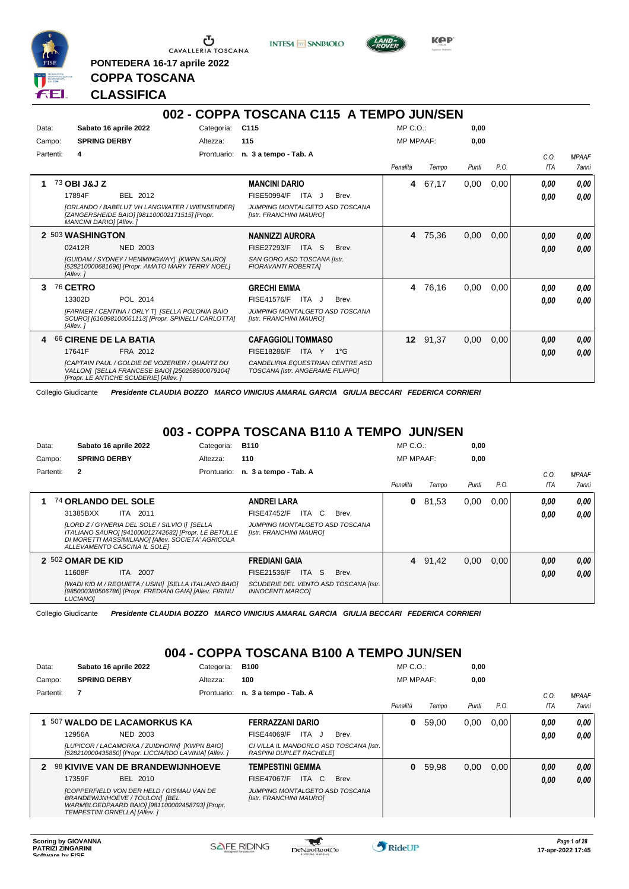

**PONTEDERA 16-17 aprile 2022**

**INTESA** M SANPAOLO



**KPP** 

## **COPPA TOSCANA CLASSIFICA**

|           |                                                                                                                                                                                            |             | 002 - COPPA TOSCANA C115 A TEMPO JUN/SEN                                                                                                          |                  |          |       |      |                    |                       |
|-----------|--------------------------------------------------------------------------------------------------------------------------------------------------------------------------------------------|-------------|---------------------------------------------------------------------------------------------------------------------------------------------------|------------------|----------|-------|------|--------------------|-----------------------|
| Data:     | Sabato 16 aprile 2022                                                                                                                                                                      | Categoria:  | C115                                                                                                                                              | MP C.O.          |          | 0.00  |      |                    |                       |
| Campo:    | <b>SPRING DERBY</b>                                                                                                                                                                        | Altezza:    | 115                                                                                                                                               | <b>MP MPAAF:</b> |          | 0.00  |      |                    |                       |
| Partenti: | 4                                                                                                                                                                                          | Prontuario: | n. 3 a tempo - Tab. A                                                                                                                             | Penalità         | Tempo    | Punti | P.O. | C.0.<br><b>ITA</b> | <b>MPAAF</b><br>7anni |
| 1         | 73 OBI J&J Z<br>17894F<br>BEL 2012<br>[ORLANDO / BABELUT VH LANGWATER / WIENSENDER]<br>[ZANGERSHEIDE BAIO] [981100002171515] [Propr.<br>MANCINI DARIO] [Allev. ]                           |             | <b>MANCINI DARIO</b><br>FISE50994/F<br>Brev.<br>ITA J<br>JUMPING MONTALGETO ASD TOSCANA<br>[Istr. FRANCHINI MAURO]                                |                  | 4 67,17  | 0,00  | 0.00 | 0.00<br>0.00       | 0.00<br>0.00          |
|           | 2 503 WASHINGTON<br>02412R<br><b>NED 2003</b><br>[GUIDAM / SYDNEY / HEMMINGWAY] [KWPN SAURO]<br>[528210000681696] [Propr. AMATO MARY TERRY NOEL]<br>[Allev.]                               |             | <b>NANNIZZI AURORA</b><br><b>FISE27293/F</b><br>ITA S<br>Brev.<br>SAN GORO ASD TOSCANA [Istr.<br><b>FIORAVANTI ROBERTAI</b>                       |                  | 4 75,36  | 0,00  | 0,00 | 0.00<br>0,00       | 0,00<br>0,00          |
| 3         | <b>76 CETRO</b><br>13302D<br>POL 2014<br>[FARMER / CENTINA / ORLY T] [SELLA POLONIA BAIO<br>SCURO] [616098100061113] [Propr. SPINELLI CARLOTTA]<br>[Allev.]                                |             | <b>GRECHI EMMA</b><br><b>FISE41576/F</b><br>ITA J<br>Brev.<br>JUMPING MONTALGETO ASD TOSCANA<br>[Istr. FRANCHINI MAURO]                           |                  | 4 76,16  | 0.00  | 0.00 | 0,00<br>0.00       | 0,00<br>0.00          |
| 4         | 66 CIRENE DE LA BATIA<br>17641F<br>FRA 2012<br>[CAPTAIN PAUL / GOLDIE DE VOZERIER / QUARTZ DU<br>VALLON] [SELLA FRANCESE BAIO] [250258500079104]<br>[Propr. LE ANTICHE SCUDERIE] [Allev. ] |             | <b>CAFAGGIOLI TOMMASO</b><br><b>FISE18286/F</b><br>ITA Y<br>$1^{\circ}$ G<br>CANDELIRIA EQUESTRIAN CENTRE ASD<br>TOSCANA [Istr. ANGERAME FILIPPO] |                  | 12 91,37 | 0.00  | 0,00 | 0,00<br>0.00       | 0,00<br>0.00          |

Collegio Giudicante *Presidente CLAUDIA BOZZO MARCO VINICIUS AMARAL GARCIA GIULIA BECCARI FEDERICA CORRIERI*

#### **003 - COPPA TOSCANA B110 A TEMPO JUN/SEN**

| Data:     | Sabato 16 aprile 2022                                                                                                                                                                       | Categoria:  | <b>B110</b>                                                      |       | MP C. O.         |         | 0,00  |      |            |                     |
|-----------|---------------------------------------------------------------------------------------------------------------------------------------------------------------------------------------------|-------------|------------------------------------------------------------------|-------|------------------|---------|-------|------|------------|---------------------|
| Campo:    | <b>SPRING DERBY</b>                                                                                                                                                                         | Altezza:    | 110                                                              |       | <b>MP MPAAF:</b> |         | 0,00  |      |            |                     |
| Partenti: | $\mathbf{2}$                                                                                                                                                                                | Prontuario: | n. 3 a tempo - Tab. A                                            |       |                  |         |       |      | C.0.       | <b>MPAAF</b>        |
|           |                                                                                                                                                                                             |             |                                                                  |       | Penalità         | Tempo   | Punti | P.O. | <b>ITA</b> | <i><b>7anni</b></i> |
|           | 74 ORLANDO DEL SOLE                                                                                                                                                                         |             | ANDREI LARA                                                      |       | 0                | 81,53   | 0,00  | 0.00 | 0.00       | 0.00                |
|           | 31385BXX<br>ITA 2011                                                                                                                                                                        |             | ITA C<br><b>FISE47452/F</b>                                      | Brev. |                  |         |       |      | 0.00       | 0.00                |
|           | [LORD Z / GYNERIA DEL SOLE / SILVIO I] [SELLA<br>ITALIANO SAURO] [941000012742632] [Propr. LE BETULLE<br>DI MORETTI MASSIMILIANO] [Allev. SOCIETA' AGRICOLA<br>ALLEVAMENTO CASCINA IL SOLEI |             | JUMPING MONTALGETO ASD TOSCANA<br>[Istr. FRANCHINI MAURO]        |       |                  |         |       |      |            |                     |
|           | 2 502 OMAR DE KID                                                                                                                                                                           |             | <b>FREDIANI GAIA</b>                                             |       |                  | 4 91,42 | 0,00  | 0.00 | 0,00       | 0,00                |
|           | 11608F<br><b>ITA 2007</b>                                                                                                                                                                   |             | ITA S<br><b>FISE21536/F</b>                                      | Brev. |                  |         |       |      | 0,00       | 0.00                |
|           | [WADI KID M / REQUIETA / USINI] [SELLA ITALIANO BAIO]<br>[985000380506786] [Propr. FREDIANI GAIA] [Allev. FIRINU<br><b>LUCIANO1</b>                                                         |             | SCUDERIE DEL VENTO ASD TOSCANA [Istr.<br><b>INNOCENTI MARCOI</b> |       |                  |         |       |      |            |                     |

Collegio Giudicante *Presidente CLAUDIA BOZZO MARCO VINICIUS AMARAL GARCIA GIULIA BECCARI FEDERICA CORRIERI*

## **004 - COPPA TOSCANA B100 A TEMPO JUN/SEN**

| Data:     | Sabato 16 aprile 2022                                                                                                                                           | Categoria:  | <b>B100</b>                                                               | MP C. O.         |       | 0,00  |      |      |              |
|-----------|-----------------------------------------------------------------------------------------------------------------------------------------------------------------|-------------|---------------------------------------------------------------------------|------------------|-------|-------|------|------|--------------|
| Campo:    | <b>SPRING DERBY</b>                                                                                                                                             | Altezza:    | 100                                                                       | <b>MP MPAAF:</b> |       | 0,00  |      |      |              |
| Partenti: | 7                                                                                                                                                               | Prontuario: | n. 3 a tempo - Tab. A                                                     |                  |       |       |      | C.0  | <b>MPAAF</b> |
|           |                                                                                                                                                                 |             |                                                                           | Penalità         | Tempo | Punti | P.O. | ITA  | 7anni        |
|           | 507 WALDO DE LACAMORKUS KA                                                                                                                                      |             | <b>FERRAZZANI DARIO</b>                                                   | 0                | 59.00 | 0,00  | 0.00 | 0,00 | 0,00         |
|           | 12956A<br>NED 2003                                                                                                                                              |             | FISE44069/F<br>ITA J<br>Brev.                                             |                  |       |       |      | 0,00 | 0.00         |
|           | [LUPICOR / LACAMORKA / ZUIDHORN] [KWPN BAIO]<br>[528210000435850] [Propr. LICCIARDO LAVINIA] [Allev. ]                                                          |             | CI VILLA IL MANDORLO ASD TOSCANA [Istr.<br><b>RASPINI DUPLET RACHELEI</b> |                  |       |       |      |      |              |
| 2         | <b>98 KIVIVE VAN DE BRANDEWIJNHOEVE</b>                                                                                                                         |             | <b>TEMPESTINI GEMMA</b>                                                   | $\bf{0}$         | 59.98 | 0,00  | 0.00 | 0,00 | 0.00         |
|           | BEL 2010<br>17359F                                                                                                                                              |             | ITA C<br>FISE47067/F<br>Brev.                                             |                  |       |       |      | 0,00 | 0.00         |
|           | [COPPERFIELD VON DER HELD / GISMAU VAN DE<br>BRANDEWIJNHOEVE / TOULON] [BEL.<br>WARMBLOEDPAARD BAIO] [981100002458793] [Propr.<br>TEMPESTINI ORNELLAI [Allev. ] |             | JUMPING MONTALGETO ASD TOSCANA<br>[Istr. FRANCHINI MAURO]                 |                  |       |       |      |      |              |

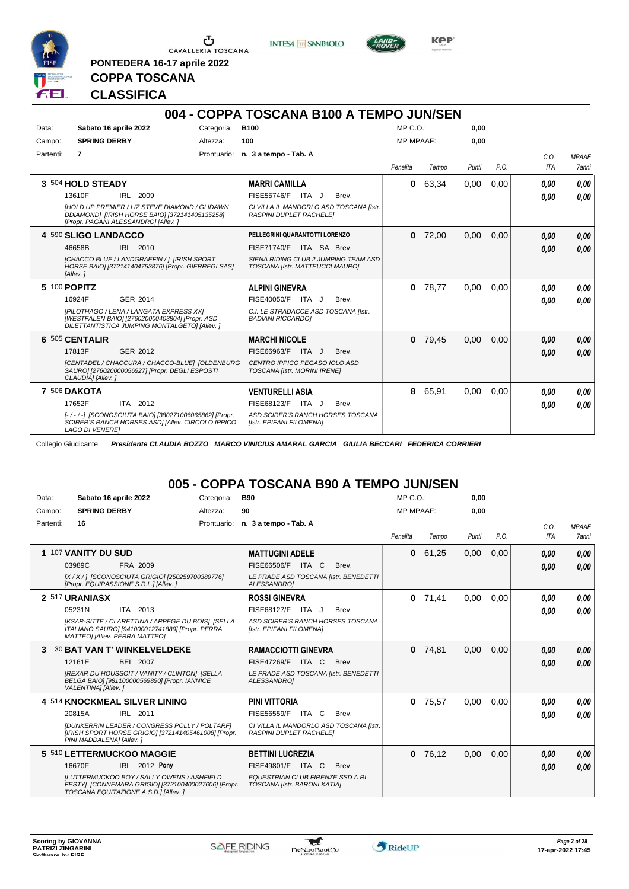

**PONTEDERA 16-17 aprile 2022**

**INTESA** M SANPAOLO



**Kep** 

## **COPPA TOSCANA CLASSIFICA**

|           |                        |                                                                                                                                                |             | 004 - COPPA TOSCANA B100 A TEMPO JUN/SEN                                  |                  |       |       |      |                    |                       |
|-----------|------------------------|------------------------------------------------------------------------------------------------------------------------------------------------|-------------|---------------------------------------------------------------------------|------------------|-------|-------|------|--------------------|-----------------------|
| Data:     |                        | Sabato 16 aprile 2022                                                                                                                          | Categoria:  | <b>B100</b>                                                               | $MP C. O.$ :     |       | 0,00  |      |                    |                       |
| Campo:    | <b>SPRING DERBY</b>    |                                                                                                                                                | Altezza:    | 100                                                                       | <b>MP MPAAF:</b> |       | 0,00  |      |                    |                       |
| Partenti: | 7                      |                                                                                                                                                | Prontuario: | n. 3 a tempo - Tab. A                                                     | Penalità         | Tempo | Punti | P.O. | C.0.<br><b>ITA</b> | <b>MPAAF</b><br>7anni |
|           | 3 504 HOLD STEADY      |                                                                                                                                                |             | <b>MARRI CAMILLA</b>                                                      | 0                | 63,34 | 0,00  | 0,00 | 0.00               | 0.00                  |
|           | 13610F                 | IRL 2009                                                                                                                                       |             | FISE55746/F ITA J<br>Brev.                                                |                  |       |       |      | 0.00               | 0.00                  |
|           |                        | <b>IHOLD UP PREMIER / LIZ STEVE DIAMOND / GLIDAWN</b><br>DDIAMOND1 [IRISH HORSE BAIO] [372141405135258]<br>[Propr. PAGANI ALESSANDRO] [Allev.] |             | CI VILLA IL MANDORLO ASD TOSCANA [Istr.<br><b>RASPINI DUPLET RACHELE!</b> |                  |       |       |      |                    |                       |
|           | 4 590 SLIGO LANDACCO   |                                                                                                                                                |             | PELLEGRINI QUARANTOTTI LORENZO                                            | 0                | 72,00 | 0.00  | 0,00 | 0,00               | 0.00                  |
|           | 46658B                 | IRL 2010                                                                                                                                       |             | <b>FISE71740/F</b><br>ITA SA Brev.                                        |                  |       |       |      | 0.00               | 0,00                  |
|           | [Allev.]               | <b>ICHACCO BLUE / LANDGRAEFIN / 1 IIRISH SPORT</b><br>HORSE BAIO] [372141404753876] [Propr. GIERREGI SAS]                                      |             | SIENA RIDING CLUB 2 JUMPING TEAM ASD<br>TOSCANA [Istr. MATTEUCCI MAURO]   |                  |       |       |      |                    |                       |
|           | 5 100 POPITZ           |                                                                                                                                                |             | <b>ALPINI GINEVRA</b>                                                     | 0                | 78.77 | 0.00  | 0.00 | 0.00               | 0.00                  |
|           | 16924F                 | GER 2014                                                                                                                                       |             | FISE40050/F ITA J<br>Brev.                                                |                  |       |       |      | 0.00               | 0.00                  |
|           |                        | IPILOTHAGO / LENA / LANGATA EXPRESS XXI<br>[WESTFALEN BAIO] [276020000403804] [Propr. ASD<br>DILETTANTISTICA JUMPING MONTALGETO] [Allev.]      |             | C.I. LE STRADACCE ASD TOSCANA [Istr.<br><b>BADIANI RICCARDOI</b>          |                  |       |       |      |                    |                       |
|           | 6 505 CENTALIR         |                                                                                                                                                |             | <b>MARCHI NICOLE</b>                                                      | 0                | 79,45 | 0,00  | 0,00 | 0,00               | 0.00                  |
|           | 17813F                 | GER 2012                                                                                                                                       |             | FISE66963/F<br>ITA J<br>Brev.                                             |                  |       |       |      | 0.00               | 0,00                  |
|           | CLAUDIA] [Allev.]      | [CENTADEL / CHACCURA / CHACCO-BLUE] [OLDENBURG<br>SAURO] [276020000056927] [Propr. DEGLI ESPOSTI                                               |             | CENTRO IPPICO PEGASO IOLO ASD<br><b>TOSCANA [Istr. MORINI IRENE]</b>      |                  |       |       |      |                    |                       |
|           | <b>7 506 DAKOTA</b>    |                                                                                                                                                |             | <b>VENTURELLI ASIA</b>                                                    | 8                | 65,91 | 0.00  | 0,00 | 0.00               | 0.00                  |
|           | 17652F                 | ITA 2012                                                                                                                                       |             | FISE68123/F<br>ITA J<br>Brev.                                             |                  |       |       |      | 0.00               | 0.00                  |
|           | <b>LAGO DI VENEREI</b> | [-/-/-] [SCONOSCIUTA BAIO] [380271006065862] [Propr.<br>SCIRER'S RANCH HORSES ASDI [Allev. CIRCOLO IPPICO                                      |             | ASD SCIRER'S RANCH HORSES TOSCANA<br>[Istr. EPIFANI FILOMENA]             |                  |       |       |      |                    |                       |

Collegio Giudicante *Presidente CLAUDIA BOZZO MARCO VINICIUS AMARAL GARCIA GIULIA BECCARI FEDERICA CORRIERI*

#### **005 - COPPA TOSCANA B90 A TEMPO JUN/SEN**

| Data:     | Sabato 16 aprile 2022                                                                                                                     | Categoria: | <b>B90</b>                                                                | MP C. O.         |       | 0,00  |      |      |              |
|-----------|-------------------------------------------------------------------------------------------------------------------------------------------|------------|---------------------------------------------------------------------------|------------------|-------|-------|------|------|--------------|
| Campo:    | <b>SPRING DERBY</b>                                                                                                                       | Altezza:   | 90                                                                        | <b>MP MPAAF:</b> |       | 0.00  |      |      |              |
| Partenti: | 16                                                                                                                                        |            | Prontuario: n. 3 a tempo - Tab. A                                         |                  |       |       |      | C.O. | <b>MPAAF</b> |
|           |                                                                                                                                           |            |                                                                           | Penalità         | Tempo | Punti | P.O. | ITA  | <b>7anni</b> |
|           | 1 107 VANITY DU SUD                                                                                                                       |            | <b>MATTUGINI ADELE</b>                                                    | $\bf{0}$         | 61,25 | 0,00  | 0,00 | 0,00 | 0,00         |
|           | 03989C<br>FRA 2009                                                                                                                        |            | FISE66506/F ITA C<br>Brev.                                                |                  |       |       |      | 0.00 | 0,00         |
|           | [X / X / 1 [SCONOSCIUTA GRIGIO] [250259700389776]<br>[Propr. EQUIPASSIONE S.R.L.] [Allev.]                                                |            | LE PRADE ASD TOSCANA [Istr. BENEDETTI<br>ALESSANDROI                      |                  |       |       |      |      |              |
|           | 2 517 URANIASX                                                                                                                            |            | <b>ROSSI GINEVRA</b>                                                      | $\bf{0}$         | 71,41 | 0.00  | 0,00 | 0.00 | 0,00         |
|           | 05231N<br>ITA 2013                                                                                                                        |            | FISE68127/F<br>ITA J<br>Brev.                                             |                  |       |       |      | 0,00 | 0.00         |
|           | [KSAR-SITTE / CLARETTINA / ARPEGE DU BOIS] [SELLA<br>ITALIANO SAURO] [941000012741889] [Propr. PERRA<br>MATTEO] [Allev. PERRA MATTEO]     |            | ASD SCIRER'S RANCH HORSES TOSCANA<br><b>Ilstr. EPIFANI FILOMENAI</b>      |                  |       |       |      |      |              |
| 3.        | <b>30 BAT VAN T' WINKELVELDEKE</b>                                                                                                        |            | <b>RAMACCIOTTI GINEVRA</b>                                                | $\Omega$         | 74.81 | 0.00  | 0.00 | 0,00 | 0,00         |
|           | 12161E<br><b>BEL 2007</b>                                                                                                                 |            | <b>FISE47269/F ITA C</b><br>Brev.                                         |                  |       |       |      | 0.00 | 0,00         |
|           | [REXAR DU HOUSSOIT / VANITY / CLINTON] [SELLA<br>BELGA BAIO] [981100000569890] [Propr. IANNICE<br>VALENTINA] [Allev.]                     |            | LE PRADE ASD TOSCANA [Istr. BENEDETTI<br>ALESSANDROI                      |                  |       |       |      |      |              |
|           | 4 514 KNOCKMEAL SILVER LINING                                                                                                             |            | <b>PINI VITTORIA</b>                                                      | 0                | 75,57 | 0.00  | 0,00 | 0.00 | 0,00         |
|           | IRL 2011<br>20815A                                                                                                                        |            | <b>FISE56559/F</b><br>ITA C<br>Brev.                                      |                  |       |       |      | 0.00 | 0.00         |
|           | <b>IDUNKERRIN LEADER / CONGRESS POLLY / POLTARFI</b><br>[IRISH SPORT HORSE GRIGIO] [372141405461008] [Propr.<br>PINI MADDALENA] [Allev.]  |            | CI VILLA IL MANDORLO ASD TOSCANA [Istr.<br><b>RASPINI DUPLET RACHELE!</b> |                  |       |       |      |      |              |
|           | 5 510 LETTERMUCKOO MAGGIE                                                                                                                 |            | <b>BETTINI LUCREZIA</b>                                                   | $\mathbf{0}$     | 76,12 | 0,00  | 0,00 | 0.00 | 0,00         |
|           | IRL 2012 Pony<br>16670F                                                                                                                   |            | FISE49801/F ITA C<br>Brev.                                                |                  |       |       |      | 0.00 | 0.00         |
|           | ILUTTERMUCKOO BOY / SALLY OWENS / ASHFIELD<br>FESTY] [CONNEMARA GRIGIO] [372100400027606] [Propr.<br>TOSCANA EQUITAZIONE A.S.D.] [Allev.] |            | EQUESTRIAN CLUB FIRENZE SSD A RL<br>TOSCANA [Istr. BARONI KATIA]          |                  |       |       |      |      |              |

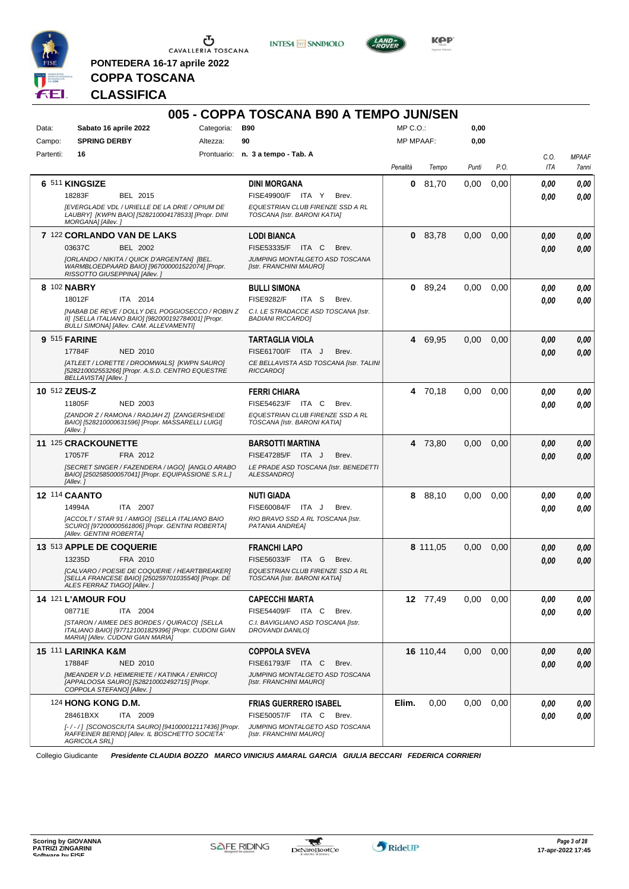

**PONTEDERA 16-17 aprile 2022**

**INTESA M** SANPAOLO



## **COPPA TOSCANA CLASSIFICA**

|           |                                                                                                                                                           |            | 005 - COPPA TOSCANA B90 A TEMPO JUN/SEN                          |                  |           |       |      |            |              |
|-----------|-----------------------------------------------------------------------------------------------------------------------------------------------------------|------------|------------------------------------------------------------------|------------------|-----------|-------|------|------------|--------------|
| Data:     | Sabato 16 aprile 2022                                                                                                                                     | Categoria: | <b>B90</b>                                                       | MP C.O.:         |           | 0,00  |      |            |              |
| Campo:    | <b>SPRING DERBY</b>                                                                                                                                       | Altezza:   | 90                                                               | <b>MP MPAAF:</b> |           | 0,00  |      |            |              |
| Partenti: | 16                                                                                                                                                        |            | Prontuario: n. 3 a tempo - Tab. A                                |                  |           |       |      | C.O.       | <b>MPAAF</b> |
|           |                                                                                                                                                           |            |                                                                  | Penalità         | Tempo     | Punti | P.O. | <b>ITA</b> | 7anni        |
|           | 6 511 KINGSIZE                                                                                                                                            |            | <b>DINI MORGANA</b>                                              | 0                | 81,70     | 0,00  | 0,00 | 0.00       | 0,00         |
|           | 18283F<br>BEL 2015                                                                                                                                        |            | <b>FISE49900/F</b><br>ITA Y<br>Brev.                             |                  |           |       |      | 0.00       | 0,00         |
|           | <b>JEVERGLADE VDL / URIELLE DE LA DRIE / OPIUM DE</b><br>LAUBRY] [KWPN BAIO] [528210004178533] [Propr. DINI<br>MORGANA] [Allev.]                          |            | EQUESTRIAN CLUB FIRENZE SSD A RL<br>TOSCANA [Istr. BARONI KATIA] |                  |           |       |      |            |              |
|           | 7 122 CORLANDO VAN DE LAKS                                                                                                                                |            | <b>LODI BIANCA</b>                                               | 0                | 83,78     | 0,00  | 0,00 | 0,00       | 0,00         |
|           | 03637C<br>BEL 2002                                                                                                                                        |            | FISE53335/F<br>ITA C<br>Brev.                                    |                  |           |       |      | 0.00       | 0,00         |
|           | [ORLANDO / NIKITA / QUICK D'ARGENTAN] [BEL.<br>WARMBLOEDPAARD BAIO] [967000001522074] [Propr.<br>RISSOTTO GIUSEPPINA] [Allev.]                            |            | JUMPING MONTALGETO ASD TOSCANA<br>[Istr. FRANCHINI MAURO]        |                  |           |       |      |            |              |
|           | 8 102 NABRY                                                                                                                                               |            | BULLI SIMONA                                                     |                  | 0 89,24   | 0,00  | 0.00 | 0.00       | 0,00         |
|           | 18012F<br>ITA 2014                                                                                                                                        |            | <b>FISE9282/F</b><br>ITA S<br>Brev.                              |                  |           |       |      | 0.00       | 0,00         |
|           | [NABAB DE REVE / DOLLY DEL POGGIOSECCO / ROBIN Z<br>II] [SELLA ITALIANO BAIO] [982000192784001] [Propr.<br><b>BULLI SIMONAI [Allev. CAM. ALLEVAMENTI]</b> |            | C.I. LE STRADACCE ASD TOSCANA [Istr.<br><b>BADIANI RICCARDO]</b> |                  |           |       |      |            |              |
|           | <b>9 515 FARINE</b>                                                                                                                                       |            | <b>TARTAGLIA VIOLA</b>                                           | 4                | 69,95     | 0,00  | 0,00 | 0,00       | 0,00         |
|           | 17784F<br><b>NED 2010</b>                                                                                                                                 |            | FISE61700/F ITA J<br>Brev.                                       |                  |           |       |      | 0.00       | 0,00         |
|           | [ATLEET / LORETTE / DROOMWALS] [KWPN SAURO]<br>[528210002553266] [Propr. A.S.D. CENTRO EQUESTRE<br><b>BELLAVISTA] [Allev. ]</b>                           |            | CE BELLAVISTA ASD TOSCANA [Istr. TALINI<br>RICCARDO]             |                  |           |       |      |            |              |
|           | 10 512 ZEUS-Z                                                                                                                                             |            | <b>FERRI CHIARA</b>                                              | 4                | 70,18     | 0,00  | 0.00 | 0.00       | 0,00         |
|           | <b>NED 2003</b><br>11805F                                                                                                                                 |            | FISE54623/F ITA C<br>Brev.                                       |                  |           |       |      | 0.00       | 0,00         |
|           | [ZANDOR Z / RAMONA / RADJAH Z] [ZANGERSHEIDE<br>BAIO] [528210000631596] [Propr. MASSARELLI LUIGI]<br>[Allev.]                                             |            | EQUESTRIAN CLUB FIRENZE SSD A RL<br>TOSCANA [Istr. BARONI KATIA] |                  |           |       |      |            |              |
|           | 11 125 CRACKOUNETTE                                                                                                                                       |            | <b>BARSOTTI MARTINA</b>                                          |                  | 4 73,80   | 0,00  | 0,00 | 0.00       | 0,00         |
|           | 17057F<br>FRA 2012                                                                                                                                        |            | FISE47285/F ITA J<br>Brev.                                       |                  |           |       |      | 0.00       | 0,00         |
|           | [SECRET SINGER / FAZENDERA / IAGO] [ANGLO ARABO<br>BAIO] [250258500057041] [Propr. EQUIPASSIONE S.R.L.]<br>[Allev.]                                       |            | LE PRADE ASD TOSCANA [Istr. BENEDETTI<br>ALESSANDROI             |                  |           |       |      |            |              |
|           | <b>12 114 CAANTO</b>                                                                                                                                      |            | <b>NUTI GIADA</b>                                                | 8                | 88,10     | 0,00  | 0.00 | 0,00       | 0,00         |
|           | 14994A<br>ITA 2007                                                                                                                                        |            | FISE60084/F<br>ITA J<br>Brev.                                    |                  |           |       |      | 0.00       | 0,00         |
|           | [ACCOLT / STAR 91 / AMIGO] [SELLA ITALIANO BAIO<br>SCURO] [97200000561806] [Propr. GENTINI ROBERTA]<br>[Allev. GENTINI ROBERTA]                           |            | RIO BRAVO SSD A RL TOSCANA [Istr.<br>PATANIA ANDREA]             |                  |           |       |      |            |              |
|           | 13 513 APPLE DE COQUERIE                                                                                                                                  |            | <b>FRANCHI LAPO</b>                                              |                  | 8 111.05  | 0,00  | 0,00 | 0,00       | 0,00         |
|           | 13235D<br>FRA 2010                                                                                                                                        |            | FISE56033/F<br>ITA G<br>Brev.                                    |                  |           |       |      | 0.00       | 0,00         |
|           | [CALVARO / POESIE DE COQUERIE / HEARTBREAKER]<br>[SELLA FRANCESE BAIO] [250259701035540] [Propr. DE<br>ALES FERRAZ TIAGO] [Allev.]                        |            | EQUESTRIAN CLUB FIRENZE SSD A RL<br>TOSCANA [Istr. BARONI KATIA] |                  |           |       |      |            |              |
|           | <b>14 121 L'AMOUR FOU</b>                                                                                                                                 |            | <b>CAPECCHI MARTA</b>                                            |                  | 12 77,49  | 0,00  | 0,00 | 0,00       | 0,00         |
|           | 08771E<br>ITA 2004                                                                                                                                        |            | FISE54409/F ITA C<br>Brev.                                       |                  |           |       |      | 0.00       | 0,00         |
|           | [STARON / AIMEE DES BORDES / QUIRACO] [SELLA<br>ITALIANO BAIO] [977121001829396] [Propr. CUDONI GIAN<br>MARIA] [Allev. CUDONI GIAN MARIA]                 |            | C.I. BAVIGLIANO ASD TOSCANA [Istr.<br>DROVANDI DANILO]           |                  |           |       |      |            |              |
|           | <b>15 111 LARINKA K&amp;M</b>                                                                                                                             |            | <b>COPPOLA SVEVA</b>                                             |                  | 16 110,44 | 0,00  | 0,00 | 0,00       | 0,00         |
|           | 17884F<br><b>NED 2010</b>                                                                                                                                 |            | FISE61793/F ITA C<br>Brev.                                       |                  |           |       |      | 0,00       | 0,00         |
|           | [MEANDER V.D. HEIMERIETE / KATINKA / ENRICO]<br>[APPALOOSA SAURO] [528210002492715] [Propr.<br>COPPOLA STEFANO] [Allev.]                                  |            | JUMPING MONTALGETO ASD TOSCANA<br>[Istr. FRANCHINI MAURO]        |                  |           |       |      |            |              |
|           | 124 HONG KONG D.M.                                                                                                                                        |            | <b>FRIAS GUERRERO ISABEL</b>                                     | Elim.            | 0,00      | 0,00  | 0,00 | 0,00       | 0,00         |
|           | 28461BXX<br>ITA 2009                                                                                                                                      |            | FISE50057/F ITA C<br>Brev.                                       |                  |           |       |      | 0,00       | 0,00         |
|           | [-/-/] [SCONOSCIUTA SAURO] [941000012117436] [Propr.<br>RAFFEINER BERND] [Allev. IL BOSCHETTO SOCIETA'<br><b>AGRICOLA SRL]</b>                            |            | JUMPING MONTALGETO ASD TOSCANA<br>[Istr. FRANCHINI MAURO]        |                  |           |       |      |            |              |

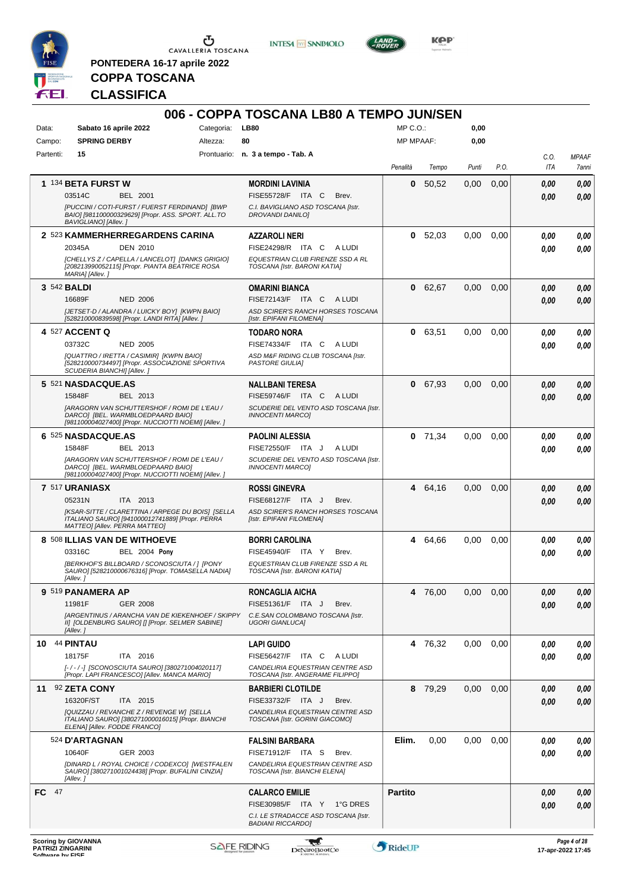

**PONTEDERA 16-17 aprile 2022**

**INTESA M** SANPAOLO



**KOP** 

# **COPPA TOSCANA CLASSIFICA**

| Data:      | Sabato 16 aprile 2022                                                                                | Categoria: | 006 - COPPA TOSCANA LB80 A TEMPO JUN/SEN<br><b>LB80</b>              | $MP C. O.$ :     |           | 0,00  |      |      |                                   |
|------------|------------------------------------------------------------------------------------------------------|------------|----------------------------------------------------------------------|------------------|-----------|-------|------|------|-----------------------------------|
| Campo:     | <b>SPRING DERBY</b>                                                                                  | Altezza:   | 80                                                                   | <b>MP MPAAF:</b> |           | 0,00  |      |      |                                   |
| Partenti:  | 15                                                                                                   |            | Prontuario: n. 3 a tempo - Tab. A                                    |                  |           |       |      | C.O. | <b>MPAAF</b>                      |
|            |                                                                                                      |            |                                                                      | Penalità         | Tempo     | Punti | P.O. | ITA  | 7anni                             |
|            | 1 134 BETA FURST W                                                                                   |            | <b>MORDINI LAVINIA</b>                                               | 0                | 50,52     | 0,00  | 0,00 | 0,00 | 0,00                              |
|            | 03514C<br>BEL 2001                                                                                   |            | FISE55728/F ITA C<br>Brev.                                           |                  |           |       |      | 0.00 | 0,00                              |
|            | [PUCCINI / COTI-FURST / FUERST FERDINAND] [BWP<br>BAIO] [981100000329629] [Propr. ASS. SPORT. ALL.TO |            | C.I. BAVIGLIANO ASD TOSCANA [Istr.<br><b>DROVANDI DANILO]</b>        |                  |           |       |      |      |                                   |
|            | BAVIGLIANO] [Allev.]                                                                                 |            |                                                                      |                  |           |       |      |      |                                   |
|            | 2 523 KAMMERHERREGARDENS CARINA<br><b>DEN 2010</b><br>20345A                                         |            | <b>AZZAROLI NERI</b><br>FISE24298/R ITA C<br>A LUDI                  | 0                | 52,03     | 0,00  | 0,00 | 0.00 | 0,00                              |
|            | [CHELLYS Z / CAPELLA / LANCELOT] [DANKS GRIGIO]                                                      |            | EQUESTRIAN CLUB FIRENZE SSD A RL                                     |                  |           |       |      | 0.00 | 0.00                              |
|            | [208213990052115] [Propr. PIANTA BEATRICE ROSA<br>MARIA] [Allev.]                                    |            | TOSCANA [Istr. BARONI KATIA]                                         |                  |           |       |      |      |                                   |
|            | 3 542 <b>BALDI</b>                                                                                   |            | OMARINI BIANCA                                                       | 0                | 62,67     | 0,00  | 0,00 | 0,00 | 0,00                              |
|            | 16689F<br><b>NED 2006</b>                                                                            |            | FISE72143/F ITA C ALUDI                                              |                  |           |       |      | 0.00 | 0,00                              |
|            | [JETSET-D / ALANDRA / LUICKY BOY] [KWPN BAIO]<br>[528210000839598] [Propr. LANDI RITA] [Allev. ]     |            | ASD SCIRER'S RANCH HORSES TOSCANA<br>[Istr. EPIFANI FILOMENA]        |                  |           |       |      |      |                                   |
|            | 4 527 ACCENT Q                                                                                       |            | <b>TODARO NORA</b>                                                   |                  | 0 63,51   | 0,00  | 0,00 | 0.00 | 0,00                              |
|            | <b>NED 2005</b><br>03732C                                                                            |            | FISE74334/F ITA C<br>A LUDI                                          |                  |           |       |      | 0.00 | 0,00                              |
|            | [QUATTRO / IRETTA / CASIMIR] [KWPN BAIO]                                                             |            | ASD M&F RIDING CLUB TOSCANA [Istr.                                   |                  |           |       |      |      |                                   |
|            | [528210000734497] [Propr. ASSOCIAZIONE SPORTIVA<br>SCUDERIA BIANCHI] [Allev.]                        |            | <b>PASTORE GIULIA]</b>                                               |                  |           |       |      |      |                                   |
|            | 5 521 NASDACQUE.AS                                                                                   |            | NALLBANI TERESA                                                      | $\mathbf 0$      | 67,93     | 0.00  | 0,00 | 0,00 | 0,00                              |
|            | BEL 2013<br>15848F                                                                                   |            | FISE59746/F ITA C ALUDI                                              |                  |           |       |      | 0.00 | 0,00                              |
|            | [ARAGORN VAN SCHUTTERSHOF / ROMI DE L'EAU /<br>DARCO] [BEL. WARMBLOEDPAARD BAIO]                     |            | SCUDERIE DEL VENTO ASD TOSCANA [Istr.<br><b>INNOCENTI MARCOI</b>     |                  |           |       |      |      |                                   |
|            | [981100004027400] [Propr. NUCCIOTTI NOEMI] [Allev.]                                                  |            |                                                                      |                  |           |       |      |      |                                   |
|            | 6 525 NASDACQUE.AS                                                                                   |            | <b>PAOLINI ALESSIA</b>                                               |                  | $0$ 71,34 | 0,00  | 0.00 | 0.00 | 0,00                              |
|            | 15848F<br>BEL 2013<br>[ARAGORN VAN SCHUTTERSHOF / ROMI DE L'EAU /                                    |            | FISE72550/F ITA J<br>A LUDI<br>SCUDERIE DEL VENTO ASD TOSCANA [Istr. |                  |           |       |      | 0.00 | 0,00                              |
|            | DARCO] [BEL. WARMBLOEDPAARD BAIO]<br>[981100004027400] [Propr. NUCCIOTTI NOEMI] [Allev.]             |            | <b>INNOCENTI MARCO]</b>                                              |                  |           |       |      |      |                                   |
|            | 7 517 URANIASX                                                                                       |            | <b>ROSSI GINEVRA</b>                                                 | 4                | 64,16     | 0,00  | 0,00 | 0,00 | 0,00                              |
|            | 05231N<br>ITA 2013                                                                                   |            | FISE68127/F ITA J<br>Brev.                                           |                  |           |       |      | 0.00 | 0,00                              |
|            | [KSAR-SITTE / CLARETTINA / ARPEGE DU BOIS] [SELLA<br>ITALIANO SAURO] [941000012741889] [Propr. PERRA |            | ASD SCIRER'S RANCH HORSES TOSCANA<br>[Istr. EPIFANI FILOMENA]        |                  |           |       |      |      |                                   |
|            | MATTEO] [Allev. PERRA MATTEO]<br>8 508 ILLIAS VAN DE WITHOEVE                                        |            | BORRI CAROLINA                                                       | 4                | 64,66     | 0,00  | 0,00 | 0.00 | 0,00                              |
|            | 03316C<br><b>BEL 2004 Pony</b>                                                                       |            | FISE45940/F ITA Y<br>Brev.                                           |                  |           |       |      | 0.00 | 0.00                              |
|            | [BERKHOF'S BILLBOARD / SCONOSCIUTA / 1 [PONY                                                         |            | EQUESTRIAN CLUB FIRENZE SSD A RL                                     |                  |           |       |      |      |                                   |
|            | SAURO] [528210000676316] [Propr. TOMASELLA NADIA]<br>[Allev. ]                                       |            | TOSCANA [Istr. BARONI KATIA]                                         |                  |           |       |      |      |                                   |
|            | 9 519 PANAMERA AP                                                                                    |            | RONCAGLIA AICHA                                                      |                  | 4 76,00   | 0,00  | 0,00 | 0,00 | 0,00                              |
|            | 11981F<br>GER 2008                                                                                   |            | FISE51361/F ITA J<br>Brev.                                           |                  |           |       |      | 0.00 | 0,00                              |
|            | [ARGENTINUS / ARANCHA VAN DE KIEKENHOEF / SKIPPY<br>II] [OLDENBURG SAURO] [] [Propr. SELMER SABINE]  |            | C.E.SAN COLOMBANO TOSCANA [Istr.<br><b>UGORI GIANLUCA]</b>           |                  |           |       |      |      |                                   |
|            | [Allev.]                                                                                             |            |                                                                      |                  |           |       |      |      |                                   |
|            | <b>10 44 PINTAU</b>                                                                                  |            | <b>LAPI GUIDO</b>                                                    |                  | 4 76,32   | 0,00  | 0,00 | 0.00 | 0,00                              |
|            | 18175F<br>ITA 2016<br>[-/-/-] [SCONOSCIUTA SAURO] [380271004020117]                                  |            | FISE56427/F ITA C ALUDI<br>CANDELIRIA EQUESTRIAN CENTRE ASD          |                  |           |       |      | 0.00 | 0,00                              |
|            | [Propr. LAPI FRANCESCO] [Allev. MANCA MARIO]                                                         |            | TOSCANA [Istr. ANGERAME FILIPPO]                                     |                  |           |       |      |      |                                   |
| 11         | 92 ZETA CONY                                                                                         |            | <b>BARBIERI CLOTILDE</b>                                             |                  | 8 79,29   | 0,00  | 0,00 | 0,00 | 0,00                              |
|            | 16320F/ST<br>ITA 2015                                                                                |            | FISE33732/F ITA J<br>Brev.                                           |                  |           |       |      | 0.00 | 0,00                              |
|            | [QUIZZAU / REVANCHE Z / REVENGE W] [SELLA<br>ITALIANO SAURO] [380271000016015] [Propr. BIANCHI       |            | CANDELIRIA EQUESTRIAN CENTRE ASD<br>TOSCANA [Istr. GORINI GIACOMO]   |                  |           |       |      |      |                                   |
|            | ELENA] [Allev. FODDE FRANCO]                                                                         |            |                                                                      |                  |           |       |      |      |                                   |
|            | 524 D'ARTAGNAN                                                                                       |            | <b>FALSINI BARBARA</b>                                               | Elim.            | 0,00      | 0,00  | 0,00 | 0,00 | 0,00                              |
|            | GER 2003<br>10640F<br>[DINARD L / ROYAL CHOICE / CODEXCO] [WESTFALEN                                 |            | FISE71912/F ITA S<br>Brev.<br>CANDELIRIA EQUESTRIAN CENTRE ASD       |                  |           |       |      | 0.00 | 0,00                              |
|            | SAURO] [380271001024438] [Propr. BUFALINI CINZIA]<br>[Allev.]                                        |            | TOSCANA [Istr. BIANCHI ELENA]                                        |                  |           |       |      |      |                                   |
| - 47<br>FC |                                                                                                      |            | <b>CALARCO EMILIE</b>                                                | <b>Partito</b>   |           |       |      | 0,00 | 0,00                              |
|            |                                                                                                      |            | FISE30985/F ITA Y 1°G DRES                                           |                  |           |       |      | 0.00 | 0,00                              |
|            |                                                                                                      |            | C.I. LE STRADACCE ASD TOSCANA [Istr.<br><b>BADIANI RICCARDO]</b>     |                  |           |       |      |      |                                   |
|            |                                                                                                      |            |                                                                      |                  |           |       |      |      |                                   |
|            | <b>Scoring by GIOVANNA</b><br><b>PATRIZI ZINGARINI</b>                                               |            | <b>SAFE RIDING</b><br><b>DeNiroBootCo</b>                            | RideUP           |           |       |      |      | Page 4 of 28<br>17-apr-2022 17:45 |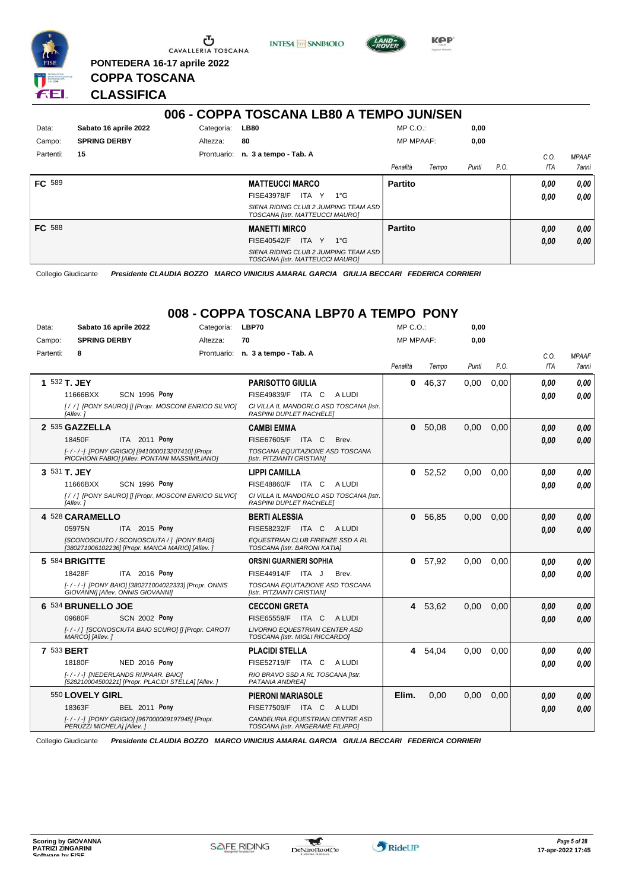

**PONTEDERA 16-17 aprile 2022**

**INTESA** M SANPAOLO



**KPP** 

## **CLASSIFICA**

**COPPA TOSCANA**

|               |                       |             | 006 - COPPA TOSCANA LB80 A TEMPO JUN/SEN                                |                  |       |       |      |      |              |
|---------------|-----------------------|-------------|-------------------------------------------------------------------------|------------------|-------|-------|------|------|--------------|
| Data:         | Sabato 16 aprile 2022 | Categoria:  | <b>LB80</b>                                                             | $MP C. O.$ :     |       | 0,00  |      |      |              |
| Campo:        | <b>SPRING DERBY</b>   | Altezza:    | 80                                                                      | <b>MP MPAAF:</b> |       | 0,00  |      |      |              |
| Partenti:     | 15                    | Prontuario: | n. 3 a tempo - Tab. A                                                   |                  |       |       |      | C.0  | <b>MPAAF</b> |
|               |                       |             |                                                                         | Penalità         | Tempo | Punti | P.O. | ITA  | 7anni        |
| <b>FC</b> 589 |                       |             | <b>MATTEUCCI MARCO</b>                                                  | <b>Partito</b>   |       |       |      | 0.00 | 0,00         |
|               |                       |             | <b>FISE43978/F</b><br>ITA Y<br>1°G                                      |                  |       |       |      | 0.00 | 0.00         |
|               |                       |             | SIENA RIDING CLUB 2 JUMPING TEAM ASD<br>TOSCANA [Istr. MATTEUCCI MAURO] |                  |       |       |      |      |              |
| <b>FC</b> 588 |                       |             | <b>MANETTI MIRCO</b>                                                    | <b>Partito</b>   |       |       |      | 0,00 | 0,00         |
|               |                       |             | <b>FISE40542/F</b><br>ITA Y<br>$1^{\circ}$ G                            |                  |       |       |      | 0,00 | 0,00         |
|               |                       |             | SIENA RIDING CLUB 2 JUMPING TEAM ASD<br>TOSCANA [Istr. MATTEUCCI MAURO] |                  |       |       |      |      |              |

Collegio Giudicante *Presidente CLAUDIA BOZZO MARCO VINICIUS AMARAL GARCIA GIULIA BECCARI FEDERICA CORRIERI*

## **008 - COPPA TOSCANA LBP70 A TEMPO PONY**

| Data:     | Sabato 16 aprile 2022                                                                             | Categoria: | LBP70                                                                     | $MP C. O.$ :     |           | 0,00  |      |            |              |
|-----------|---------------------------------------------------------------------------------------------------|------------|---------------------------------------------------------------------------|------------------|-----------|-------|------|------------|--------------|
| Campo:    | <b>SPRING DERBY</b>                                                                               | Altezza:   | 70                                                                        | <b>MP MPAAF:</b> |           | 0,00  |      |            |              |
| Partenti: | 8                                                                                                 |            | Prontuario: n. 3 a tempo - Tab. A                                         |                  |           |       |      | C.O.       | <b>MPAAF</b> |
|           |                                                                                                   |            |                                                                           | Penalità         | Tempo     | Punti | P.O. | <b>ITA</b> | 7anni        |
|           | 1 532 T. JEY                                                                                      |            | <b>PARISOTTO GIULIA</b>                                                   | $\bf{0}$         | 46,37     | 0,00  | 0,00 | 0.00       | 0,00         |
|           | <b>SCN 1996 Pony</b><br>11666BXX                                                                  |            | FISE49839/F ITA C<br>A LUDI                                               |                  |           |       |      | 0.00       | 0.00         |
|           | [//] [PONY SAURO] [] [Propr. MOSCONI ENRICO SILVIO]<br>[Allev.]                                   |            | CI VILLA IL MANDORLO ASD TOSCANA [Istr.<br><b>RASPINI DUPLET RACHELET</b> |                  |           |       |      |            |              |
|           | 2 535 GAZZELLA                                                                                    |            | <b>CAMBI EMMA</b>                                                         | 0                | 50,08     | 0,00  | 0,00 | 0.00       | 0,00         |
|           | ITA 2011 Pony<br>18450F                                                                           |            | FISE67605/F<br>ITA C<br>Brev.                                             |                  |           |       |      | 0.00       | 0.00         |
|           | [-/-/-] [PONY GRIGIO] [941000013207410] [Propr.<br>PICCHIONI FABIO] [Allev. PONTANI MASSIMILIANO] |            | TOSCANA EQUITAZIONE ASD TOSCANA<br>[Istr. PITZIANTI CRISTIAN]             |                  |           |       |      |            |              |
|           | 3 531 T. JEY                                                                                      |            | <b>LIPPI CAMILLA</b>                                                      | 0                | 52,52     | 0,00  | 0,00 | 0.00       | 0,00         |
|           | <b>SCN 1996 Pony</b><br>11666BXX                                                                  |            | <b>FISE48860/F ITA C</b><br>A LUDI                                        |                  |           |       |      | 0.00       | 0.00         |
|           | [//] [PONY SAURO] [] [Propr. MOSCONI ENRICO SILVIO]<br>[Allev.]                                   |            | CI VILLA IL MANDORLO ASD TOSCANA [Istr.<br>RASPINI DUPLET RACHELE]        |                  |           |       |      |            |              |
|           | 4 528 CARAMELLO                                                                                   |            | <b>BERTI ALESSIA</b>                                                      | 0                | 56,85     | 0,00  | 0,00 | 0,00       | 0,00         |
|           | ITA 2015 Pony<br>05975N                                                                           |            | FISE58232/F ITA C<br>A LUDI                                               |                  |           |       |      | 0.00       | 0.00         |
|           | [SCONOSCIUTO / SCONOSCIUTA / ] [PONY BAIO]<br>[380271006102236] [Propr. MANCA MARIO] [Allev. ]    |            | EQUESTRIAN CLUB FIRENZE SSD A RL<br>TOSCANA [Istr. BARONI KATIA]          |                  |           |       |      |            |              |
|           | 5 584 BRIGITTE                                                                                    |            | <b>ORSINI GUARNIERI SOPHIA</b>                                            |                  | 0, 57, 92 | 0.00  | 0.00 | 0.00       | 0.00         |
|           | 18428F<br>ITA 2016 Pony                                                                           |            | FISE44914/F ITA J<br>Brev.                                                |                  |           |       |      | 0.00       | 0.00         |
|           | [-/-/-] [PONY BAIO] [380271004022333] [Propr. ONNIS<br>GIOVANNI] [Allev. ONNIS GIOVANNI]          |            | TOSCANA EQUITAZIONE ASD TOSCANA<br>[Istr. PITZIANTI CRISTIAN]             |                  |           |       |      |            |              |
|           | 6 534 BRUNELLO JOE                                                                                |            | <b>CECCONI GRETA</b>                                                      |                  | 4 53,62   | 0,00  | 0,00 | 0.00       | 0,00         |
|           | 09680F<br><b>SCN 2002 Pony</b>                                                                    |            | <b>FISE65559/F</b><br>ITA C<br>A LUDI                                     |                  |           |       |      | 0.00       | 0,00         |
|           | [-/-/] [SCONOSCIUTA BAIO SCURO] [] [Propr. CAROTI<br>MARCO] [Allev.]                              |            | <b>LIVORNO EQUESTRIAN CENTER ASD</b><br>TOSCANA [Istr. MIGLI RICCARDO]    |                  |           |       |      |            |              |
|           | 7 533 <b>BERT</b>                                                                                 |            | <b>PLACIDI STELLA</b>                                                     |                  | 4 54,04   | 0,00  | 0,00 | 0.00       | 0.00         |
|           | <b>NED 2016 Pony</b><br>18180F                                                                    |            | FISE52719/F ITA C<br>A LUDI                                               |                  |           |       |      | 0.00       | 0.00         |
|           | [-/-/-] [NEDERLANDS RIJPAAR. BAIO]<br>[528210004500221] [Propr. PLACIDI STELLA] [Allev. ]         |            | RIO BRAVO SSD A RL TOSCANA [Istr.<br>PATANIA ANDREAI                      |                  |           |       |      |            |              |
|           | 550 LOVELY GIRL                                                                                   |            | <b>PIERONI MARIASOLE</b>                                                  | Elim.            | 0,00      | 0,00  | 0,00 | 0.00       | 0,00         |
|           | 18363F<br><b>BEL 2011 Pony</b>                                                                    |            | FISE77509/F ITA C<br>A LUDI                                               |                  |           |       |      | 0.00       | 0.00         |
|           | [-/-/-] [PONY GRIGIO] [967000009197945] [Propr.<br>PERUZZI MICHELA] [Allev.]                      |            | CANDELIRIA EQUESTRIAN CENTRE ASD<br>TOSCANA [Istr. ANGERAME FILIPPO]      |                  |           |       |      |            |              |

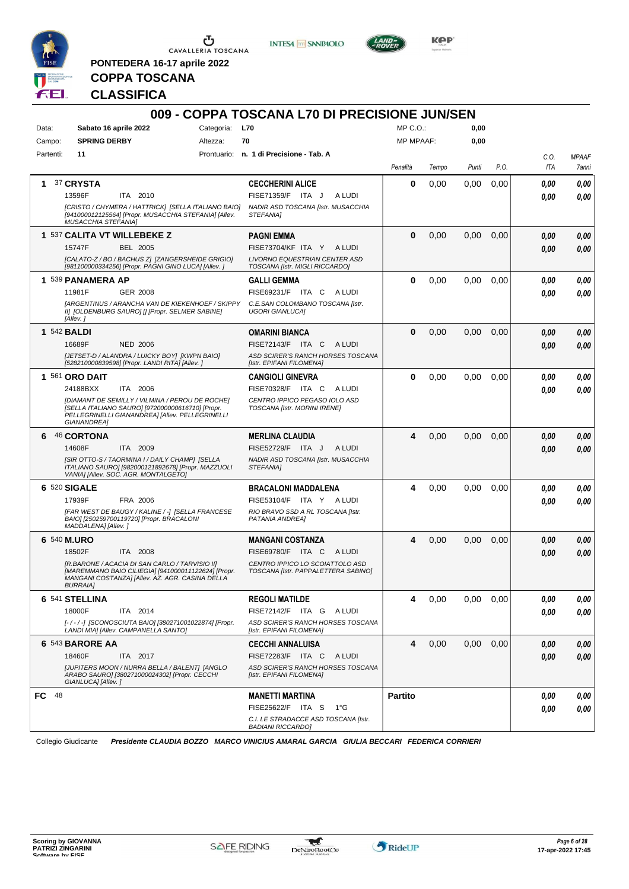

**PONTEDERA 16-17 aprile 2022**

**INTESA** M SANPAOLO



**Kep** 

## **COPPA TOSCANA CLASSIFICA**

| Categoria:<br><b>L70</b><br>Data:<br>Sabato 16 aprile 2022<br><b>SPRING DERBY</b><br>70<br>Campo:<br>Altezza:                                                                                                                                                                                 | $MP C. O.$ :     |       |       |      |             |                       |
|-----------------------------------------------------------------------------------------------------------------------------------------------------------------------------------------------------------------------------------------------------------------------------------------------|------------------|-------|-------|------|-------------|-----------------------|
|                                                                                                                                                                                                                                                                                               |                  |       | 0,00  |      |             |                       |
| Partenti:<br>11<br>Prontuario: n. 1 di Precisione - Tab. A                                                                                                                                                                                                                                    | <b>MP MPAAF:</b> |       | 0,00  |      |             |                       |
|                                                                                                                                                                                                                                                                                               | Penalità         | Tempo | Punti | P.O. | C.O.<br>ITA | <b>MPAAF</b><br>7anni |
| 37 CRYSTA<br><b>CECCHERINI ALICE</b><br>1<br>A LUDI                                                                                                                                                                                                                                           | $\bf{0}$         | 0,00  | 0,00  | 0,00 | 0,00        | 0,00                  |
| 13596F<br>ITA 2010<br>FISE71359/F ITA J<br>[CRISTO / CHYMERA / HATTRICK] [SELLA ITALIANO BAIO]<br>NADIR ASD TOSCANA [Istr. MUSACCHIA<br>[941000012125564] [Propr. MUSACCHIA STEFANIA] [Allev.<br>STEFANIA1<br><b>MUSACCHIA STEFANIAI</b>                                                      |                  |       |       |      | 0.00        | 0,00                  |
| 1 537 CALITA VT WILLEBEKE Z<br><b>PAGNI EMMA</b>                                                                                                                                                                                                                                              | $\bf{0}$         | 0,00  | 0,00  | 0,00 | 0,00        | 0,00                  |
| 15747F<br><b>BEL 2005</b><br>FISE73704/KF ITA Y ALUDI<br>[CALATO-Z / BO / BACHUS Z] [ZANGERSHEIDE GRIGIO]<br>LIVORNO EQUESTRIAN CENTER ASD<br>[981100000334256] [Propr. PAGNI GINO LUCA] [Allev. ]<br>TOSCANA [Istr. MIGLI RICCARDO]                                                          |                  |       |       |      | 0.00        | 0,00                  |
| 1 539 PANAMERA AP<br><b>GALLI GEMMA</b>                                                                                                                                                                                                                                                       | $\bf{0}$         | 0,00  | 0,00  | 0,00 | 0.00        | 0,00                  |
| 11981F<br><b>GER 2008</b><br>FISE69231/F ITA C<br>A LUDI                                                                                                                                                                                                                                      |                  |       |       |      | 0.00        | 0,00                  |
| <b>JARGENTINUS / ARANCHA VAN DE KIEKENHOEF / SKIPPY</b><br>C.E.SAN COLOMBANO TOSCANA [Istr.<br>II] [OLDENBURG SAURO] [] [Propr. SELMER SABINE]<br><b>UGORI GIANLUCA]</b><br>[Allev.]                                                                                                          |                  |       |       |      |             |                       |
| <b>1 542 BALDI</b><br><b>OMARINI BIANCA</b>                                                                                                                                                                                                                                                   | $\bf{0}$         | 0,00  | 0,00  | 0,00 | 0,00        | 0,00                  |
| <b>NED 2006</b><br>FISE72143/F ITA C<br>16689F<br>A LUDI                                                                                                                                                                                                                                      |                  |       |       |      | 0.00        | 0,00                  |
| [JETSET-D / ALANDRA / LUICKY BOY] [KWPN BAIO]<br>ASD SCIRER'S RANCH HORSES TOSCANA<br>[528210000839598] [Propr. LANDI RITA] [Allev.]<br>[Istr. EPIFANI FILOMENA]                                                                                                                              |                  |       |       |      |             |                       |
| <b>1 561 ORO DAIT</b><br><b>CANGIOLI GINEVRA</b>                                                                                                                                                                                                                                              | $\bf{0}$         | 0,00  | 0.00  | 0,00 | 0.00        | 0,00                  |
| 24188BXX<br>ITA 2006<br>FISE70328/F ITA C<br>A LUDI<br>[DIAMANT DE SEMILLY / VILMINA / PEROU DE ROCHE]<br>CENTRO IPPICO PEGASO IOLO ASD<br>[SELLA ITALIANO SAURO] [972000000616710] [Propr.<br>TOSCANA [Istr. MORINI IRENE]<br>PELLEGRINELLI GIANANDREA] [Allev. PELLEGRINELLI<br>GIANANDREA] |                  |       |       |      | 0.00        | 0,00                  |
| 46 CORTONA<br><b>MERLINA CLAUDIA</b><br>6                                                                                                                                                                                                                                                     | 4                | 0,00  | 0,00  | 0,00 | 0,00        | 0,00                  |
| 14608F<br>ITA 2009<br>FISE52729/F ITA J<br>A LUDI                                                                                                                                                                                                                                             |                  |       |       |      | 0.00        | 0,00                  |
| [SIR OTTO-S / TAORMINA I / DAILY CHAMP] [SELLA<br>NADIR ASD TOSCANA [Istr. MUSACCHIA<br>ITALIANO SAURO] [982000121892678] [Propr. MAZZUOLI<br>STEFANIA]<br>VANIA] [Allev. SOC. AGR. MONTALGETO]                                                                                               |                  |       |       |      |             |                       |
| <b>6 520 SIGALE</b><br><b>BRACALONI MADDALENA</b>                                                                                                                                                                                                                                             | 4                | 0,00  | 0,00  | 0,00 | 0.00        | 0,00                  |
| 17939F<br>FRA 2006<br>FISE53104/F ITA Y ALUDI                                                                                                                                                                                                                                                 |                  |       |       |      | 0.00        | 0,00                  |
| [FAR WEST DE BAUGY / KALINE / -] [SELLA FRANCESE<br>RIO BRAVO SSD A RL TOSCANA [Istr.<br>BAIO] [250259700119720] [Propr. BRACALONI<br>PATANIA ANDREA]<br>MADDALENA] [Allev. ]                                                                                                                 |                  |       |       |      |             |                       |
| 6 540 M.URO<br><b>MANGANI COSTANZA</b>                                                                                                                                                                                                                                                        | 4                | 0,00  | 0,00  | 0,00 | 0,00        | 0,00                  |
| 18502F<br>ITA 2008<br>FISE69780/F ITA C<br>A LUDI                                                                                                                                                                                                                                             |                  |       |       |      | 0,00        | 0,00                  |
| IR.BARONE / ACACIA DI SAN CARLO / TARVISIO III<br>CENTRO IPPICO LO SCOIATTOLO ASD<br>[MAREMMANO BAIO CILIEGIA] [941000011122624] [Propr.<br>TOSCANA [Istr. PAPPALETTERA SABINO]<br>MANGANI COSTANZA] [Allev. AZ. AGR. CASINA DELLA<br><b>BURRAIA</b>                                          |                  |       |       |      |             |                       |
| 6 541 STELLINA<br><b>REGOLI MATILDE</b>                                                                                                                                                                                                                                                       | 4                | 0,00  | 0,00  | 0.00 | 0.00        | 0,00                  |
| 18000F<br>ITA 2014<br>FISE72142/F ITA G ALUDI                                                                                                                                                                                                                                                 |                  |       |       |      | 0.00        | 0,00                  |
| [-/-/-] [SCONOSCIUTA BAIO] [380271001022874] [Propr.<br>ASD SCIRER'S RANCH HORSES TOSCANA<br>LANDI MIA] [Allev. CAMPANELLA SANTO]<br>[Istr. EPIFANI FILOMENA]                                                                                                                                 |                  |       |       |      |             |                       |
| 6 543 BARORE AA<br><b>CECCHI ANNALUISA</b>                                                                                                                                                                                                                                                    | 4                | 0,00  | 0,00  | 0,00 | 0,00        | 0,00                  |
| 18460F<br>FISE72283/F ITA C<br>A LUDI<br>ITA 2017<br>[JUPITERS MOON / NURRA BELLA / BALENT] [ANGLO<br>ASD SCIRER'S RANCH HORSES TOSCANA                                                                                                                                                       |                  |       |       |      | 0,00        | 0,00                  |
| ARABO SAURO] [380271000024302] [Propr. CECCHI<br>[Istr. EPIFANI FILOMENA]<br>GIANLUCA] [Allev.]                                                                                                                                                                                               |                  |       |       |      |             |                       |
| $FC$ 48<br><b>MANETTI MARTINA</b>                                                                                                                                                                                                                                                             | <b>Partito</b>   |       |       |      | 0,00        | 0,00                  |
| FISE25622/F ITA S<br>1°G                                                                                                                                                                                                                                                                      |                  |       |       |      | 0,00        | 0,00                  |
| C.I. LE STRADACCE ASD TOSCANA [Istr.<br><b>BADIANI RICCARDOI</b>                                                                                                                                                                                                                              |                  |       |       |      |             |                       |

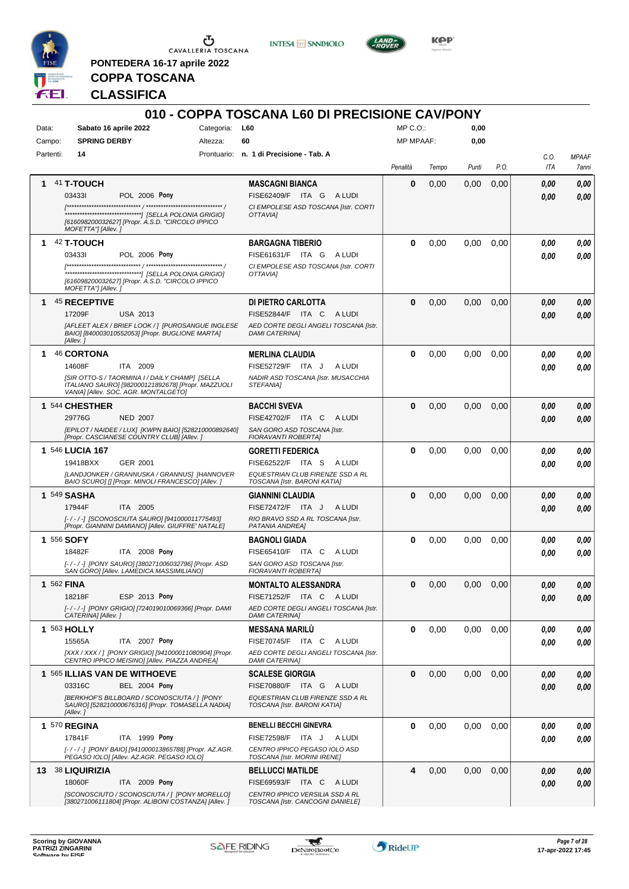

**PONTEDERA 16-17 aprile 2022**

**INTESA M** SANPAOLO



**Kep** 

## **COPPA TOSCANA CLASSIFICA**

|                 |                                                                                                                                              |                        | 010 - COPPA TOSCANA L60 DI PRECISIONE CAV/PONY                      |                              |       |              |      |             |                              |
|-----------------|----------------------------------------------------------------------------------------------------------------------------------------------|------------------------|---------------------------------------------------------------------|------------------------------|-------|--------------|------|-------------|------------------------------|
| Data:<br>Campo: | Sabato 16 aprile 2022<br><b>SPRING DERBY</b>                                                                                                 | Categoria:<br>Altezza: | L60<br>60                                                           | MP C.O.:<br><b>MP MPAAF:</b> |       | 0,00<br>0,00 |      |             |                              |
| Partenti:       | 14                                                                                                                                           |                        | Prontuario: n. 1 di Precisione - Tab. A                             |                              |       |              |      |             |                              |
|                 |                                                                                                                                              |                        |                                                                     | Penalità                     | Tempo | Punti        | P.O. | C.O.<br>ITA | <b>MPAAF</b><br><b>7anni</b> |
| 1               | 41 T-TOUCH                                                                                                                                   |                        | <b>MASCAGNI BIANCA</b>                                              | 0                            | 0,00  | 0,00         | 0,00 | 0,00        | 0.00                         |
|                 | 034331<br><b>POL 2006 Pony</b>                                                                                                               |                        | FISE62409/F ITA G ALUDI                                             |                              |       |              |      | 0.00        | 0,00                         |
|                 | [616098200032627] [Propr. A.S.D. "CIRCOLO IPPICO<br>MOFETTA"] [Allev. ]                                                                      |                        | CI EMPOLESE ASD TOSCANA [Istr. CORTI<br>OTTAVIAI                    |                              |       |              |      |             |                              |
|                 | $142$ T-TOUCH                                                                                                                                |                        | <b>BARGAGNA TIBERIO</b>                                             | 0                            | 0,00  | 0,00         | 0,00 | 0,00        | 0,00                         |
|                 | 034331<br>POL 2006 Pony                                                                                                                      |                        | FISE61631/F ITA G<br>A LUDI                                         |                              |       |              |      | 0.00        | 0.00                         |
|                 | [616098200032627] [Propr. A.S.D. "CIRCOLO IPPICO<br>MOFETTA"] [Allev.]                                                                       |                        | CI EMPOLESE ASD TOSCANA [Istr. CORTI<br>OTTAVIA]                    |                              |       |              |      |             |                              |
| 1               | 45 RECEPTIVE                                                                                                                                 |                        | DI PIETRO CARLOTTA                                                  | $\bf{0}$                     | 0,00  | 0,00         | 0,00 | 0,00        | 0,00                         |
|                 | 17209F<br><b>USA 2013</b>                                                                                                                    |                        | FISE52844/F ITA C<br>A LUDI                                         |                              |       |              |      | 0,00        | 0.00                         |
|                 | [AFLEET ALEX / BRIEF LOOK / ] [PUROSANGUE INGLESE<br>BAIO] [840003010552053] [Propr. BUGLIONE MARTA]<br>[Allev.]                             |                        | AED CORTE DEGLI ANGELI TOSCANA [Istr.<br><b>DAMI CATERINA1</b>      |                              |       |              |      |             |                              |
| 1.              | 46 CORTONA                                                                                                                                   |                        | <b>MERLINA CLAUDIA</b>                                              | 0                            | 0,00  | 0,00         | 0.00 | 0.00        | 0,00                         |
|                 | 14608F<br>ITA 2009                                                                                                                           |                        | FISE52729/F ITA J<br>A LUDI                                         |                              |       |              |      | 0.00        | 0.00                         |
|                 | [SIR OTTO-S / TAORMINA I / DAILY CHAMP] [SELLA<br>ITALIANO SAURO] [982000121892678] [Propr. MAZZUOLI<br>VANIA] [Allev. SOC. AGR. MONTALGETO] |                        | NADIR ASD TOSCANA [Istr. MUSACCHIA<br>STEFANIA]                     |                              |       |              |      |             |                              |
|                 | 1 544 CHESTHER                                                                                                                               |                        | <b>BACCHI SVEVA</b>                                                 | $\bf{0}$                     | 0,00  | 0,00         | 0,00 | 0,00        | 0,00                         |
|                 | 29776G<br><b>NED 2007</b>                                                                                                                    |                        | FISE42702/F ITA C<br>A LUDI                                         |                              |       |              |      | 0.00        | 0.00                         |
|                 | [EPILOT / NAIDEE / LUX] [KWPN BAIO] [528210000892640]<br>[Propr. CASCIANESE COUNTRY CLUB] [Allev.]                                           |                        | SAN GORO ASD TOSCANA [Istr.<br>FIORAVANTI ROBERTA]                  |                              |       |              |      |             |                              |
|                 | 1 546 LUCIA 167                                                                                                                              |                        | <b>GORETTI FEDERICA</b>                                             | 0                            | 0,00  | 0,00         | 0.00 | 0,00        | 0,00                         |
|                 | <b>GER 2001</b><br>19418BXX                                                                                                                  |                        | FISE62522/F ITA S<br>A LUDI                                         |                              |       |              |      | 0.00        | 0.00                         |
|                 | [LANDJONKER / GRANNUSKA / GRANNUS] [HANNOVER<br>BAIO SCURO] [] [Propr. MINOLI FRANCESCO] [Allev. ]                                           |                        | EQUESTRIAN CLUB FIRENZE SSD A RL<br>TOSCANA [Istr. BARONI KATIA]    |                              |       |              |      |             |                              |
| 1 549 SASHA     |                                                                                                                                              |                        | <b>GIANNINI CLAUDIA</b>                                             | $\bf{0}$                     | 0,00  | 0,00         | 0,00 | 0,00        | 0,00                         |
|                 | 17944F<br>ITA 2005                                                                                                                           |                        | FISE72472/F ITA J<br>A LUDI                                         |                              |       |              |      | 0,00        | 0,00                         |
|                 | [-/-/-] [SCONOSCIUTA SAURO] [941000011775493]<br>[Propr. GIANNINI DAMIANO] [Allev. GIUFFRE' NATALE]                                          |                        | RIO BRAVO SSD A RL TOSCANA [Istr.<br>PATANIA ANDREA]                |                              |       |              |      |             |                              |
| 1 556 SOFY      |                                                                                                                                              |                        | <b>BAGNOLI GIADA</b>                                                | 0                            | 0,00  | 0,00         | 0,00 | 0,00        | 0,00                         |
|                 | 18482F<br>ITA 2008 Pony                                                                                                                      |                        | FISE65410/F ITA C<br>A LUDI                                         |                              |       |              |      | 0,00        | 0.00                         |
|                 | [-/-/-] [PONY SAURO] [380271006032796] [Propr. ASD<br>SAN GOROJ [Allev. LAMEDICA MASSIMILIANO]                                               |                        | SAN GORO ASD TOSCANA [Istr.<br>FIORAVANTI ROBERTA]                  |                              |       |              |      |             |                              |
| 1 562 FINA      |                                                                                                                                              |                        | <b>MONTALTO ALESSANDRA</b>                                          | $\bf{0}$                     | 0,00  | 0,00         | 0,00 | 0,00        | 0,00                         |
|                 | 18218F<br>ESP 2013 Pony                                                                                                                      |                        | FISE71252/F ITA C<br>A LUDI                                         |                              |       |              |      | 0,00        | 0,00                         |
|                 | [-/-/-] [PONY GRIGIO] [724019010069366] [Propr. DAMI<br>CATERINA] [Allev.]                                                                   |                        | AED CORTE DEGLI ANGELI TOSCANA [Istr.<br><b>DAMI CATERINA]</b>      |                              |       |              |      |             |                              |
| 1 563 HOLLY     |                                                                                                                                              |                        | <b>MESSANA MARILU</b>                                               | 0                            | 0,00  | 0,00         | 0.00 | 0,00        | 0,00                         |
|                 | ITA 2007 Pony<br>15565A                                                                                                                      |                        | FISE70745/F ITA C<br>A LUDI                                         |                              |       |              |      | 0,00        | 0,00                         |
|                 | [XXX / XXX / ] [PONY GRIGIO] [941000011080904] [Propr.<br>CENTRO IPPICO MEISINO] [Allev. PIAZZA ANDREA]                                      |                        | AED CORTE DEGLI ANGELI TOSCANA [Istr.<br><b>DAMI CATERINA]</b>      |                              |       |              |      |             |                              |
|                 | 1 565 ILLIAS VAN DE WITHOEVE                                                                                                                 |                        | <b>SCALESE GIORGIA</b>                                              | 0                            | 0,00  | 0,00         | 0,00 | 0,00        | 0,00                         |
|                 | <b>BEL 2004 Pony</b><br>03316C                                                                                                               |                        | FISE70880/F ITA G ALUDI                                             |                              |       |              |      | 0,00        | 0,00                         |
|                 | [BERKHOF'S BILLBOARD / SCONOSCIUTA / ] [PONY<br>SAURO] [528210000676316] [Propr. TOMASELLA NADIA]<br>[Allev.]                                |                        | EQUESTRIAN CLUB FIRENZE SSD A RL<br>TOSCANA [Istr. BARONI KATIA]    |                              |       |              |      |             |                              |
|                 | 1 570 REGINA                                                                                                                                 |                        | <b>BENELLI BECCHI GINEVRA</b>                                       | 0                            | 0,00  | 0,00         | 0,00 | 0,00        | 0,00                         |
|                 | ITA 1999 Pony<br>17841F                                                                                                                      |                        | FISE72598/F ITA J<br>A LUDI                                         |                              |       |              |      | 0,00        | 0,00                         |
|                 | [- / - / -] [PONY BAIO] [941000013865788] [Propr. AZ.AGR.<br>PEGASO IOLO] [Allev. AZ.AGR. PEGASO IOLO]                                       |                        | CENTRO IPPICO PEGASO IOLO ASD<br>TOSCANA [Istr. MORINI IRENE]       |                              |       |              |      |             |                              |
|                 | 13 38 LIQUIRIZIA                                                                                                                             |                        | <b>BELLUCCI MATILDE</b>                                             | 4                            | 0,00  | 0,00         | 0,00 | 0,00        | 0,00                         |
|                 | 18060F<br>ITA 2009 Pony                                                                                                                      |                        | FISE69593/F ITA C<br>A LUDI                                         |                              |       |              |      | 0,00        | 0,00                         |
|                 | [SCONOSCIUTO / SCONOSCIUTA / ] [PONY MORELLO]<br>[380271006111804] [Propr. ALIBONI COSTANZA] [Allev. ]                                       |                        | CENTRO IPPICO VERSILIA SSD A RL<br>TOSCANA [Istr. CANCOGNI DANIELE] |                              |       |              |      |             |                              |

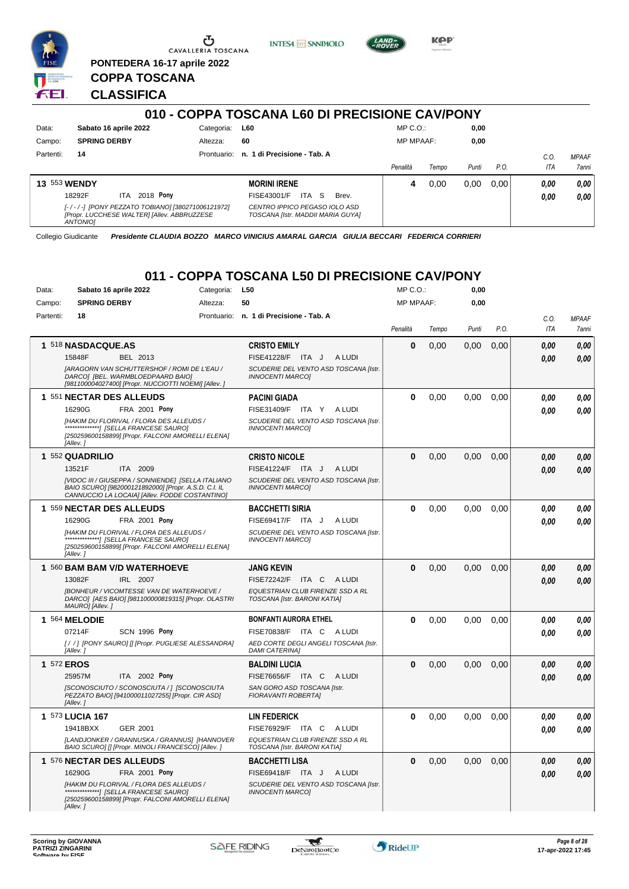





**PONTEDERA 16-17 aprile 2022 COPPA TOSCANA** FEI.

## **CLASSIFICA**

|                     |                                                                                                                    |             | 010 - COPPA TOSCANA L60 DI PRECISIONE CAV/PONY                     |                  |       |       |      |              |                                     |
|---------------------|--------------------------------------------------------------------------------------------------------------------|-------------|--------------------------------------------------------------------|------------------|-------|-------|------|--------------|-------------------------------------|
| Data:               | Sabato 16 aprile 2022                                                                                              | Categoria:  | <b>L60</b>                                                         | $MP C. O.$ :     |       | 0,00  |      |              |                                     |
| Campo:              | <b>SPRING DERBY</b>                                                                                                | Altezza:    | 60                                                                 | <b>MP MPAAF:</b> |       | 0,00  |      |              |                                     |
| Partenti:           | 14                                                                                                                 | Prontuario: | n. 1 di Precisione - Tab. A                                        | Penalità         | Tempo | Punti | P.O. | C.O<br>ITA   | <b>MPAAF</b><br><i><b>7anni</b></i> |
| <b>13 553 WENDY</b> | 2018 Pony<br>18292F<br>ITA.                                                                                        |             | <b>MORINI IRENE</b><br>-S<br>ITA<br>FISE43001/F<br>Brev.           | 4                | 0.00  | 0.00  | 0.00 | 0.00<br>0.00 | 0,00<br>0,00                        |
|                     | [-/-/-] [PONY PEZZATO TOBIANO] [380271006121972]<br>[Propr. LUCCHESE WALTER] [Allev. ABBRUZZESE<br><b>ANTONIOI</b> |             | CENTRO IPPICO PEGASO IOLO ASD<br>TOSCANA [Istr. MADDII MARIA GUYA] |                  |       |       |      |              |                                     |

Collegio Giudicante *Presidente CLAUDIA BOZZO MARCO VINICIUS AMARAL GARCIA GIULIA BECCARI FEDERICA CORRIERI*

## **011 - COPPA TOSCANA L50 DI PRECISIONE CAV/PONY**

| Data:     | Sabato 16 aprile 2022                                                                                                                                        | Categoria:  | L50                                                              | MP C. O.         |       | 0,00  |      |            |              |
|-----------|--------------------------------------------------------------------------------------------------------------------------------------------------------------|-------------|------------------------------------------------------------------|------------------|-------|-------|------|------------|--------------|
| Campo:    | <b>SPRING DERBY</b>                                                                                                                                          | Altezza:    | 50                                                               | <b>MP MPAAF:</b> |       | 0,00  |      |            |              |
| Partenti: | 18                                                                                                                                                           | Prontuario: | n. 1 di Precisione - Tab. A                                      |                  |       |       |      | C.O.       | <b>MPAAF</b> |
|           |                                                                                                                                                              |             |                                                                  | Penalità         | Tempo | Punti | P.O. | <b>ITA</b> | 7anni        |
|           | 1 518 NASDACQUE.AS                                                                                                                                           |             | <b>CRISTO EMILY</b>                                              | $\mathbf 0$      | 0.00  | 0,00  | 0,00 | 0.00       | 0.00         |
|           | 15848F<br>BEL 2013                                                                                                                                           |             | FISE41228/F ITA J<br>A LUDI                                      |                  |       |       |      | 0.00       | 0.00         |
|           | [ARAGORN VAN SCHUTTERSHOF / ROMI DE L'EAU /<br>DARCO] [BEL. WARMBLOEDPAARD BAIO]<br>[981100004027400] [Propr. NUCCIOTTI NOEMI] [Allev.]                      |             | SCUDERIE DEL VENTO ASD TOSCANA [Istr.<br><b>INNOCENTI MARCOI</b> |                  |       |       |      |            |              |
|           | 1 551 NECTAR DES ALLEUDS                                                                                                                                     |             | <b>PACINI GIADA</b>                                              | $\bf{0}$         | 0,00  | 0,00  | 0,00 | 0.00       | 0,00         |
|           | 16290G<br><b>FRA 2001 Pony</b>                                                                                                                               |             | FISE31409/F ITA Y<br>A LUDI                                      |                  |       |       |      | 0.00       | 0.00         |
|           | [HAKIM DU FLORIVAL / FLORA DES ALLEUDS /<br>[250259600158899] [Propr. FALCONI AMORELLI ELENA]<br>[Allev. 1                                                   |             | SCUDERIE DEL VENTO ASD TOSCANA [Istr.<br>INNOCENTI MARCOI        |                  |       |       |      |            |              |
|           | 1 552 QUADRILIO                                                                                                                                              |             | <b>CRISTO NICOLE</b>                                             | $\bf{0}$         | 0,00  | 0,00  | 0,00 | 0.00       | 0,00         |
|           | 13521F<br>ITA 2009                                                                                                                                           |             | FISE41224/F ITA J<br>A LUDI                                      |                  |       |       |      | 0.00       | 0.00         |
|           | [VIDOC III / GIUSEPPA / SONNIENDE] [SELLA ITALIANO<br>BAIO SCURO] [982000121892000] [Propr. A.S.D. C.I. IL<br>CANNUCCIO LA LOCAIA] [Allev. FODDE COSTANTINO] |             | SCUDERIE DEL VENTO ASD TOSCANA [Istr.<br><b>INNOCENTI MARCOI</b> |                  |       |       |      |            |              |
|           | 1 559 NECTAR DES ALLEUDS                                                                                                                                     |             | <b>BACCHETTI SIRIA</b>                                           | $\bf{0}$         | 0.00  | 0.00  | 0.00 | 0,00       | 0,00         |
|           | 16290G<br>FRA 2001 Pony                                                                                                                                      |             | FISE69417/F ITA J<br>A LUDI                                      |                  |       |       |      | 0.00       | 0.00         |
|           | [HAKIM DU FLORIVAL / FLORA DES ALLEUDS /<br>*******************/ [SELLA FRANCESE SAURO]<br>[250259600158899] [Propr. FALCONI AMORELLI ELENA]<br>[Allev.]     |             | SCUDERIE DEL VENTO ASD TOSCANA [Istr.<br><b>INNOCENTI MARCO]</b> |                  |       |       |      |            |              |
|           | 1 560 BAM BAM V/D WATERHOEVE                                                                                                                                 |             | JANG KEVIN                                                       | $\bf{0}$         | 0,00  | 0.00  | 0,00 | 0.00       | 0,00         |
|           | 13082F<br>IRL 2007                                                                                                                                           |             | <b>FISE72242/F</b><br>ITA C<br>A LUDI                            |                  |       |       |      | 0.00       | 0.00         |
|           | <b>IBONHEUR / VICOMTESSE VAN DE WATERHOEVE /</b><br>DARCO] [AES BAIO] [981100000819315] [Propr. OLASTRI<br>MAURO] [Allev.]                                   |             | EQUESTRIAN CLUB FIRENZE SSD A RL<br>TOSCANA [Istr. BARONI KATIA] |                  |       |       |      |            |              |
|           | 1 564 MELODIE                                                                                                                                                |             | <b>BONFANTI AURORA ETHEL</b>                                     | $\bf{0}$         | 0.00  | 0.00  | 0.00 | 0.00       | 0,00         |
|           | 07214F<br><b>SCN 1996 Pony</b>                                                                                                                               |             | FISE70838/F ITA C<br>A LUDI                                      |                  |       |       |      | 0.00       | 0.00         |
|           | [//] [PONY SAURO] [] [Propr. PUGLIESE ALESSANDRA]<br>[Allev.]                                                                                                |             | AED CORTE DEGLI ANGELI TOSCANA [Istr.<br><b>DAMI CATERINA]</b>   |                  |       |       |      |            |              |
|           | 1 572 EROS                                                                                                                                                   |             | <b>BALDINI LUCIA</b>                                             | $\bf{0}$         | 0.00  | 0.00  | 0.00 | 0.00       | 0.00         |
|           | ITA 2002 Pony<br>25957M                                                                                                                                      |             | FISE76656/F ITA C<br>A LUDI                                      |                  |       |       |      | 0.00       | 0.00         |
|           | [SCONOSCIUTO / SCONOSCIUTA / ] [SCONOSCIUTA<br>PEZZATO BAIO] [941000011027255] [Propr. CIR ASD]<br>[Allev.]                                                  |             | SAN GORO ASD TOSCANA [Istr.<br>FIORAVANTI ROBERTA]               |                  |       |       |      |            |              |
|           | 1 573 LUCIA 167                                                                                                                                              |             | <b>LIN FEDERICK</b>                                              | $\mathbf 0$      | 0,00  | 0,00  | 0,00 | 0.00       | 0,00         |
|           | 19418BXX<br>GER 2001                                                                                                                                         |             | FISE76929/F ITA C<br>A LUDI                                      |                  |       |       |      | 0.00       | 0.00         |
|           | [LANDJONKER / GRANNUSKA / GRANNUS] [HANNOVER<br>BAIO SCURO] [] [Propr. MINOLI FRANCESCO] [Allev. ]                                                           |             | EQUESTRIAN CLUB FIRENZE SSD A RL<br>TOSCANA [Istr. BARONI KATIA] |                  |       |       |      |            |              |
|           | 1 576 NECTAR DES ALLEUDS                                                                                                                                     |             | BACCHETTI LISA                                                   | $\Omega$         | 0.00  | 0.00  | 0,00 | 0,00       | 0,00         |
|           | 16290G<br><b>FRA 2001 Pony</b>                                                                                                                               |             | FISE69418/F<br>A LUDI<br>ITA J                                   |                  |       |       |      | 0.00       | 0.00         |
|           | [HAKIM DU FLORIVAL / FLORA DES ALLEUDS /<br>********************/ [SELLA FRANCESE SAURO]<br>[250259600158899] [Propr. FALCONI AMORELLI ELENA]<br>[Allev.]    |             | SCUDERIE DEL VENTO ASD TOSCANA [Istr.<br><b>INNOCENTI MARCO]</b> |                  |       |       |      |            |              |

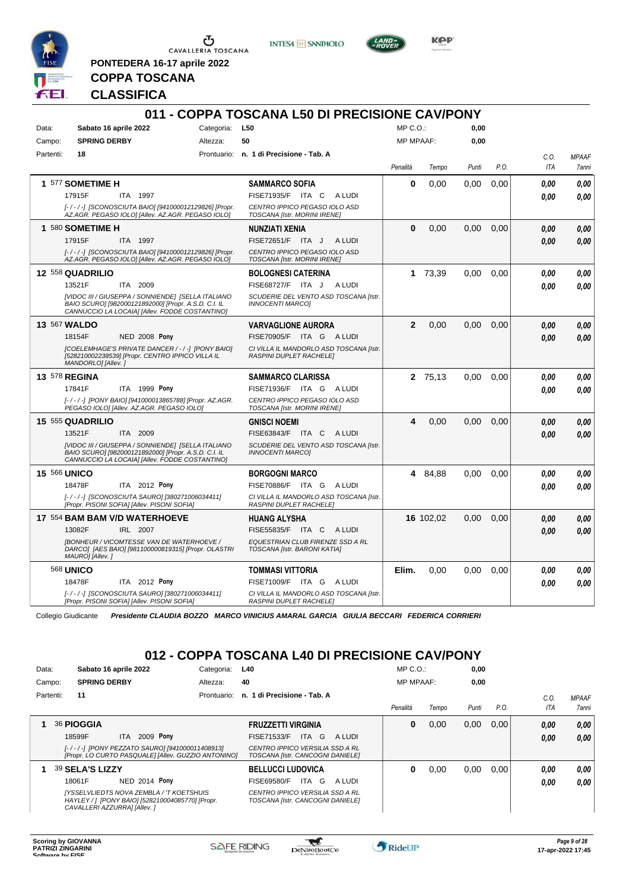

**PONTEDERA 16-17 aprile 2022**

**INTESA** M SANPAOLO



**Kep** 

**COPPA TOSCANA CLASSIFICA**

|                      |                                                                                                                                                              |                | 011 - COPPA TOSCANA L50 DI PRECISIONE CAV/PONY                     |                  |           |       |      |             |                       |
|----------------------|--------------------------------------------------------------------------------------------------------------------------------------------------------------|----------------|--------------------------------------------------------------------|------------------|-----------|-------|------|-------------|-----------------------|
| Data:                | Sabato 16 aprile 2022                                                                                                                                        | Categoria: L50 |                                                                    | $MP C. O.$ :     |           | 0.00  |      |             |                       |
| Campo:               | <b>SPRING DERBY</b>                                                                                                                                          | Altezza:       | 50                                                                 | <b>MP MPAAF:</b> |           | 0,00  |      |             |                       |
| Partenti:            | 18                                                                                                                                                           |                | Prontuario: n. 1 di Precisione - Tab. A                            | Penalità         | Tempo     | Punti | P.O. | C.O.<br>ITA | <b>MPAAF</b><br>7anni |
|                      | 1 577 SOMETIME H                                                                                                                                             |                | <b>SAMMARCO SOFIA</b>                                              | 0                | 0,00      | 0,00  | 0,00 | 0.00        | 0.00                  |
|                      | 17915F<br>ITA 1997                                                                                                                                           |                | FISE71935/F ITA C ALUDI                                            |                  |           |       |      | 0.00        | 0.00                  |
|                      | [-/-/-] [SCONOSCIUTA BAIO] [941000012129826] [Propr.<br>AZ.AGR. PEGASO IOLOI [Allev. AZ.AGR. PEGASO IOLO]                                                    |                | CENTRO IPPICO PEGASO IOLO ASD<br>TOSCANA [Istr. MORINI IRENE]      |                  |           |       |      |             |                       |
|                      | 1 580 SOMETIME H                                                                                                                                             |                | NUNZIATI XENIA                                                     | $\bf{0}$         | 0,00      | 0.00  | 0,00 | 0.00        | 0.00                  |
|                      | 17915F<br>ITA 1997                                                                                                                                           |                | <b>FISE72651/F</b><br>ITA J<br>A LUDI                              |                  |           |       |      | 0.00        | 0.00                  |
|                      | [-/-/-] [SCONOSCIUTA BAIO] [941000012129826] [Propr.<br>AZ.AGR. PEGASO IOLOI [Allev. AZ.AGR. PEGASO IOLO]                                                    |                | CENTRO IPPICO PEGASO IOLO ASD<br>TOSCANA [Istr. MORINI IRENE]      |                  |           |       |      |             |                       |
|                      | 12 558 QUADRILIO                                                                                                                                             |                | <b>BOLOGNESI CATERINA</b>                                          | 1.               | 73,39     | 0.00  | 0.00 | 0.00        | 0.00                  |
|                      | 13521F<br>ITA 2009                                                                                                                                           |                | FISE68727/F ITA J<br>A LUDI                                        |                  |           |       |      | 0,00        | 0.00                  |
|                      | [VIDOC III / GIUSEPPA / SONNIENDE] [SELLA ITALIANO<br>BAIO SCURO] [982000121892000] [Propr. A.S.D. C.I. IL<br>CANNUCCIO LA LOCAIA] [Allev. FODDE COSTANTINO] |                | SCUDERIE DEL VENTO ASD TOSCANA [Istr.<br><b>INNOCENTI MARCOI</b>   |                  |           |       |      |             |                       |
| 13 567 WALDO         |                                                                                                                                                              |                | <b>VARVAGLIONE AURORA</b>                                          | $\mathbf{2}$     | 0,00      | 0.00  | 0.00 | 0.00        | 0.00                  |
|                      | 18154F<br><b>NED 2008 Pony</b>                                                                                                                               |                | FISE70905/F ITA G ALUDI                                            |                  |           |       |      | 0.00        | 0.00                  |
|                      | [COELEMHAGE'S PRIVATE DANCER / - / -] [PONY BAIO]<br>[528210002238539] [Propr. CENTRO IPPICO VILLA IL<br>MANDORLO] [Allev.]                                  |                | CI VILLA IL MANDORLO ASD TOSCANA [Istr.<br>RASPINI DUPLET RACHELE] |                  |           |       |      |             |                       |
| <b>13 578 REGINA</b> |                                                                                                                                                              |                | <b>SAMMARCO CLARISSA</b>                                           |                  | 2 75,13   | 0.00  | 0.00 | 0.00        | 0.00                  |
|                      | 17841F<br>ITA 1999 Pony                                                                                                                                      |                | FISE71936/F ITA G ALUDI                                            |                  |           |       |      | 0.00        | 0.00                  |
|                      | [-/-/-] [PONY BAIO] [941000013865788] [Propr. AZ.AGR.<br>PEGASO IOLOI [Allev. AZ.AGR. PEGASO IOLO]                                                           |                | CENTRO IPPICO PEGASO IOLO ASD<br>TOSCANA [Istr. MORINI IRENE]      |                  |           |       |      |             |                       |
|                      | 15 555 QUADRILIO                                                                                                                                             |                | <b>GNISCI NOEMI</b>                                                | 4                | 0.00      | 0.00  | 0.00 | 0,00        | 0,00                  |
|                      | ITA 2009<br>13521F                                                                                                                                           |                | FISE63843/F ITA C ALUDI                                            |                  |           |       |      | 0.00        | 0.00                  |
|                      | [VIDOC III / GIUSEPPA / SONNIENDE] [SELLA ITALIANO<br>BAIO SCURO] [982000121892000] [Propr. A.S.D. C.I. IL<br>CANNUCCIO LA LOCAIA] [Allev. FODDE COSTANTINO] |                | SCUDERIE DEL VENTO ASD TOSCANA [Istr.<br><b>INNOCENTI MARCOI</b>   |                  |           |       |      |             |                       |
| <b>15 566 UNICO</b>  |                                                                                                                                                              |                | <b>BORGOGNI MARCO</b>                                              | 4                | 84,88     | 0.00  | 0.00 | 0.00        | 0.00                  |
|                      | 18478F<br>ITA 2012 Pony                                                                                                                                      |                | FISE70886/F ITA G ALUDI                                            |                  |           |       |      | 0.00        | 0.00                  |
|                      | [-/-/-] [SCONOSCIUTA SAURO] [380271006034411]<br>[Propr. PISONI SOFIA] [Allev. PISONI SOFIA]                                                                 |                | CI VILLA IL MANDORLO ASD TOSCANA [Istr.<br>RASPINI DUPLET RACHELE] |                  |           |       |      |             |                       |
|                      | 17 554 BAM BAM V/D WATERHOEVE                                                                                                                                |                | HUANG ALYSHA                                                       |                  | 16 102,02 | 0.00  | 0.00 | 0.00        | 0.00                  |
|                      | 13082F<br>IRL 2007                                                                                                                                           |                | FISE55835/F ITA C ALUDI                                            |                  |           |       |      | 0.00        | 0.00                  |
|                      | <b>IBONHEUR / VICOMTESSE VAN DE WATERHOEVE /</b><br>DARCO] [AES BAIO] [981100000819315] [Propr. OLASTRI<br>MAURO] [Allev.]                                   |                | EQUESTRIAN CLUB FIRENZE SSD A RL<br>TOSCANA [Istr. BARONI KATIA]   |                  |           |       |      |             |                       |
|                      | <b>568 UNICO</b>                                                                                                                                             |                | <b>TOMMASI VITTORIA</b>                                            | Elim.            | 0.00      | 0.00  | 0.00 | 0,00        | 0,00                  |
|                      | 18478F<br><b>ITA</b> 2012 Pony                                                                                                                               |                | FISE71009/F ITA G ALUDI                                            |                  |           |       |      | 0.00        | 0.00                  |
|                      | [-/-/-] [SCONOSCIUTA SAURO] [380271006034411]<br>[Propr. PISONI SOFIA] [Allev. PISONI SOFIA]                                                                 |                | CI VILLA IL MANDORLO ASD TOSCANA [Istr.<br>RASPINI DUPLET RACHELE] |                  |           |       |      |             |                       |

Collegio Giudicante *Presidente CLAUDIA BOZZO MARCO VINICIUS AMARAL GARCIA GIULIA BECCARI FEDERICA CORRIERI*

## **012 - COPPA TOSCANA L40 DI PRECISIONE CAV/PONY**

| Data:  |           |                     | Sabato 16 aprile 2022                                                                                                              | Categoria:  | L40                                                                 |        | $MP C. O.$ :     |       | 0,00  |      |      |              |
|--------|-----------|---------------------|------------------------------------------------------------------------------------------------------------------------------------|-------------|---------------------------------------------------------------------|--------|------------------|-------|-------|------|------|--------------|
| Campo: |           | <b>SPRING DERBY</b> |                                                                                                                                    | Altezza:    | 40                                                                  |        | <b>MP MPAAF:</b> |       | 0.00  |      |      |              |
|        | Partenti: | 11                  |                                                                                                                                    | Prontuario: | n. 1 di Precisione - Tab. A                                         |        |                  |       |       |      | C.0  | <b>MPAAF</b> |
|        |           |                     |                                                                                                                                    |             |                                                                     |        | Penalità         | Tempo | Punti | P.O. | ITA  | 7anni        |
|        |           | 36 PIOGGIA          |                                                                                                                                    |             | <b>FRUZZETTI VIRGINIA</b>                                           |        | 0                | 0,00  | 0,00  | 0,00 | 0,00 | 0,00         |
|        |           | 18599F              | 2009 Pony<br>ITA.                                                                                                                  |             | ITA G<br>FISE71533/F                                                | A LUDI |                  |       |       |      | 0.00 | 0,00         |
|        |           |                     | [-/-/-] [PONY PEZZATO SAURO] [941000011408913]<br>[Propr. LO CURTO PASQUALE] [Allev. GUZZIO ANTONINO]                              |             | CENTRO IPPICO VERSILIA SSD A RL<br>TOSCANA [Istr. CANCOGNI DANIELE] |        |                  |       |       |      |      |              |
|        |           | 39 SELA'S LIZZY     |                                                                                                                                    |             | <b>BELLUCCI LUDOVICA</b>                                            |        | 0                | 0.00  | 0,00  | 0.00 | 0.00 | 0.00         |
|        |           | 18061F              | NED 2014 Pony                                                                                                                      |             | ITA G<br>FISE69580/F                                                | A LUDI |                  |       |       |      | 0.00 | 0.00         |
|        |           |                     | <b>IYSSELVLIEDTS NOVA ZEMBLA / 'T KOETSHUIS</b><br>HAYLEY / 1 [PONY BAIO] [528210004085770] [Propr.<br>CAVALLERI AZZURRAI [Allev.] |             | CENTRO IPPICO VERSILIA SSD A RL<br>TOSCANA [Istr. CANCOGNI DANIELE] |        |                  |       |       |      |      |              |

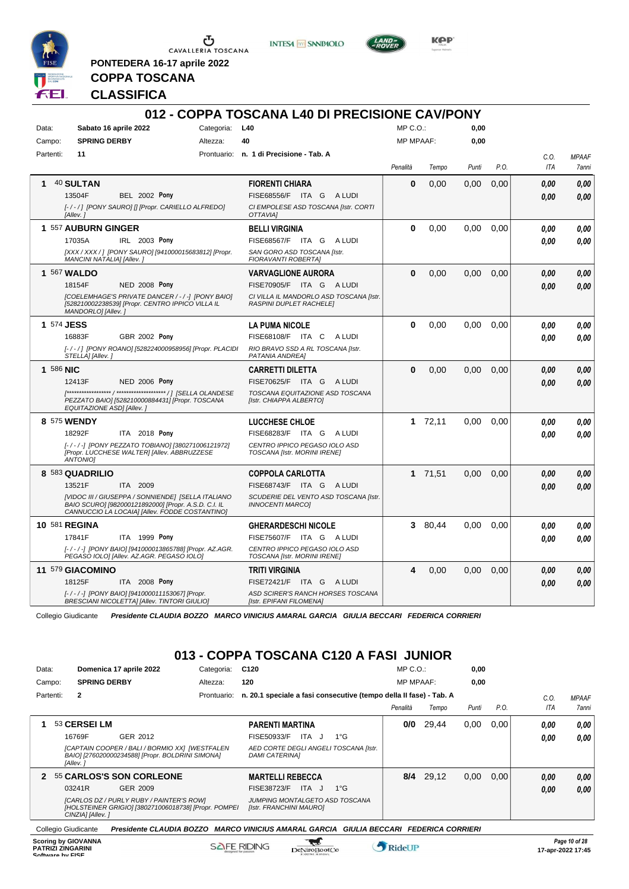

**PONTEDERA 16-17 aprile 2022**

**INTESA** M SANPAOLO



**Kep** 

**COPPA TOSCANA CLASSIFICA**

|            |                                                                                                                                                              |                | 012 - COPPA TOSCANA L40 DI PRECISIONE CAV/PONY                            |                  |         |       |      |                    |                       |
|------------|--------------------------------------------------------------------------------------------------------------------------------------------------------------|----------------|---------------------------------------------------------------------------|------------------|---------|-------|------|--------------------|-----------------------|
| Data:      | Sabato 16 aprile 2022                                                                                                                                        | Categoria: L40 |                                                                           | $MP C. O.$ :     |         | 0,00  |      |                    |                       |
| Campo:     | <b>SPRING DERBY</b>                                                                                                                                          | Altezza:       | 40                                                                        | <b>MP MPAAF:</b> |         | 0,00  |      |                    |                       |
| Partenti:  | 11                                                                                                                                                           |                | Prontuario: n. 1 di Precisione - Tab. A                                   | Penalità         | Tempo   | Punti | P.O. | C.O.<br><b>ITA</b> | <b>MPAAF</b><br>7anni |
| 1          | 40 SULTAN                                                                                                                                                    |                | <b>FIORENTI CHIARA</b>                                                    | 0                | 0,00    | 0,00  | 0,00 | 0.00               | 0.00                  |
|            | 13504F<br><b>BEL 2002 Pony</b>                                                                                                                               |                | FISE68556/F ITA G ALUDI                                                   |                  |         |       |      | 0.00               | 0.00                  |
|            | [-/-/] [PONY SAURO] [] [Propr. CARIELLO ALFREDO]<br>[Allev.]                                                                                                 |                | CI EMPOLESE ASD TOSCANA [Istr. CORTI<br>OTTAVIAI                          |                  |         |       |      |                    |                       |
|            | 1 557 AUBURN GINGER                                                                                                                                          |                | <b>BELLI VIRGINIA</b>                                                     | $\Omega$         | 0,00    | 0.00  | 0.00 | 0.00               | 0.00                  |
|            | IRL 2003 Pony<br>17035A                                                                                                                                      |                | FISE68567/F ITA G<br>A LUDI                                               |                  |         |       |      | 0.00               | 0.00                  |
|            | [XXX / XXX / ] [PONY SAURO] [941000015683812] [Propr.<br>MANCINI NATALIA] [Allev.]                                                                           |                | SAN GORO ASD TOSCANA [Istr.<br><b>FIORAVANTI ROBERTAI</b>                 |                  |         |       |      |                    |                       |
|            | 1 567 WALDO                                                                                                                                                  |                | <b>VARVAGLIONE AURORA</b>                                                 | $\Omega$         | 0.00    | 0.00  | 0.00 | 0.00               | 0.00                  |
|            | <b>NED 2008 Pony</b><br>18154F                                                                                                                               |                | FISE70905/F ITA G ALUDI                                                   |                  |         |       |      | 0.00               | 0.00                  |
|            | [COELEMHAGE'S PRIVATE DANCER / - / -] [PONY BAIO]<br>[528210002238539] [Propr. CENTRO IPPICO VILLA IL<br>MANDORLO] [Allev.]                                  |                | CI VILLA IL MANDORLO ASD TOSCANA [Istr.<br><b>RASPINI DUPLET RACHELE!</b> |                  |         |       |      |                    |                       |
| 1 574 JESS |                                                                                                                                                              |                | <b>LA PUMA NICOLE</b>                                                     | $\bf{0}$         | 0.00    | 0.00  | 0.00 | 0.00               | 0.00                  |
|            | 16883F<br>GBR 2002 Pony                                                                                                                                      |                | FISE68108/F ITA C<br>A LUDI                                               |                  |         |       |      | 0.00               | 0,00                  |
|            | [-/-/] [PONY ROANO] [528224000958956] [Propr. PLACIDI<br>STELLA] [Allev.]                                                                                    |                | RIO BRAVO SSD A RL TOSCANA [Istr.<br>PATANIA ANDREAI                      |                  |         |       |      |                    |                       |
| 1 586 NIC  |                                                                                                                                                              |                | CARRETTI DILETTA                                                          | $\bf{0}$         | 0,00    | 0.00  | 0.00 | 0.00               | 0.00                  |
|            | 12413F<br><b>NED 2006 Pony</b>                                                                                                                               |                | FISE70625/F ITA G ALUDI                                                   |                  |         |       |      | 0.00               | 0.00                  |
|            | PEZZATO BAIO] [528210000884431] [Propr. TOSCANA<br>EQUITAZIONE ASDI [Allev.]                                                                                 |                | TOSCANA EQUITAZIONE ASD TOSCANA<br>[Istr. CHIAPPA ALBERTO]                |                  |         |       |      |                    |                       |
|            | 8 575 WENDY                                                                                                                                                  |                | LUCCHESE CHLOE                                                            |                  | 172,11  | 0.00  | 0.00 | 0,00               | 0,00                  |
|            | ITA 2018 Pony<br>18292F                                                                                                                                      |                | FISE68283/F ITA G<br>A LUDI                                               |                  |         |       |      | 0.00               | 0.00                  |
|            | [-/-/-] [PONY PEZZATO TOBIANO] [380271006121972]<br>[Propr. LUCCHESE WALTER] [Allev. ABBRUZZESE<br><b>ANTONIOI</b>                                           |                | CENTRO IPPICO PEGASO IOLO ASD<br>TOSCANA [Istr. MORINI IRENE]             |                  |         |       |      |                    |                       |
|            | 8 583 QUADRILIO                                                                                                                                              |                | <b>COPPOLA CARLOTTA</b>                                                   |                  | 1 71,51 | 0.00  | 0,00 | 0.00               | 0.00                  |
|            | 13521F<br>ITA 2009                                                                                                                                           |                | FISE68743/F ITA G<br>A LUDI                                               |                  |         |       |      | 0.00               | 0.00                  |
|            | [VIDOC III / GIUSEPPA / SONNIENDE] [SELLA ITALIANO<br>BAIO SCURO] [982000121892000] [Propr. A.S.D. C.I. IL<br>CANNUCCIO LA LOCAIA] [Allev. FODDE COSTANTINO] |                | SCUDERIE DEL VENTO ASD TOSCANA [Istr.<br><b>INNOCENTI MARCOI</b>          |                  |         |       |      |                    |                       |
|            | 10 581 REGINA                                                                                                                                                |                | <b>GHERARDESCHI NICOLE</b>                                                |                  | 3 80.44 | 0.00  | 0.00 | 0.00               | 0.00                  |
|            | ITA 1999 Pony<br>17841F                                                                                                                                      |                | FISE75607/F ITA G ALUDI                                                   |                  |         |       |      | 0.00               | 0.00                  |
|            | [-/-/-] [PONY BAIO] [941000013865788] [Propr. AZ.AGR.<br>PEGASO IOLOI [Allev. AZ.AGR. PEGASO IOLO]                                                           |                | CENTRO IPPICO PEGASO IOLO ASD<br>TOSCANA [Istr. MORINI IRENE]             |                  |         |       |      |                    |                       |
|            | 11 579 GIACOMINO                                                                                                                                             |                | TRITI VIRGINIA                                                            | 4                | 0.00    | 0.00  | 0.00 | 0,00               | 0,00                  |
|            | 18125F<br>ITA 2008 Pony                                                                                                                                      |                | FISE72421/F ITA G ALUDI                                                   |                  |         |       |      | 0.00               | 0.00                  |
|            | [-/-/-] [PONY BAIO] [941000011153067] [Propr.<br><b>BRESCIANI NICOLETTAI [Allev. TINTORI GIULIO]</b>                                                         |                | ASD SCIRER'S RANCH HORSES TOSCANA<br>[Istr. EPIFANI FILOMENA]             |                  |         |       |      |                    |                       |

Collegio Giudicante *Presidente CLAUDIA BOZZO MARCO VINICIUS AMARAL GARCIA GIULIA BECCARI FEDERICA CORRIERI*

## **013 - COPPA TOSCANA C120 A FASI JUNIOR**

| Data:                                                                      | Domenica 17 aprile 2022                                                                                              | Categoria:         | C <sub>120</sub>                                                                          | $MP C. O.$ :     |       | 0,00  |      |            |                                    |
|----------------------------------------------------------------------------|----------------------------------------------------------------------------------------------------------------------|--------------------|-------------------------------------------------------------------------------------------|------------------|-------|-------|------|------------|------------------------------------|
| Campo:                                                                     | <b>SPRING DERBY</b>                                                                                                  | Altezza:           | 120                                                                                       | <b>MP MPAAF:</b> |       | 0.00  |      |            |                                    |
| Partenti:                                                                  | 2                                                                                                                    | Prontuario:        | n. 20.1 speciale a fasi consecutive (tempo della II fase) - Tab. A                        |                  |       |       |      | C.O.       | <b>MPAAF</b>                       |
|                                                                            |                                                                                                                      |                    |                                                                                           | Penalità         | Tempo | Punti | P.O. | <b>ITA</b> | <b>7anni</b>                       |
|                                                                            | 53 CERSEI LM                                                                                                         |                    | <b>PARENTI MARTINA</b>                                                                    | 0/0              | 29.44 | 0,00  | 0.00 | 0.00       | 0,00                               |
|                                                                            | 16769F<br>GER 2012                                                                                                   |                    | FISE50933/F<br>ITA<br>$1^{\circ}G$<br>J.                                                  |                  |       |       |      | 0.00       | 0.00                               |
|                                                                            | [CAPTAIN COOPER / BALI / BORMIO XX] [WESTFALEN<br>BAIO] [276020000234588] [Propr. BOLDRINI SIMONA]<br>[Allev.]       |                    | AED CORTE DEGLI ANGELI TOSCANA [Istr.<br><b>DAMI CATERINAI</b>                            |                  |       |       |      |            |                                    |
| $\mathbf{p}$                                                               | 55 CARLOS'S SON CORLEONE                                                                                             |                    | <b>MARTELLI REBECCA</b>                                                                   | 8/4              | 29,12 | 0,00  | 0.00 | 0.00       | 0,00                               |
|                                                                            | 03241R<br>GER 2009                                                                                                   |                    | <b>FISE38723/F</b><br>$1^{\circ}G$<br>ITA J                                               |                  |       |       |      | 0.00       | 0,00                               |
|                                                                            | [CARLOS DZ / PURLY RUBY / PAINTER'S ROW]<br>[HOLSTEINER GRIGIO] [380271006018738] [Propr. POMPEI<br>CINZIA] [Allev.] |                    | JUMPING MONTALGETO ASD TOSCANA<br>[Istr. FRANCHINI MAURO]                                 |                  |       |       |      |            |                                    |
| Collegio Giudicante                                                        |                                                                                                                      |                    | Presidente CLAUDIA BOZZO MARCO VINICIUS AMARAL GARCIA<br>GIULIA BECCARI FEDERICA CORRIERI |                  |       |       |      |            |                                    |
| <b>Scoring by GIOVANNA</b><br><b>PATRIZI ZINGARINI</b><br>Coffware by EICE |                                                                                                                      | <b>SAFE RIDING</b> | DeNiroBoot('o                                                                             | <b>RideUP</b>    |       |       |      |            | Page 10 of 28<br>17-apr-2022 17:45 |

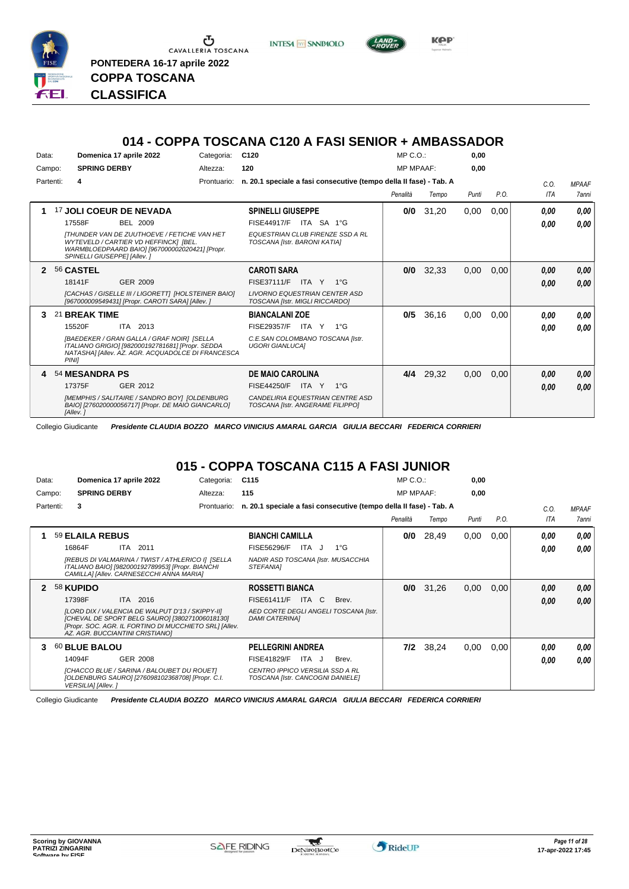

Ⴠ CAVALLERIA TOSCANA **PONTEDERA 16-17 aprile 2022 COPPA TOSCANA**

**CLASSIFICA**





| 014 - COPPA TOSCANA C120 A FASI SENIOR + AMBASSADOR |  |
|-----------------------------------------------------|--|
|-----------------------------------------------------|--|

| Data:                      |                             | Domenica 17 aprile 2022                                                                                                                             | Categoria:  | C <sub>120</sub>                                                        | $MP C. O.$ :     |       | 0,00  |      |            |              |
|----------------------------|-----------------------------|-----------------------------------------------------------------------------------------------------------------------------------------------------|-------------|-------------------------------------------------------------------------|------------------|-------|-------|------|------------|--------------|
| Campo:                     | <b>SPRING DERBY</b>         |                                                                                                                                                     | Altezza:    | 120                                                                     | <b>MP MPAAF:</b> |       | 0,00  |      |            |              |
| Partenti:                  | 4                           |                                                                                                                                                     | Prontuario: | n. 20.1 speciale a fasi consecutive (tempo della Il fase) - Tab. A      |                  |       |       |      | C.0.       | <b>MPAAF</b> |
|                            |                             |                                                                                                                                                     |             |                                                                         | Penalità         | Tempo | Punti | P.O. | <b>ITA</b> | <b>7anni</b> |
| 1                          |                             | 17 JOLI COEUR DE NEVADA                                                                                                                             |             | <b>SPINELLI GIUSEPPE</b>                                                | 0/0              | 31,20 | 0,00  | 0,00 | 0.00       | 0,00         |
|                            | 17558F                      | <b>BEL 2009</b>                                                                                                                                     |             | FISE44917/F<br>ITA SA 1°G                                               |                  |       |       |      | 0,00       | 0,00         |
|                            | SPINELLI GIUSEPPE] [Allev.] | <b>ITHUNDER VAN DE ZUUTHOEVE / FETICHE VAN HET</b><br>WYTEVELD / CARTIER VD HEFFINCK] [BEL.<br>WARMBLOEDPAARD BAIO] [967000002020421] [Propr.       |             | <b>EQUESTRIAN CLUB FIRENZE SSD A RL</b><br>TOSCANA [Istr. BARONI KATIA] |                  |       |       |      |            |              |
| $\boldsymbol{\mathcal{P}}$ | 56 CASTEL                   |                                                                                                                                                     |             | <b>CAROTI SARA</b>                                                      | 0/0              | 32,33 | 0,00  | 0,00 | 0,00       | 0,00         |
|                            | 18141F                      | <b>GER 2009</b>                                                                                                                                     |             | FISE37111/F<br>ITA Y<br>$1^{\circ}$ G                                   |                  |       |       |      | 0,00       | 0,00         |
|                            |                             | [CACHAS / GISELLE III / LIGORETT] [HOLSTEINER BAIO]<br>[967000009549431] [Propr. CAROTI SARA] [Allev. ]                                             |             | <b>LIVORNO EQUESTRIAN CENTER ASD</b><br>TOSCANA [Istr. MIGLI RICCARDO]  |                  |       |       |      |            |              |
| 3                          | 21 BREAK TIME               |                                                                                                                                                     |             | <b>BIANCALANI ZOE</b>                                                   | 0/5              | 36,16 | 0,00  | 0,00 | 0.00       | 0,00         |
|                            | 15520F                      | ITA 2013                                                                                                                                            |             | FISE29357/F<br>ITA Y<br>$1^{\circ}G$                                    |                  |       |       |      | 0.00       | 0,00         |
|                            | <b>PINII</b>                | [BAEDEKER / GRAN GALLA / GRAF NOIR] [SELLA<br>ITALIANO GRIGIO] [982000192781681] [Propr. SEDDA<br>NATASHAI [Allev. AZ. AGR. ACQUADOLCE DI FRANCESCA |             | C.E.SAN COLOMBANO TOSCANA [Istr.<br><b>UGORI GIANLUCAI</b>              |                  |       |       |      |            |              |
| 4                          | 54 MESANDRA PS              |                                                                                                                                                     |             | <b>DE MAIO CAROLINA</b>                                                 | 4/4              | 29,32 | 0,00  | 0,00 | 0,00       | 0,00         |
|                            | 17375F                      | GER 2012                                                                                                                                            |             | FISE44250/F<br>ITA Y<br>$1^{\circ}G$                                    |                  |       |       |      | 0,00       | 0,00         |
|                            | [Allev.]                    | [MEMPHIS / SALITAIRE / SANDRO BOY] [OLDENBURG<br>BAIO] [276020000056717] [Propr. DE MAIO GIANCARLO]                                                 |             | CANDELIRIA EQUESTRIAN CENTRE ASD<br>TOSCANA [Istr. ANGERAME FILIPPO]    |                  |       |       |      |            |              |

Collegio Giudicante *Presidente CLAUDIA BOZZO MARCO VINICIUS AMARAL GARCIA GIULIA BECCARI FEDERICA CORRIERI*

## **015 - COPPA TOSCANA C115 A FASI JUNIOR**

| Data:     | Domenica 17 aprile 2022         |                                                                                                                                                              | Categoria:  | C <sub>115</sub>                                                    |       |                                                                    | $MP C. O.$ :     |           | 0,00  |      |      |              |
|-----------|---------------------------------|--------------------------------------------------------------------------------------------------------------------------------------------------------------|-------------|---------------------------------------------------------------------|-------|--------------------------------------------------------------------|------------------|-----------|-------|------|------|--------------|
| Campo:    | <b>SPRING DERBY</b>             |                                                                                                                                                              | Altezza:    | 115                                                                 |       |                                                                    | <b>MP MPAAF:</b> |           | 0,00  |      |      |              |
| Partenti: | 3                               |                                                                                                                                                              | Prontuario: |                                                                     |       | n. 20.1 speciale a fasi consecutive (tempo della II fase) - Tab. A |                  |           |       |      | C.O. | <b>MPAAF</b> |
|           |                                 |                                                                                                                                                              |             |                                                                     |       |                                                                    | Penalità         | Tempo     | Punti | P.O. | ITA  | 7anni        |
| 1         | 59 ELAILA REBUS                 |                                                                                                                                                              |             | <b>BIANCHI CAMILLA</b>                                              |       |                                                                    | 0/0              | 28,49     | 0,00  | 0,00 | 0.00 | 0.00         |
|           | 16864F                          | ITA 2011                                                                                                                                                     |             | <b>FISE56296/F</b>                                                  | ITA J | $1^{\circ}G$                                                       |                  |           |       |      | 0.00 | 0.00         |
|           |                                 | [REBUS DI VALMARINA / TWIST / ATHLERICO I] [SELLA<br>ITALIANO BAIO] [982000192789953] [Propr. BIANCHI<br>CAMILLA] [Allev. CARNESECCHI ANNA MARIA]            |             | NADIR ASD TOSCANA [Istr. MUSACCHIA<br><b>STEFANIAI</b>              |       |                                                                    |                  |           |       |      |      |              |
|           | 58 KUPIDO                       |                                                                                                                                                              |             | <b>ROSSETTI BIANCA</b>                                              |       |                                                                    | 0/0              | 31,26     | 0,00  | 0.00 | 0,00 | 0.00         |
|           | 17398F                          | ITA 2016                                                                                                                                                     |             | FISE61411/F                                                         | ITA C | Brev.                                                              |                  |           |       |      | 0,00 | 0.00         |
|           | AZ. AGR. BUCCIANTINI CRISTIANO] | [LORD DIX / VALENCIA DE WALPUT D'13 / SKIPPY-II]<br>[CHEVAL DE SPORT BELG SAURO] [380271006018130]<br>[Propr. SOC. AGR. IL FORTINO DI MUCCHIETO SRL] [Allev. |             | <b>DAMI CATERINAI</b>                                               |       | AED CORTE DEGLI ANGELI TOSCANA [Istr.                              |                  |           |       |      |      |              |
| 3         | 60 BLUE BALOU                   |                                                                                                                                                              |             | <b>PELLEGRINI ANDREA</b>                                            |       |                                                                    |                  | 7/2 38,24 | 0,00  | 0,00 | 0.00 | 0,00         |
|           | 14094F                          | GER 2008                                                                                                                                                     |             | <b>FISE41829/F</b>                                                  | ITA J | Brev.                                                              |                  |           |       |      | 0.00 | 0.00         |
|           | VERSILIA] [Allev.]              | [CHACCO BLUE / SARINA / BALOUBET DU ROUET]<br>[OLDENBURG SAURO] [276098102368708] [Propr. C.I.                                                               |             | CENTRO IPPICO VERSILIA SSD A RL<br>TOSCANA [Istr. CANCOGNI DANIELE] |       |                                                                    |                  |           |       |      |      |              |

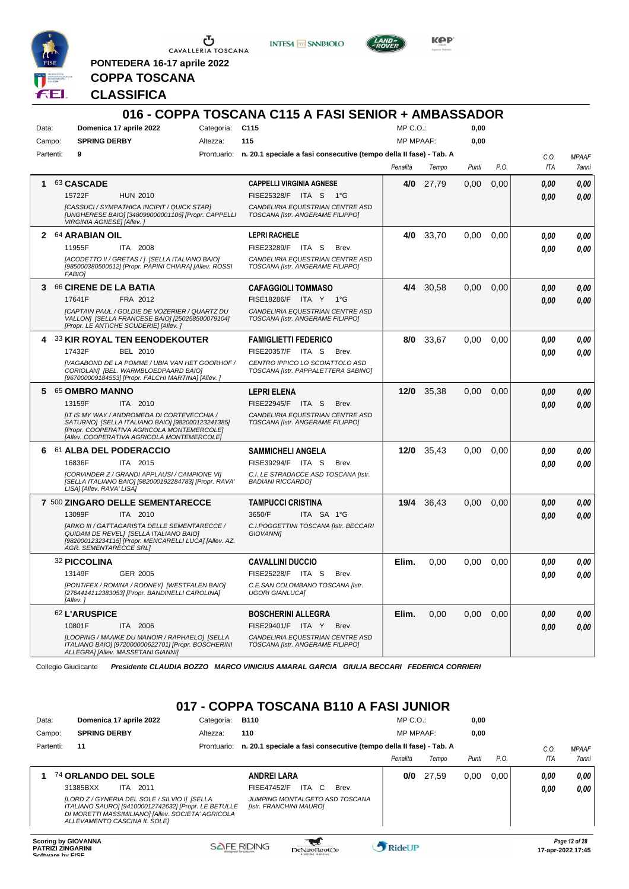

<u>ය</u> CAVALLERIA TOSCANA

**PONTEDERA 16-17 aprile 2022**

**INTESA** M SANPAOLO



**Kep** 

## **CLASSIFICA**

**COPPA TOSCANA**

|           |                               |                                                                                                                                                                                             |                 | 016 - COPPA TOSCANA C115 A FASI SENIOR + AMBASSADOR                            |                  |            |       |      |      |              |
|-----------|-------------------------------|---------------------------------------------------------------------------------------------------------------------------------------------------------------------------------------------|-----------------|--------------------------------------------------------------------------------|------------------|------------|-------|------|------|--------------|
| Data:     |                               | Domenica 17 aprile 2022                                                                                                                                                                     | Categoria: C115 |                                                                                | $MP C. O.$ :     |            | 0,00  |      |      |              |
| Campo:    | <b>SPRING DERBY</b>           |                                                                                                                                                                                             | Altezza:        | 115                                                                            | <b>MP MPAAF:</b> |            | 0,00  |      |      |              |
| Partenti: | 9                             |                                                                                                                                                                                             |                 | Prontuario: n. 20.1 speciale a fasi consecutive (tempo della II fase) - Tab. A |                  |            |       |      | C.O. | <b>MPAAF</b> |
|           |                               |                                                                                                                                                                                             |                 |                                                                                | Penalità         | Tempo      | Punti | P.O. | ITA  | 7anni        |
| 1.        | 63 CASCADE                    |                                                                                                                                                                                             |                 | <b>CAPPELLI VIRGINIA AGNESE</b>                                                | 4/0              | 27,79      | 0,00  | 0,00 | 0.00 | 0,00         |
|           | 15722F                        | <b>HUN 2010</b>                                                                                                                                                                             |                 | FISE25328/F<br>ITA S<br>$1^{\circ}G$                                           |                  |            |       |      | 0.00 | 0.00         |
|           | VIRGINIA AGNESE] [Allev.]     | [CASSUCI / SYMPATHICA INCIPIT / QUICK STAR]<br>[UNGHERESE BAIO] [348099000001106] [Propr. CAPPELLI                                                                                          |                 | CANDELIRIA EQUESTRIAN CENTRE ASD<br>TOSCANA [Istr. ANGERAME FILIPPO]           |                  |            |       |      |      |              |
|           | 2 64 ARABIAN OIL              |                                                                                                                                                                                             |                 | <b>LEPRI RACHELE</b>                                                           | 4/0              | 33,70      | 0,00  | 0.00 | 0.00 | 0,00         |
|           | 11955F                        | ITA 2008                                                                                                                                                                                    |                 | FISE23289/F<br>ITA S<br>Brev.                                                  |                  |            |       |      | 0.00 | 0,00         |
|           | <b>FABIOI</b>                 | [ACODETTO II / GRETAS / ] [SELLA ITALIANO BAIO]<br>[985000380500512] [Propr. PAPINI CHIARA] [Allev. ROSSI                                                                                   |                 | CANDELIRIA EQUESTRIAN CENTRE ASD<br>TOSCANA [Istr. ANGERAME FILIPPO]           |                  |            |       |      |      |              |
|           | 3 66 CIRENE DE LA BATIA       |                                                                                                                                                                                             |                 | CAFAGGIOLI TOMMASO                                                             |                  | 4/4 30,58  | 0,00  | 0,00 | 0,00 | 0,00         |
|           | 17641F                        | FRA 2012                                                                                                                                                                                    |                 | FISE18286/F ITA Y 1°G                                                          |                  |            |       |      | 0.00 | 0.00         |
|           |                               | [CAPTAIN PAUL / GOLDIE DE VOZERIER / QUARTZ DU<br>VALLON] [SELLA FRANCESE BAIO] [250258500079104]<br>[Propr. LE ANTICHE SCUDERIE] [Allev. ]                                                 |                 | CANDELIRIA EQUESTRIAN CENTRE ASD<br>TOSCANA [Istr. ANGERAME FILIPPO]           |                  |            |       |      |      |              |
|           |                               | 4 33 KIR ROYAL TEN EENODEKOUTER                                                                                                                                                             |                 | <b>FAMIGLIETTI FEDERICO</b>                                                    | 8/0              | 33,67      | 0,00  | 0.00 | 0.00 | 0,00         |
|           | 17432F                        | BEL 2010                                                                                                                                                                                    |                 | FISE20357/F ITA S<br>Brev.                                                     |                  |            |       |      | 0.00 | 0.00         |
|           |                               | [VAGABOND DE LA POMME / UBIA VAN HET GOORHOF /<br>CORIOLANI IBEL. WARMBLOEDPAARD BAIOI<br>[967000009184553] [Propr. FALCHI MARTINA] [Allev. ]                                               |                 | CENTRO IPPICO LO SCOIATTOLO ASD<br>TOSCANA [Istr. PAPPALETTERA SABINO]         |                  |            |       |      |      |              |
|           | 5 65 OMBRO MANNO              |                                                                                                                                                                                             |                 | <b>LEPRI ELENA</b>                                                             | 12/0             | 35,38      | 0,00  | 0,00 | 0,00 | 0,00         |
|           | 13159F                        | ITA 2010                                                                                                                                                                                    |                 | FISE22945/F ITA S<br>Brev.                                                     |                  |            |       |      | 0.00 | 0.00         |
|           |                               | [IT IS MY WAY / ANDROMEDA DI CORTEVECCHIA /<br>SATURNO] [SELLA ITALIANO BAIO] [982000123241385]<br>[Propr. COOPERATIVA AGRICOLA MONTEMERCOLE]<br>[Allev. COOPERATIVA AGRICOLA MONTEMERCOLE] |                 | CANDELIRIA EQUESTRIAN CENTRE ASD<br>TOSCANA [Istr. ANGERAME FILIPPO]           |                  |            |       |      |      |              |
|           |                               | 6 61 ALBA DEL PODERACCIO                                                                                                                                                                    |                 | SAMMICHELI ANGELA                                                              | 12/0             | 35,43      | 0,00  | 0.00 | 0.00 | 0,00         |
|           | 16836F                        | ITA 2015                                                                                                                                                                                    |                 | FISE39294/F ITA S<br>Brev.                                                     |                  |            |       |      | 0.00 | 0.00         |
|           | LISA] [Allev. RAVA' LISA]     | [CORIANDER Z / GRANDI APPLAUSI / CAMPIONE VI]<br>[SELLA ITALIANO BAIO] [982000192284783] [Propr. RAVA'                                                                                      |                 | C.I. LE STRADACCE ASD TOSCANA [Istr.<br><b>BADIANI RICCARDO]</b>               |                  |            |       |      |      |              |
|           |                               | 7 500 ZINGARO DELLE SEMENTARECCE                                                                                                                                                            |                 | <b>TAMPUCCI CRISTINA</b>                                                       |                  | 19/4 36,43 | 0,00  | 0.00 | 0,00 | 0,00         |
|           | 13099F                        | ITA 2010                                                                                                                                                                                    |                 | 3650/F<br>ITA SA 1°G                                                           |                  |            |       |      | 0.00 | 0.00         |
|           | <b>AGR. SEMENTARECCE SRLI</b> | [ARKO III / GATTAGARISTA DELLE SEMENTARECCE /<br>QUIDAM DE REVELI [SELLA ITALIANO BAIO]<br>[982000123234115] [Propr. MENCARELLI LUCA] [Allev. AZ.                                           |                 | C.I.POGGETTINI TOSCANA [Istr. BECCARI<br><b>GIOVANNII</b>                      |                  |            |       |      |      |              |
|           | 32 PICCOLINA                  |                                                                                                                                                                                             |                 | <b>CAVALLINI DUCCIO</b>                                                        | Elim.            | 0,00       | 0,00  | 0,00 | 0.00 | 0.00         |
|           | 13149F                        | <b>GER 2005</b>                                                                                                                                                                             |                 | FISE25228/F ITA S<br>Brev.                                                     |                  |            |       |      | 0.00 | 0.00         |
|           | [Allev.]                      | [PONTIFEX / ROMINA / RODNEY] [WESTFALEN BAIO]<br>[2764414112383053] [Propr. BANDINELLI CAROLINA]                                                                                            |                 | C.E.SAN COLOMBANO TOSCANA [Istr.<br><b>UGORI GIANLUCA]</b>                     |                  |            |       |      |      |              |
|           | <b>62 L'ARUSPICE</b>          |                                                                                                                                                                                             |                 | <b>BOSCHERINI ALLEGRA</b>                                                      | Elim.            | 0,00       | 0,00  | 0,00 | 0,00 | 0,00         |
|           | 10801F                        | ITA 2006                                                                                                                                                                                    |                 | FISE29401/F ITA Y<br>Brev.                                                     |                  |            |       |      | 0,00 | 0,00         |
|           |                               | [LOOPING / MAAIKE DU MANOIR / RAPHAELO] [SELLA<br>ITALIANO BAIO] [972000000622701] [Propr. BOSCHERINI<br>ALLEGRA] [Allev. MASSETANI GIANNI]                                                 |                 | CANDELIRIA EQUESTRIAN CENTRE ASD<br>TOSCANA [Istr. ANGERAME FILIPPO]           |                  |            |       |      |      |              |

Collegio Giudicante *Presidente CLAUDIA BOZZO MARCO VINICIUS AMARAL GARCIA GIULIA BECCARI FEDERICA CORRIERI*

#### **017 - COPPA TOSCANA B110 A FASI JUNIOR**

| Data:     | Domenica 17 aprile 2022                                                                                                                                                                     | Categoria:  | <b>B110</b>                                                        | MP C. O.         |       | 0,00  |      |      |              |
|-----------|---------------------------------------------------------------------------------------------------------------------------------------------------------------------------------------------|-------------|--------------------------------------------------------------------|------------------|-------|-------|------|------|--------------|
| Campo:    | <b>SPRING DERBY</b>                                                                                                                                                                         | Altezza:    | 110                                                                | <b>MP MPAAF:</b> |       | 0.00  |      |      |              |
| Partenti: | 11                                                                                                                                                                                          | Prontuario: | n. 20.1 speciale a fasi consecutive (tempo della II fase) - Tab. A |                  |       |       |      | C.O. | <b>MPAAF</b> |
|           |                                                                                                                                                                                             |             |                                                                    | Penalità         | Tempo | Punti | P.O. | ITA  | <b>7anni</b> |
|           | 74 ORLANDO DEL SOLE                                                                                                                                                                         |             | <b>ANDREI LARA</b>                                                 | 0/0              | 27,59 | 0.00  | 0.00 | 0,00 | 0.00         |
|           | 31385BXX<br>ITA 2011                                                                                                                                                                        |             | <b>ITA</b><br><b>FISE47452/F</b><br>C.<br>Brev.                    |                  |       |       |      | 0,00 | 0.00         |
|           | [LORD Z / GYNERIA DEL SOLE / SILVIO I] [SELLA<br>ITALIANO SAURO] [941000012742632] [Propr. LE BETULLE<br>DI MORETTI MASSIMILIANO] [Allev. SOCIETA' AGRICOLA<br>ALLEVAMENTO CASCINA IL SOLEI |             | JUMPING MONTALGETO ASD TOSCANA<br><b>Ilstr. FRANCHINI MAUROI</b>   |                  |       |       |      |      |              |
|           |                                                                                                                                                                                             |             |                                                                    |                  |       |       |      |      |              |

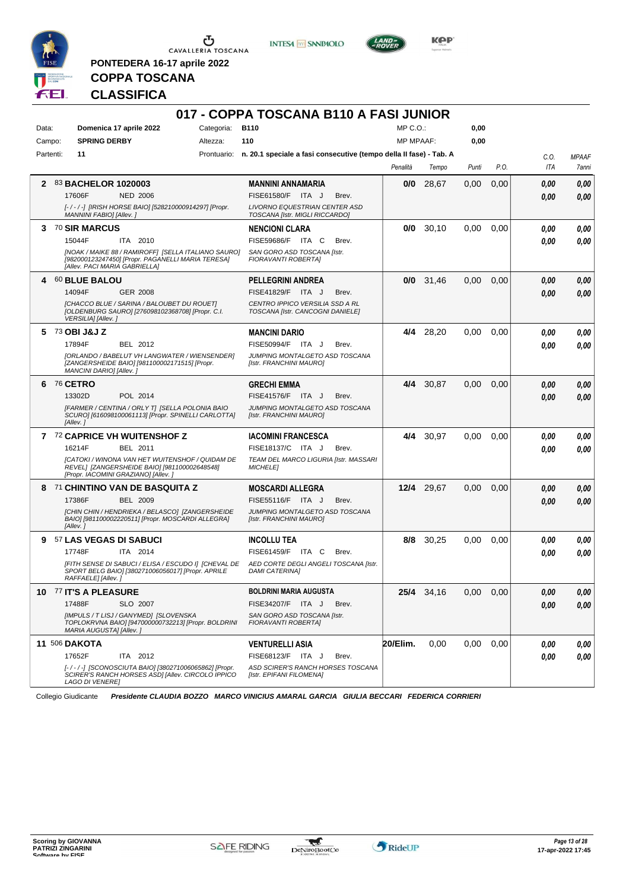

**PONTEDERA 16-17 aprile 2022**

**INTESA M** SANPAOLO



**Kep** 

## **COPPA TOSCANA CLASSIFICA**

|           |                                     |                                                                                                           |            | 017 - COPPA TOSCANA B110 A FASI JUNIOR                                         |       |                  |                   |       |      |      |              |
|-----------|-------------------------------------|-----------------------------------------------------------------------------------------------------------|------------|--------------------------------------------------------------------------------|-------|------------------|-------------------|-------|------|------|--------------|
| Data:     | Domenica 17 aprile 2022             |                                                                                                           | Categoria: | <b>B110</b>                                                                    |       | $MP C. O.$ :     |                   | 0,00  |      |      |              |
| Campo:    | <b>SPRING DERBY</b>                 |                                                                                                           | Altezza:   | 110                                                                            |       | <b>MP MPAAF:</b> |                   | 0,00  |      |      |              |
| Partenti: | 11                                  |                                                                                                           |            | Prontuario: n. 20.1 speciale a fasi consecutive (tempo della II fase) - Tab. A |       |                  |                   |       |      | C.O. | <b>MPAAF</b> |
|           |                                     |                                                                                                           |            |                                                                                |       | Penalità         | Tempo             | Punti | P.O. | ITA  | 7anni        |
| 2         | 83 BACHELOR 1020003                 |                                                                                                           |            | <b>MANNINI ANNAMARIA</b>                                                       |       | 0/0              | 28,67             | 0,00  | 0,00 | 0.00 | 0,00         |
|           | 17606F                              | <b>NED 2006</b>                                                                                           |            | FISE61580/F ITA J                                                              | Brev. |                  |                   |       |      | 0.00 | 0,00         |
|           | MANNINI FABIO] [Allev.]             | [-/-/-] [IRISH HORSE BAIO] [528210000914297] [Propr.                                                      |            | <b>LIVORNO EQUESTRIAN CENTER ASD</b><br>TOSCANA [Istr. MIGLI RICCARDO]         |       |                  |                   |       |      |      |              |
| 3         | <b>70 SIR MARCUS</b>                |                                                                                                           |            | <b>NENCIONI CLARA</b>                                                          |       | 0/0              | 30,10             | 0,00  | 0,00 | 0.00 | 0.00         |
|           | 15044F                              | ITA 2010                                                                                                  |            | FISE59686/F ITA C                                                              | Brev. |                  |                   |       |      | 0.00 | 0.00         |
|           | [Allev. PACI MARIA GABRIELLA]       | [NOAK / MAIKE 88 / RAMIROFF] [SELLA ITALIANO SAURO]<br>[982000123247450] [Propr. PAGANELLI MARIA TERESA]  |            | SAN GORO ASD TOSCANA [Istr.<br><b>FIORAVANTI ROBERTAI</b>                      |       |                  |                   |       |      |      |              |
| 4         | <b>60 BLUE BALOU</b>                |                                                                                                           |            | PELLEGRINI ANDREA                                                              |       | 0/0              | 31,46             | 0,00  | 0,00 | 0,00 | 0,00         |
|           | 14094F                              | <b>GER 2008</b>                                                                                           |            | FISE41829/F ITA J                                                              | Brev. |                  |                   |       |      | 0.00 | 0.00         |
|           | VERSILIA] [Allev.]                  | [CHACCO BLUE / SARINA / BALOUBET DU ROUET]<br>[OLDENBURG SAURO] [276098102368708] [Propr. C.I.            |            | CENTRO IPPICO VERSILIA SSD A RL<br>TOSCANA [Istr. CANCOGNI DANIELE]            |       |                  |                   |       |      |      |              |
| 5.        | 73 OBI J&J Z                        |                                                                                                           |            | <b>MANCINI DARIO</b>                                                           |       | 4/4              | 28,20             | 0,00  | 0,00 | 0,00 | 0,00         |
|           | 17894F                              | BEL 2012                                                                                                  |            | FISE50994/F ITA J                                                              | Brev. |                  |                   |       |      | 0.00 | 0.00         |
|           | MANCINI DARIO] [Allev. ]            | [ORLANDO / BABELUT VH LANGWATER / WIENSENDER]<br>[ZANGERSHEIDE BAIO] [981100002171515] [Propr.            |            | JUMPING MONTALGETO ASD TOSCANA<br>[Istr. FRANCHINI MAURO]                      |       |                  |                   |       |      |      |              |
| 6         | <b>76 CETRO</b>                     |                                                                                                           |            | <b>GRECHI EMMA</b>                                                             |       | 4/4              | 30,87             | 0,00  | 0.00 | 0.00 | 0,00         |
|           | 13302D                              | POL 2014                                                                                                  |            | FISE41576/F ITA J                                                              | Brev. |                  |                   |       |      | 0.00 | 0,00         |
|           | [Allev.]                            | [FARMER / CENTINA / ORLY T] [SELLA POLONIA BAIO<br>SCURO] [616098100061113] [Propr. SPINELLI CARLOTTA]    |            | JUMPING MONTALGETO ASD TOSCANA<br>[Istr. FRANCHINI MAURO]                      |       |                  |                   |       |      |      |              |
|           | 7 72 CAPRICE VH WUITENSHOF Z        |                                                                                                           |            | <b>IACOMINI FRANCESCA</b>                                                      |       | 4/4              | 30,97             | 0,00  | 0,00 | 0,00 | 0,00         |
|           | 16214F                              | BEL 2011                                                                                                  |            | FISE18137/C ITA J                                                              | Brev. |                  |                   |       |      | 0.00 | 0.00         |
|           | [Propr. IACOMINI GRAZIANO] [Allev.] | [CATOKI / WINONA VAN HET WUITENSHOF / QUIDAM DE<br>REVEL] [ZANGERSHEIDE BAIO] [981100002648548]           |            | TEAM DEL MARCO LIGURIA [Istr. MASSARI<br><b>MICHELE1</b>                       |       |                  |                   |       |      |      |              |
|           |                                     | 8 71 CHINTINO VAN DE BASQUITA Z                                                                           |            | <b>MOSCARDI ALLEGRA</b>                                                        |       | 12/4             | 29,67             | 0,00  | 0,00 | 0.00 | 0,00         |
|           | 17386F                              | <b>BEL 2009</b>                                                                                           |            | FISE55116/F ITA J                                                              | Brev. |                  |                   |       |      | 0.00 | 0.00         |
|           | [Allev.]                            | [CHIN CHIN / HENDRIEKA / BELASCO] [ZANGERSHEIDE<br>BAIO] [981100002220511] [Propr. MOSCARDI ALLEGRA]      |            | JUMPING MONTALGETO ASD TOSCANA<br>[Istr. FRANCHINI MAURO]                      |       |                  |                   |       |      |      |              |
|           | 9 57 LAS VEGAS DI SABUCI            |                                                                                                           |            | <b>INCOLLU TEA</b>                                                             |       | 8/8              | 30,25             | 0,00  | 0.00 | 0,00 | 0,00         |
|           | 17748F                              | ITA 2014                                                                                                  |            | FISE61459/F ITA C                                                              | Brev. |                  |                   |       |      | 0,00 | 0.00         |
|           | RAFFAELE] [Allev. ]                 | [FITH SENSE DI SABUCI / ELISA / ESCUDO I] [CHEVAL DE<br>SPORT BELG BAIO] [380271006056017] [Propr. APRILE |            | AED CORTE DEGLI ANGELI TOSCANA Ilstr.<br><b>DAMI CATERINA]</b>                 |       |                  |                   |       |      |      |              |
|           | 10 77 IT'S A PLEASURE               |                                                                                                           |            | <b>BOLDRINI MARIA AUGUSTA</b>                                                  |       |                  | <b>25/4</b> 34,16 | 0,00  | 0,00 | 0,00 | 0,00         |
|           | 17488F                              | SLO 2007                                                                                                  |            | FISE34207/F ITA J                                                              | Brev. |                  |                   |       |      | 0.00 | 0,00         |
|           | MARIA AUGUSTA] [Allev.]             | [IMPULS / T LISJ / GANYMED] [SLOVENSKA<br>TOPLOKRVNA BAIO] [947000000732213] [Propr. BOLDRINI             |            | SAN GORO ASD TOSCANA [Istr.<br>FIORAVANTI ROBERTA]                             |       |                  |                   |       |      |      |              |
|           | <b>11 506 DAKOTA</b>                |                                                                                                           |            | <b>VENTURELLI ASIA</b>                                                         |       | 20/Elim.         | 0,00              | 0,00  | 0.00 | 0,00 | 0,00         |
|           | 17652F                              | ITA 2012                                                                                                  |            | FISE68123/F ITA J                                                              | Brev. |                  |                   |       |      | 0,00 | 0,00         |
|           | <b>LAGO DI VENEREI</b>              | [-/-/-] [SCONOSCIUTA BAIO] [380271006065862] [Propr.<br>SCIRER'S RANCH HORSES ASD] [Allev. CIRCOLO IPPICO |            | ASD SCIRER'S RANCH HORSES TOSCANA<br>[Istr. EPIFANI FILOMENA]                  |       |                  |                   |       |      |      |              |

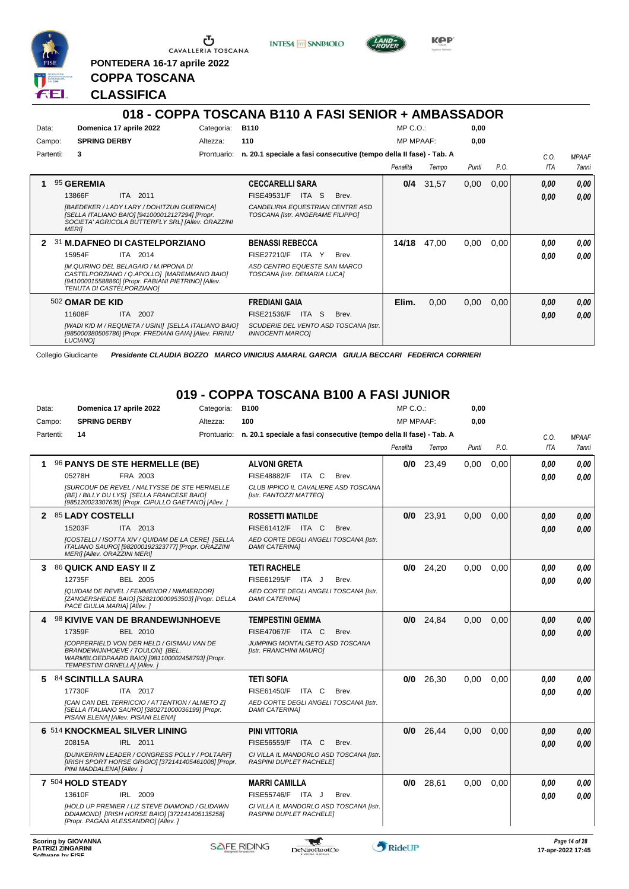

**PONTEDERA 16-17 aprile 2022**

**INTESA** M SANPAOLO



**KPP** 

**0,00**

#### **CLASSIFICA**

**COPPA TOSCANA**

|        |           |                                                                                                                                                                          |             | 018 - COPPA TOSCANA B110 A FASI SENIOR + AMBASSADOR                  |                  |       |       |      |            |              |
|--------|-----------|--------------------------------------------------------------------------------------------------------------------------------------------------------------------------|-------------|----------------------------------------------------------------------|------------------|-------|-------|------|------------|--------------|
| Data:  |           | Domenica 17 aprile 2022                                                                                                                                                  | Categoria:  | <b>B110</b>                                                          | $MP C. O.$ :     |       | 0.00  |      |            |              |
| Campo: |           | <b>SPRING DERBY</b>                                                                                                                                                      | Altezza:    | 110                                                                  | <b>MP MPAAF:</b> |       | 0.00  |      |            |              |
|        | Partenti: | 3                                                                                                                                                                        | Prontuario: | n. 20.1 speciale a fasi consecutive (tempo della Il fase) - Tab. A   |                  |       |       |      | C.O.       | <b>MPAAF</b> |
|        |           |                                                                                                                                                                          |             |                                                                      | Penalità         | Tempo | Punti | P.O. | <b>ITA</b> | 7anni        |
|        |           | 95 GEREMIA                                                                                                                                                               |             | <b>CECCARELLI SARA</b>                                               | 0/4              | 31,57 | 0,00  | 0,00 | 0.00       | 0.00         |
|        |           | 2011<br>13866F<br><b>ITA</b>                                                                                                                                             |             | FISE49531/F<br>ITA S<br>Brev.                                        |                  |       |       |      | 0,00       | 0.00         |
|        |           | [BAEDEKER / LADY LARY / DOHITZUN GUERNICA]<br>[SELLA ITALIANO BAIO] [941000012127294] [Propr.<br>SOCIETA' AGRICOLA BUTTERFLY SRL] [Allev. ORAZZINI<br><b>MERII</b>       |             | CANDELIRIA EQUESTRIAN CENTRE ASD<br>TOSCANA [Istr. ANGERAME FILIPPO] |                  |       |       |      |            |              |
| 2      |           | 31 M.DAFNEO DI CASTELPORZIANO                                                                                                                                            |             | <b>BENASSI REBECCA</b>                                               | 14/18            | 47,00 | 0,00  | 0,00 | 0.00       | 0,00         |
|        |           | 15954F<br>ITA 2014                                                                                                                                                       |             | <b>FISE27210/F</b><br>Brev.<br>Y<br>ITA                              |                  |       |       |      | 0.00       | 0,00         |
|        |           | IM.QUIRINO DEL BELAGAIO / M.IPPONA DI<br>CASTELPORZIANO / Q.APOLLO] [MAREMMANO BAIO]<br>[941000015588860] [Propr. FABIANI PIETRINO] [Allev.<br>TENUTA DI CASTELPORZIANOI |             | ASD CENTRO EQUESTE SAN MARCO<br>TOSCANA [Istr. DEMARIA LUCA]         |                  |       |       |      |            |              |
|        |           | 502 OMAR DE KID                                                                                                                                                          |             | <b>FREDIANI GAIA</b>                                                 | Elim.            | 0,00  | 0.00  | 0,00 | 0,00       | 0,00         |
|        |           | 11608F<br>2007<br><b>ITA</b>                                                                                                                                             |             | FISE21536/F<br>ITA S<br>Brev.                                        |                  |       |       |      | 0,00       | 0.00         |
|        |           | [WADI KID M / REQUIETA / USINI] [SELLA ITALIANO BAIO]<br>[985000380506786] [Propr. FREDIANI GAIA] [Allev. FIRINU<br><b>LUCIANO1</b>                                      |             | SCUDERIE DEL VENTO ASD TOSCANA [Istr.<br><b>INNOCENTI MARCOI</b>     |                  |       |       |      |            |              |

Collegio Giudicante *Presidente CLAUDIA BOZZO MARCO VINICIUS AMARAL GARCIA GIULIA BECCARI FEDERICA CORRIERI*

## **019 - COPPA TOSCANA B100 A FASI JUNIOR**

| Data:     | Domenica 17 aprile 2022                                                                                                                                               | Categoria: | <b>B100</b>                                                                    | $MP C. O.$ :     |             | 0,00  |      |            |              |
|-----------|-----------------------------------------------------------------------------------------------------------------------------------------------------------------------|------------|--------------------------------------------------------------------------------|------------------|-------------|-------|------|------------|--------------|
| Campo:    | <b>SPRING DERBY</b>                                                                                                                                                   | Altezza:   | 100                                                                            | <b>MP MPAAF:</b> |             | 0,00  |      |            |              |
| Partenti: | 14                                                                                                                                                                    |            | Prontuario: n. 20.1 speciale a fasi consecutive (tempo della II fase) - Tab. A |                  |             |       |      | C.O.       | <b>MPAAF</b> |
|           |                                                                                                                                                                       |            |                                                                                | Penalità         | Tempo       | Punti | P.O. | <b>ITA</b> | <b>7anni</b> |
|           | 96 PANYS DE STE HERMELLE (BE)                                                                                                                                         |            | <b>ALVONI GRETA</b>                                                            |                  | $0/0$ 23,49 | 0.00  | 0.00 | 0.00       | 0.00         |
|           | 05278H<br>FRA 2003                                                                                                                                                    |            | FISE48882/F ITA C<br>Brev.                                                     |                  |             |       |      | 0.00       | 0.00         |
|           | <b>ISURCOUF DE REVEL / NALTYSSE DE STE HERMELLE</b><br>(BE) / BILLY DU LYS] [SELLA FRANCESE BAIO]<br>[985120023307635] [Propr. CIPULLO GAETANO] [Allev. ]             |            | CLUB IPPICO IL CAVALIERE ASD TOSCANA<br>[Istr. FANTOZZI MATTEO]                |                  |             |       |      |            |              |
|           | 2 85 LADY COSTELLI                                                                                                                                                    |            | <b>ROSSETTI MATILDE</b>                                                        | 0/0              | 23,91       | 0,00  | 0.00 | 0.00       | 0,00         |
|           | ITA 2013<br>15203F                                                                                                                                                    |            | FISE61412/F ITA C<br>Brev.                                                     |                  |             |       |      | 0.00       | 0.00         |
|           | [COSTELLI / ISOTTA XIV / QUIDAM DE LA CERE] [SELLA<br>ITALIANO SAURO] [982000192323777] [Propr. ORAZZINI<br>MERI] [Allev. ORAZZINI MERI]                              |            | AED CORTE DEGLI ANGELI TOSCANA [Istr.<br><b>DAMI CATERINAI</b>                 |                  |             |       |      |            |              |
| 3         | 86 QUICK AND EASY II Z                                                                                                                                                |            | <b>TETI RACHELE</b>                                                            | 0/0              | 24,20       | 0,00  | 0.00 | 0.00       | 0,00         |
|           | 12735F<br><b>BEL 2005</b>                                                                                                                                             |            | FISE61295/F ITA J<br>Brev.                                                     |                  |             |       |      | 0.00       | 0.00         |
|           | [QUIDAM DE REVEL / FEMMENOR / NIMMERDOR]<br>[ZANGERSHEIDE BAIO] [528210000953503] [Propr. DELLA<br>PACE GIULIA MARIA] [Allev.]                                        |            | AED CORTE DEGLI ANGELI TOSCANA [Istr.<br><b>DAMI CATERINAI</b>                 |                  |             |       |      |            |              |
|           | <b>98 KIVIVE VAN DE BRANDEWIJNHOEVE</b>                                                                                                                               |            | <b>TEMPESTINI GEMMA</b>                                                        | 0/0              | 24,84       | 0.00  | 0.00 | 0.00       | 0.00         |
|           | 17359F<br>BEL 2010                                                                                                                                                    |            | <b>FISE47067/F ITA C</b><br>Brev.                                              |                  |             |       |      | 0.00       | 0.00         |
|           | <b>ICOPPERFIELD VON DER HELD / GISMAU VAN DE</b><br>BRANDEWIJNHOEVE / TOULON] [BEL.<br>WARMBLOEDPAARD BAIO] [981100002458793] [Propr.<br>TEMPESTINI ORNELLA] [Allev.] |            | JUMPING MONTALGETO ASD TOSCANA<br>[Istr. FRANCHINI MAURO]                      |                  |             |       |      |            |              |
| 5.        | <b>84 SCINTILLA SAURA</b>                                                                                                                                             |            | <b>TETI SOFIA</b>                                                              | 0/0              | 26,30       | 0.00  | 0.00 | 0.00       | 0.00         |
|           | 17730F<br>ITA 2017                                                                                                                                                    |            | FISE61450/F<br>ITA C<br>Brev.                                                  |                  |             |       |      | 0.00       | 0.00         |
|           | [CAN CAN DEL TERRICCIO / ATTENTION / ALMETO Z]<br>[SELLA ITALIANO SAURO] [380271000036199] [Propr.<br>PISANI ELENA] [Allev. PISANI ELENA]                             |            | AED CORTE DEGLI ANGELI TOSCANA [Istr.<br><b>DAMI CATERINAI</b>                 |                  |             |       |      |            |              |
|           | 6 514 KNOCKMEAL SILVER LINING                                                                                                                                         |            | <b>PINI VITTORIA</b>                                                           | 0/0              | 26,44       | 0,00  | 0.00 | 0.00       | 0,00         |
|           | 20815A<br>IRL 2011                                                                                                                                                    |            | FISE56559/F ITA C<br>Brev.                                                     |                  |             |       |      | 0.00       | 0.00         |
|           | [DUNKERRIN LEADER / CONGRESS POLLY / POLTARF]<br>[IRISH SPORT HORSE GRIGIO] [372141405461008] [Propr.<br>PINI MADDALENA] [Allev.]                                     |            | CI VILLA IL MANDORLO ASD TOSCANA [Istr.<br><b>RASPINI DUPLET RACHELEI</b>      |                  |             |       |      |            |              |
|           | 7 504 HOLD STEADY                                                                                                                                                     |            | <b>MARRI CAMILLA</b>                                                           | 0/0              | 28,61       | 0.00  | 0.00 | 0.00       | 0.00         |
|           | 13610F<br>IRL 2009                                                                                                                                                    |            | <b>FISE55746/F</b><br>ITA J<br>Brev.                                           |                  |             |       |      | 0.00       | 0.00         |
|           | <b>IHOLD UP PREMIER / LIZ STEVE DIAMOND / GLIDAWN</b><br>DDIAMOND1 [IRISH HORSE BAIO] [372141405135258]<br>[Propr. PAGANI ALESSANDRO] [Allev.]                        |            | CI VILLA IL MANDORLO ASD TOSCANA [Istr.<br>RASPINI DUPLET RACHELEI             |                  |             |       |      |            |              |

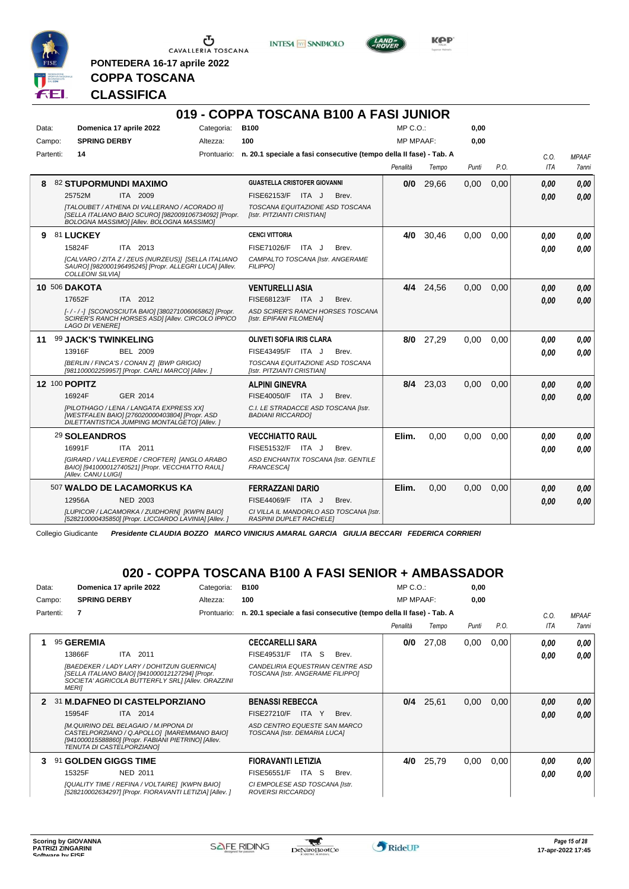

**PONTEDERA 16-17 aprile 2022**

**INTESA** M SANPAOLO



**Kep** 

# **CLASSIFICA**

**COPPA TOSCANA**

|           |                                                                                                                                                     |            | 019 - COPPA TOSCANA B100 A FASI JUNIOR                                         |                  |           |       |      |      |              |
|-----------|-----------------------------------------------------------------------------------------------------------------------------------------------------|------------|--------------------------------------------------------------------------------|------------------|-----------|-------|------|------|--------------|
| Data:     | Domenica 17 aprile 2022                                                                                                                             | Categoria: | <b>B100</b>                                                                    | $MP C. O.$ :     |           | 0,00  |      |      |              |
| Campo:    | <b>SPRING DERBY</b>                                                                                                                                 | Altezza:   | 100                                                                            | <b>MP MPAAF:</b> |           | 0,00  |      |      |              |
| Partenti: | 14                                                                                                                                                  |            | Prontuario: n. 20.1 speciale a fasi consecutive (tempo della II fase) - Tab. A |                  |           |       |      | C.O. | <b>MPAAF</b> |
|           |                                                                                                                                                     |            |                                                                                | Penalità         | Tempo     | Punti | P.O. | ITA  | 7anni        |
| 8         | <b>82 STUPORMUNDI MAXIMO</b>                                                                                                                        |            | <b>GUASTELLA CRISTOFER GIOVANNI</b>                                            | 0/0              | 29,66     | 0,00  | 0.00 | 0.00 | 0.00         |
|           | 25752M<br>ITA 2009                                                                                                                                  |            | FISE62153/F ITA J<br>Brev.                                                     |                  |           |       |      | 0.00 | 0,00         |
|           | [TALOUBET / ATHENA DI VALLERANO / ACORADO II]<br>[SELLA ITALIANO BAIO SCURO] [982009106734092] [Propr.<br>BOLOGNA MASSIMO] [Allev. BOLOGNA MASSIMO] |            | TOSCANA EQUITAZIONE ASD TOSCANA<br>[Istr. PITZIANTI CRISTIAN]                  |                  |           |       |      |      |              |
| 9         | 81 LUCKEY                                                                                                                                           |            | <b>CENCI VITTORIA</b>                                                          | 4/0              | 30,46     | 0,00  | 0,00 | 0,00 | 0,00         |
|           | ITA 2013<br>15824F                                                                                                                                  |            | FISE71026/F<br>ITA J<br>Brev.                                                  |                  |           |       |      | 0.00 | 0.00         |
|           | [CALVARO / ZITA Z / ZEUS (NURZEUS)] [SELLA ITALIANO<br>SAURO] [982000196495245] [Propr. ALLEGRI LUCA] [Allev.<br><b>COLLEONI SILVIAI</b>            |            | CAMPALTO TOSCANA [Istr. ANGERAME<br><b>FILIPPO1</b>                            |                  |           |       |      |      |              |
|           | <b>10 506 DAKOTA</b>                                                                                                                                |            | <b>VENTURELLI ASIA</b>                                                         |                  | 4/4 24,56 | 0.00  | 0.00 | 0,00 | 0.00         |
|           | ITA 2012<br>17652F                                                                                                                                  |            | FISE68123/F ITA J<br>Brev.                                                     |                  |           |       |      | 0.00 | 0.00         |
|           | [-/-/-] [SCONOSCIUTA BAIO] [380271006065862] [Propr.<br>SCIRER'S RANCH HORSES ASDI [Allev. CIRCOLO IPPICO<br><b>LAGO DI VENERE]</b>                 |            | ASD SCIRER'S RANCH HORSES TOSCANA<br>[Istr. EPIFANI FILOMENA]                  |                  |           |       |      |      |              |
|           | 11 99 JACK'S TWINKELING                                                                                                                             |            | OLIVETI SOFIA IRIS CLARA                                                       |                  | 8/0 27,29 | 0.00  | 0.00 | 0.00 | 0.00         |
|           | 13916F<br><b>BEL 2009</b>                                                                                                                           |            | FISE43495/F ITA J<br>Brev.                                                     |                  |           |       |      | 0.00 | 0.00         |
|           | [BERLIN / FINCA'S / CONAN Z] [BWP GRIGIO]<br>[981100002259957] [Propr. CARLI MARCO] [Allev. ]                                                       |            | TOSCANA EQUITAZIONE ASD TOSCANA<br>[Istr. PITZIANTI CRISTIAN]                  |                  |           |       |      |      |              |
|           | <b>12 100 POPITZ</b>                                                                                                                                |            | <b>ALPINI GINEVRA</b>                                                          |                  | 8/4 23,03 | 0,00  | 0.00 | 0.00 | 0,00         |
|           | 16924F<br>GER 2014                                                                                                                                  |            | FISE40050/F ITA J<br>Brev.                                                     |                  |           |       |      | 0.00 | 0.00         |
|           | [PILOTHAGO / LENA / LANGATA EXPRESS XX]<br>[WESTFALEN BAIO] [276020000403804] [Propr. ASD<br>DILETTANTISTICA JUMPING MONTALGETO] [Allev. ]          |            | C.I. LE STRADACCE ASD TOSCANA [Istr.<br><b>BADIANI RICCARDOI</b>               |                  |           |       |      |      |              |
|           | 29 SOLEANDROS                                                                                                                                       |            | <b>VECCHIATTO RAUL</b>                                                         | Elim.            | 0,00      | 0,00  | 0.00 | 0.00 | 0.00         |
|           | 16991F<br>ITA 2011                                                                                                                                  |            | FISE51532/F ITA J<br>Brev.                                                     |                  |           |       |      | 0.00 | 0.00         |
|           | <b>IGIRARD / VALLEVERDE / CROFTER1 IANGLO ARABO</b><br>BAIO] [941000012740521] [Propr. VECCHIATTO RAUL]<br>[Allev. CANU LUIGI]                      |            | ASD ENCHANTIX TOSCANA [Istr. GENTILE<br><b>FRANCESCA1</b>                      |                  |           |       |      |      |              |
|           | 507 WALDO DE LACAMORKUS KA                                                                                                                          |            | FERRAZZANI DARIO                                                               | Elim.            | 0,00      | 0,00  | 0,00 | 0,00 | 0.00         |
|           | 12956A<br><b>NED 2003</b>                                                                                                                           |            | FISE44069/F ITA J<br>Brev.                                                     |                  |           |       |      | 0.00 | 0.00         |
|           | [LUPICOR / LACAMORKA / ZUIDHORN] [KWPN BAIO]<br>[528210000435850] [Propr. LICCIARDO LAVINIA] [Allev. ]                                              |            | CI VILLA IL MANDORLO ASD TOSCANA [Istr.<br>RASPINI DUPLET RACHELEI             |                  |           |       |      |      |              |

Collegio Giudicante *Presidente CLAUDIA BOZZO MARCO VINICIUS AMARAL GARCIA GIULIA BECCARI FEDERICA CORRIERI*

## **020 - COPPA TOSCANA B100 A FASI SENIOR + AMBASSADOR**

| Data:        | Domenica 17 aprile 2022                                                                                                                                                  | Categoria:  | <b>B100</b>                                                          | $MP C. O.$ :     |       | 0,00  |      |            |              |
|--------------|--------------------------------------------------------------------------------------------------------------------------------------------------------------------------|-------------|----------------------------------------------------------------------|------------------|-------|-------|------|------------|--------------|
| Campo:       | <b>SPRING DERBY</b>                                                                                                                                                      | Altezza:    | 100                                                                  | <b>MP MPAAF:</b> |       | 0.00  |      |            |              |
| Partenti:    | 7                                                                                                                                                                        | Prontuario: | n. 20.1 speciale a fasi consecutive (tempo della Il fase) - Tab. A   |                  |       |       |      | C.0.       | <b>MPAAF</b> |
|              |                                                                                                                                                                          |             |                                                                      | Penalità         | Tempo | Punti | P.O. | <b>ITA</b> | 7anni        |
|              | 95 GEREMIA                                                                                                                                                               |             | <b>CECCARELLI SARA</b>                                               | 0/0              | 27,08 | 0,00  | 0,00 | 0.00       | 0,00         |
|              | 13866F<br>ITA 2011                                                                                                                                                       |             | FISE49531/F<br>ITA S<br>Brev.                                        |                  |       |       |      | 0.00       | 0.00         |
|              | [BAEDEKER / LADY LARY / DOHITZUN GUERNICA]<br>[SELLA ITALIANO BAIO] [941000012127294] [Propr.<br>SOCIETA' AGRICOLA BUTTERFLY SRL] [Allev. ORAZZINI<br><b>MERII</b>       |             | CANDELIRIA EQUESTRIAN CENTRE ASD<br>TOSCANA [Istr. ANGERAME FILIPPO] |                  |       |       |      |            |              |
| $\mathbf{p}$ | <b>31 M.DAFNEO DI CASTELPORZIANO</b>                                                                                                                                     |             | <b>BENASSI REBECCA</b>                                               | 0/4              | 25,61 | 0,00  | 0.00 | 0.00       | 0,00         |
|              | 15954F<br><b>ITA 2014</b>                                                                                                                                                |             | <b>FISE27210/F</b><br>Brev.<br>ITA Y                                 |                  |       |       |      | 0.00       | 0.00         |
|              | IM.QUIRINO DEL BELAGAIO / M.IPPONA DI<br>CASTELPORZIANO / Q.APOLLO] [MAREMMANO BAIO]<br>[941000015588860] [Propr. FABIANI PIETRINO] [Allev.<br>TENUTA DI CASTELPORZIANO] |             | ASD CENTRO EQUESTE SAN MARCO<br>TOSCANA [Istr. DEMARIA LUCA]         |                  |       |       |      |            |              |
| 3            | 91 GOLDEN GIGGS TIME                                                                                                                                                     |             | <b>FIORAVANTI LETIZIA</b>                                            | 4/0              | 25,79 | 0,00  | 0,00 | 0.00       | 0,00         |
|              | 15325F<br>NED 2011                                                                                                                                                       |             | FISE56551/F<br>ITA S<br>Brev.                                        |                  |       |       |      | 0.00       | 0.00         |
|              | [QUALITY TIME / REFINA / VOLTAIRE] [KWPN BAIO]<br>[528210002634297] [Propr. FIORAVANTI LETIZIA] [Allev. ]                                                                |             | CI EMPOLESE ASD TOSCANA [Istr.<br>ROVERSI RICCARDO]                  |                  |       |       |      |            |              |

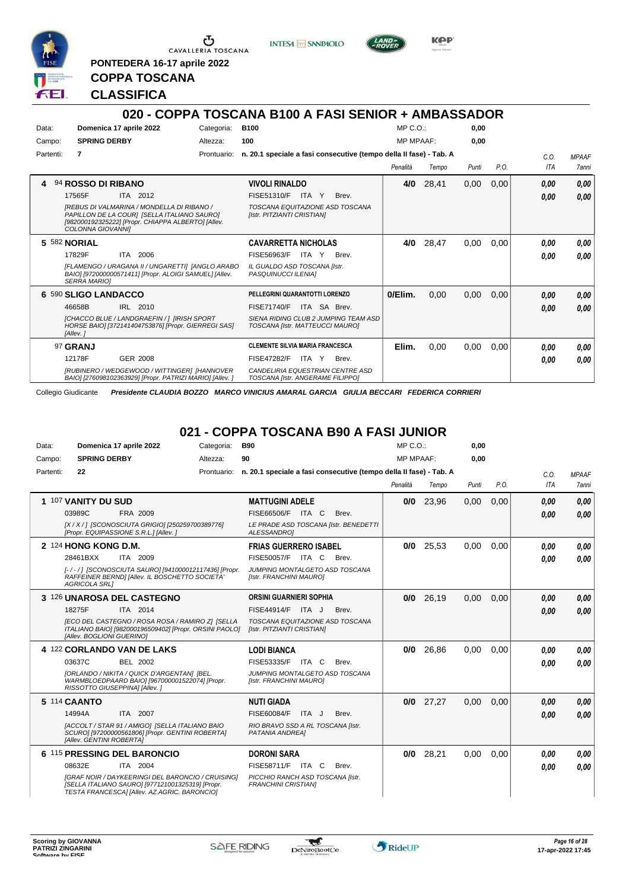

**PONTEDERA 16-17 aprile 2022**

**INTESA** M SANPAOLO



**Kep** 

## **CLASSIFICA**

**COPPA TOSCANA**

|           |                      |                                                                                                                                                 |            | 020 - COPPA TOSCANA B100 A FASI SENIOR + AMBASSADOR                            |                  |       |       |      |            |              |
|-----------|----------------------|-------------------------------------------------------------------------------------------------------------------------------------------------|------------|--------------------------------------------------------------------------------|------------------|-------|-------|------|------------|--------------|
| Data:     |                      | Domenica 17 aprile 2022                                                                                                                         | Categoria: | <b>B100</b>                                                                    | $MP C. O.$ :     |       | 0,00  |      |            |              |
| Campo:    | <b>SPRING DERBY</b>  |                                                                                                                                                 | Altezza:   | 100                                                                            | <b>MP MPAAF:</b> |       | 0.00  |      |            |              |
| Partenti: | 7                    |                                                                                                                                                 |            | Prontuario: n. 20.1 speciale a fasi consecutive (tempo della II fase) - Tab. A |                  |       |       |      | C.O.       | <b>MPAAF</b> |
|           |                      |                                                                                                                                                 |            |                                                                                | Penalità         | Tempo | Punti | P.O. | <b>ITA</b> | 7anni        |
| 4         | 94 ROSSO DI RIBANO   |                                                                                                                                                 |            | VIVOLI RINALDO                                                                 | 4/0              | 28,41 | 0,00  | 0,00 | 0,00       | 0.00         |
|           | 17565F               | ITA 2012                                                                                                                                        |            | FISE51310/F<br>ITA Y<br>Brev.                                                  |                  |       |       |      | 0.00       | 0,00         |
|           | COLONNA GIOVANNII    | IREBUS DI VALMARINA / MONDELLA DI RIBANO /<br>PAPILLON DE LA COURI [SELLA ITALIANO SAURO]<br>[982000192325222] [Propr. CHIAPPA ALBERTO] [Allev. |            | TOSCANA EQUITAZIONE ASD TOSCANA<br>[Istr. PITZIANTI CRISTIAN]                  |                  |       |       |      |            |              |
|           | 5 582 NORIAL         |                                                                                                                                                 |            | <b>CAVARRETTA NICHOLAS</b>                                                     | 4/0              | 28,47 | 0,00  | 0,00 | 0.00       | 0,00         |
|           | 17829F               | ITA 2006                                                                                                                                        |            | FISE56963/F<br>ITA<br>Brev.<br>Y                                               |                  |       |       |      | 0.00       | 0.00         |
|           | <b>SERRA MARIOI</b>  | [FLAMENGO / URAGANA II / UNGARETTI] [ANGLO ARABO<br>BAIO] [972000000571411] [Propr. ALOIGI SAMUEL] [Allev.                                      |            | IL GUALDO ASD TOSCANA [Istr.<br>PASQUINUCCI ILENIA]                            |                  |       |       |      |            |              |
|           | 6 590 SLIGO LANDACCO |                                                                                                                                                 |            | PELLEGRINI QUARANTOTTI LORENZO                                                 | 0/Elim.          | 0,00  | 0,00  | 0.00 | 0,00       | 0,00         |
|           | 46658B               | IRL 2010                                                                                                                                        |            | <b>FISE71740/F</b><br>ITA SA Brev.                                             |                  |       |       |      | 0,00       | 0,00         |
|           | [Allev.]             | [CHACCO BLUE / LANDGRAEFIN / ] [IRISH SPORT<br>HORSE BAIO] [372141404753876] [Propr. GIERREGI SAS]                                              |            | SIENA RIDING CLUB 2 JUMPING TEAM ASD<br>TOSCANA [Istr. MATTEUCCI MAURO]        |                  |       |       |      |            |              |
|           | 97 GRANJ             |                                                                                                                                                 |            | <b>CLEMENTE SILVIA MARIA FRANCESCA</b>                                         | Elim.            | 0,00  | 0.00  | 0.00 | 0.00       | 0.00         |
|           | 12178F               | GER 2008                                                                                                                                        |            | <b>FISE47282/F</b><br>Brev.<br>ITA<br>Y                                        |                  |       |       |      | 0.00       | 0.00         |
|           |                      | [RUBINERO / WEDGEWOOD / WITTINGER] [HANNOVER<br>BAIO] [276098102363929] [Propr. PATRIZI MARIO] [Allev. ]                                        |            | CANDELIRIA EQUESTRIAN CENTRE ASD<br>TOSCANA [Istr. ANGERAME FILIPPO]           |                  |       |       |      |            |              |

Collegio Giudicante *Presidente CLAUDIA BOZZO MARCO VINICIUS AMARAL GARCIA GIULIA BECCARI FEDERICA CORRIERI*

#### **021 - COPPA TOSCANA B90 A FASI JUNIOR**

| Data:     | Domenica 17 aprile 2022<br><b>SPRING DERBY</b>                                                                                                               | Categoria:<br>Altezza: | <b>B90</b><br>90                                                   | MP C. O.<br><b>MP MPAAF:</b> |             | 0,00<br>0.00 |      |            |              |
|-----------|--------------------------------------------------------------------------------------------------------------------------------------------------------------|------------------------|--------------------------------------------------------------------|------------------------------|-------------|--------------|------|------------|--------------|
| Campo:    |                                                                                                                                                              |                        |                                                                    |                              |             |              |      |            |              |
| Partenti: | 22                                                                                                                                                           | Prontuario:            | n. 20.1 speciale a fasi consecutive (tempo della Il fase) - Tab. A |                              |             |              |      | C.0        | <b>MPAAF</b> |
|           |                                                                                                                                                              |                        |                                                                    | Penalità                     | Tempo       | Punti        | P.O. | <b>ITA</b> | 7anni        |
|           | 1 107 VANITY DU SUD                                                                                                                                          |                        | <b>MATTUGINI ADELE</b>                                             |                              | $0/0$ 23.96 | 0,00         | 0.00 | 0,00       | 0,00         |
|           | FRA 2009<br>03989C                                                                                                                                           |                        | FISE66506/F ITA C<br>Brev.                                         |                              |             |              |      | 0.00       | 0.00         |
|           | [X / X / 1 [SCONOSCIUTA GRIGIO] [250259700389776]<br>[Propr. EQUIPASSIONE S.R.L.] [Allev.]                                                                   |                        | LE PRADE ASD TOSCANA [Istr. BENEDETTI<br>ALESSANDROI               |                              |             |              |      |            |              |
|           | 2 124 HONG KONG D.M.                                                                                                                                         |                        | <b>FRIAS GUERRERO ISABEL</b>                                       | 0/0                          | 25,53       | 0.00         | 0.00 | 0.00       | 0.00         |
|           | 28461BXX<br>ITA 2009                                                                                                                                         |                        | FISE50057/F ITA C<br>Brev.                                         |                              |             |              |      | 0.00       | 0.00         |
|           | [-/-/] [SCONOSCIUTA SAURO] [941000012117436] [Propr.<br>RAFFEINER BERND] [Allev. IL BOSCHETTO SOCIETA'<br><b>AGRICOLA SRLI</b>                               |                        | JUMPING MONTALGETO ASD TOSCANA<br>[Istr. FRANCHINI MAURO]          |                              |             |              |      |            |              |
|           | 3 126 UNAROSA DEL CASTEGNO                                                                                                                                   |                        | <b>ORSINI GUARNIERI SOPHIA</b>                                     | 0/0                          | 26,19       | 0,00         | 0.00 | 0,00       | 0.00         |
|           | 18275F<br>ITA 2014                                                                                                                                           |                        | FISE44914/F ITA J<br>Brev.                                         |                              |             |              |      | 0.00       | 0,00         |
|           | [ECO DEL CASTEGNO / ROSA ROSA / RAMIRO Z] [SELLA<br>ITALIANO BAIO] [982000196509402] [Propr. ORSINI PAOLO]<br>[Allev. BOGLIONI GUERINO]                      |                        | TOSCANA EQUITAZIONE ASD TOSCANA<br>[Istr. PITZIANTI CRISTIAN]      |                              |             |              |      |            |              |
|           | 4 122 CORLANDO VAN DE LAKS                                                                                                                                   |                        | <b>LODI BIANCA</b>                                                 | 0/0                          | 26,86       | 0,00         | 0,00 | 0.00       | 0.00         |
|           | 03637C<br>BEL 2002                                                                                                                                           |                        | FISE53335/F<br>ITA C<br>Brev.                                      |                              |             |              |      | 0,00       | 0.00         |
|           | <b>IORLANDO / NIKITA / QUICK D'ARGENTANI IBEL.</b><br>WARMBLOEDPAARD BAIO] [967000001522074] [Propr.<br>RISSOTTO GIUSEPPINA] [Allev.]                        |                        | JUMPING MONTALGETO ASD TOSCANA<br>[Istr. FRANCHINI MAURO]          |                              |             |              |      |            |              |
|           | 5 114 CAANTO                                                                                                                                                 |                        | <b>NUTI GIADA</b>                                                  |                              | $0/0$ 27.27 | 0.00         | 0.00 | 0,00       | 0.00         |
|           | 14994A<br>ITA 2007                                                                                                                                           |                        | <b>FISE60084/F</b><br>ITA J<br>Brev.                               |                              |             |              |      | 0.00       | 0.00         |
|           | [ACCOLT / STAR 91 / AMIGO] [SELLA ITALIANO BAIO<br>SCURO] [97200000561806] [Propr. GENTINI ROBERTA]<br>[Allev. GENTINI ROBERTA]                              |                        | RIO BRAVO SSD A RL TOSCANA [Istr.<br>PATANIA ANDREAI               |                              |             |              |      |            |              |
|           | 6 115 PRESSING DEL BARONCIO                                                                                                                                  |                        | <b>DORONI SARA</b>                                                 | 0/0                          | 28,21       | 0,00         | 0.00 | 0,00       | 0,00         |
|           | 08632E<br>ITA 2004                                                                                                                                           |                        | FISE58711/F ITA C<br>Brev.                                         |                              |             |              |      | 0,00       | 0.00         |
|           | <b>IGRAF NOIR / DAYKEERINGI DEL BARONCIO / CRUISINGI</b><br>[SELLA ITALIANO SAURO] [977121001325319] [Propr.<br>TESTA FRANCESCA] [Allev. AZ.AGRIC. BARONCIO] |                        | PICCHIO RANCH ASD TOSCANA [Istr.<br><b>FRANCHINI CRISTIANI</b>     |                              |             |              |      |            |              |

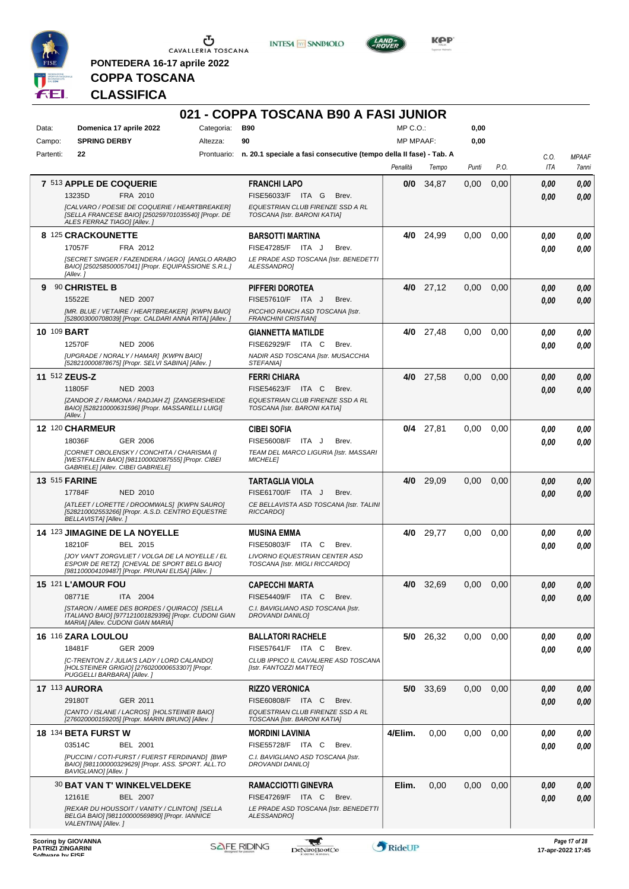

**PONTEDERA 16-17 aprile 2022**

**INTESA M** SANPAOLO



**Kep** 

## **COPPA TOSCANA CLASSIFICA**

|             |                                                                                                                                           |            | 021 - COPPA TOSCANA B90 A FASI JUNIOR                                          |                  |                  |       |      |      |              |
|-------------|-------------------------------------------------------------------------------------------------------------------------------------------|------------|--------------------------------------------------------------------------------|------------------|------------------|-------|------|------|--------------|
| Data:       | Domenica 17 aprile 2022                                                                                                                   | Categoria: | <b>B90</b>                                                                     | $MP C. O.$ :     |                  | 0,00  |      |      |              |
| Campo:      | <b>SPRING DERBY</b>                                                                                                                       | Altezza:   | 90                                                                             | <b>MP MPAAF:</b> |                  | 0,00  |      |      |              |
| Partenti:   | 22                                                                                                                                        |            | Prontuario: n. 20.1 speciale a fasi consecutive (tempo della II fase) - Tab. A |                  |                  |       |      | C.O. | <b>MPAAF</b> |
|             |                                                                                                                                           |            |                                                                                | Penalità         | Tempo            | Punti | P.O. | ITA  | 7anni        |
|             | 7 513 APPLE DE COQUERIE                                                                                                                   |            | <b>FRANCHI LAPO</b>                                                            | 0/0              | 34,87            | 0,00  | 0,00 | 0.00 | 0.00         |
|             | 13235D<br>FRA 2010                                                                                                                        |            | FISE56033/F ITA G<br>Brev.                                                     |                  |                  |       |      | 0.00 | 0.00         |
|             | [CALVARO / POESIE DE COQUERIE / HEARTBREAKER]<br>[SELLA FRANCESE BAIO] [250259701035540] [Propr. DE<br>ALES FERRAZ TIAGO] [Allev.]        |            | EQUESTRIAN CLUB FIRENZE SSD A RL<br>TOSCANA [Istr. BARONI KATIA]               |                  |                  |       |      |      |              |
|             | 8 125 CRACKOUNETTE                                                                                                                        |            | <b>BARSOTTI MARTINA</b>                                                        | 4/0              | 24,99            | 0.00  | 0.00 | 0.00 | 0,00         |
|             | 17057F<br>FRA 2012                                                                                                                        |            | FISE47285/F ITA J<br>Brev.                                                     |                  |                  |       |      | 0.00 | 0.00         |
|             | [SECRET SINGER / FAZENDERA / IAGO] [ANGLO ARABO<br>BAIO] [250258500057041] [Propr. EQUIPASSIONE S.R.L.]<br>[Allev.]                       |            | LE PRADE ASD TOSCANA [Istr. BENEDETTI<br>ALESSANDRO]                           |                  |                  |       |      |      |              |
| 9           | 90 CHRISTEL B                                                                                                                             |            | <b>PIFFERI DOROTEA</b>                                                         |                  | $4/0$ 27,12      | 0,00  | 0,00 | 0,00 | 0,00         |
|             | 15522E<br><b>NED 2007</b>                                                                                                                 |            | FISE57610/F ITA J<br>Brev.                                                     |                  |                  |       |      | 0.00 | 0.00         |
|             | [MR. BLUE / VETAIRE / HEARTBREAKER] [KWPN BAIO]<br>[528003000708039] [Propr. CALDARI ANNA RITA] [Allev. ]                                 |            | PICCHIO RANCH ASD TOSCANA [Istr.<br><b>FRANCHINI CRISTIAN]</b>                 |                  |                  |       |      |      |              |
| 10 109 BART |                                                                                                                                           |            | <b>GIANNETTA MATILDE</b>                                                       | 4/0              | 27,48            | 0,00  | 0,00 | 0,00 | 0,00         |
|             | 12570F<br><b>NED 2006</b>                                                                                                                 |            | FISE62929/F ITA C<br>Brev.                                                     |                  |                  |       |      | 0.00 | 0.00         |
|             | [UPGRADE / NORALY / HAMAR] [KWPN BAIO]                                                                                                    |            | NADIR ASD TOSCANA [Istr. MUSACCHIA                                             |                  |                  |       |      |      |              |
|             | [528210000878675] [Propr. SELVI SABINA] [Allev. ]<br>11 512 ZEUS-Z                                                                        |            | STEFANIA]<br><b>FERRI CHIARA</b>                                               |                  | 4/0 27.58        | 0,00  | 0,00 | 0,00 | 0.00         |
|             | 11805F<br><b>NED 2003</b>                                                                                                                 |            | FISE54623/F ITA C<br>Brev.                                                     |                  |                  |       |      | 0.00 | 0.00         |
|             | [ZANDOR Z / RAMONA / RADJAH Z] [ZANGERSHEIDE                                                                                              |            | EQUESTRIAN CLUB FIRENZE SSD A RL                                               |                  |                  |       |      |      |              |
|             | BAIO] [528210000631596] [Propr. MASSARELLI LUIGI]<br>[Allev.]                                                                             |            | TOSCANA [Istr. BARONI KATIA]                                                   |                  |                  |       |      |      |              |
|             | 12 120 CHARMEUR                                                                                                                           |            | <b>CIBEI SOFIA</b>                                                             |                  | $0/4$ 27,81      | 0.00  | 0.00 | 0.00 | 0.00         |
|             | 18036F<br>GER 2006                                                                                                                        |            | <b>FISE56008/F</b><br>ITA J<br>Brev.                                           |                  |                  |       |      | 0.00 | 0.00         |
|             | [CORNET OBOLENSKY / CONCHITA / CHARISMA I]                                                                                                |            | TEAM DEL MARCO LIGURIA [Istr. MASSARI                                          |                  |                  |       |      |      |              |
|             | [WESTFALEN BAIO] [981100002087555] [Propr. CIBEI<br>GABRIELE] [Allev. CIBEI GABRIELE]                                                     |            | <b>MICHELE1</b>                                                                |                  |                  |       |      |      |              |
|             | <b>13 515 FARINE</b>                                                                                                                      |            | <b>TARTAGLIA VIOLA</b>                                                         | 4/0              | 29,09            | 0,00  | 0,00 | 0,00 | 0,00         |
|             | 17784F<br><b>NED 2010</b>                                                                                                                 |            | FISE61700/F ITA J<br>Brev.                                                     |                  |                  |       |      | 0.00 | 0.00         |
|             | [ATLEET / LORETTE / DROOMWALS] [KWPN SAURO]<br>[528210002553266] [Propr. A.S.D. CENTRO EQUESTRE<br>BELLAVISTA] [Allev.]                   |            | CE BELLAVISTA ASD TOSCANA [Istr. TALINI<br>RICCARDO]                           |                  |                  |       |      |      |              |
|             | 14 123 JIMAGINE DE LA NOYELLE                                                                                                             |            | <b>MUSINA EMMA</b>                                                             | 4/0              | 29,77            | 0,00  | 0,00 | 0.00 | 0,00         |
|             | 18210F<br>BEL 2015                                                                                                                        |            | FISE50803/F ITA C<br>Brev.                                                     |                  |                  |       |      | 0.00 | 0.00         |
|             | JJOY VAN'T ZORGVLIET / VOLGA DE LA NOYELLE / EL<br>ESPOIR DE RETZI [CHEVAL DE SPORT BELG BAIO]                                            |            | LIVORNO EQUESTRIAN CENTER ASD<br>TOSCANA [Istr. MIGLI RICCARDO]                |                  |                  |       |      |      |              |
|             | [981100004109487] [Propr. PRUNAI ELISA] [Allev. ]                                                                                         |            |                                                                                |                  |                  |       |      |      |              |
|             | 15 121 L'AMOUR FOU                                                                                                                        |            | <b>CAPECCHI MARTA</b>                                                          |                  | <b>4/0</b> 32,69 | 0,00  | 0,00 | 0,00 | 0,00         |
|             | 08771E<br>ITA 2004                                                                                                                        |            | FISE54409/F ITA C<br>Brev.                                                     |                  |                  |       |      | 0,00 | 0,00         |
|             | [STARON / AIMEE DES BORDES / QUIRACO] [SELLA<br>ITALIANO BAIO] [977121001829396] [Propr. CUDONI GIAN<br>MARIA] [Allev. CUDONI GIAN MARIA] |            | C.I. BAVIGLIANO ASD TOSCANA [Istr.<br>DROVANDI DANILO]                         |                  |                  |       |      |      |              |
|             | 16 116 ZARA LOULOU                                                                                                                        |            | <b>BALLATORI RACHELE</b>                                                       |                  | 5/0 26,32        | 0.00  | 0.00 | 0,00 | 0,00         |
|             | 18481F<br><b>GER 2009</b>                                                                                                                 |            | FISE57641/F ITA C<br>Brev.                                                     |                  |                  |       |      | 0,00 | 0.00         |
|             | [C-TRENTON Z / JULIA'S LADY / LORD CALANDO]<br>[HOLSTEINER GRIGIO] [276020000653307] [Propr.                                              |            | CLUB IPPICO IL CAVALIERE ASD TOSCANA<br>[Istr. FANTOZZI MATTEO]                |                  |                  |       |      |      |              |
|             | PUGGELLI BARBARA] [Allev.]                                                                                                                |            |                                                                                |                  |                  |       |      |      |              |
|             | <b>17 113 AURORA</b>                                                                                                                      |            | <b>RIZZO VERONICA</b>                                                          |                  | 5/0 33,69        | 0,00  | 0,00 | 0,00 | 0,00         |
|             | 29180T<br>GER 2011                                                                                                                        |            | FISE60808/F ITA C<br>Brev.                                                     |                  |                  |       |      | 0,00 | 0.00         |
|             | [CANTO / ISLANE / LACROS] [HOLSTEINER BAIO]<br>[276020000159205] [Propr. MARIN BRUNO] [Allev. ]                                           |            | EQUESTRIAN CLUB FIRENZE SSD A RL<br>TOSCANA [Istr. BARONI KATIA]               |                  |                  |       |      |      |              |
|             | <b>18 134 BETA FURST W</b>                                                                                                                |            | <b>MORDINI LAVINIA</b>                                                         | 4/Elim.          | 0,00             | 0.00  | 0,00 | 0,00 | 0,00         |
|             | 03514C<br>BEL 2001                                                                                                                        |            | FISE55728/F ITA C<br>Brev.                                                     |                  |                  |       |      | 0,00 | 0,00         |
|             | [PUCCINI / COTI-FURST / FUERST FERDINAND] [BWP<br>BAIO] [981100000329629] [Propr. ASS. SPORT. ALL.TO<br>BAVIGLIANO] [Allev. ]             |            | C.I. BAVIGLIANO ASD TOSCANA [Istr.<br>DROVANDI DANILO]                         |                  |                  |       |      |      |              |
|             | <b>30 BAT VAN T' WINKELVELDEKE</b>                                                                                                        |            | <b>RAMACCIOTTI GINEVRA</b>                                                     | Elim.            | 0,00             | 0,00  | 0,00 | 0,00 | 0,00         |
|             | 12161E<br>BEL 2007                                                                                                                        |            | FISE47269/F ITA C<br>Brev.                                                     |                  |                  |       |      | 0.00 | 0.00         |
|             | [REXAR DU HOUSSOIT / VANITY / CLINTON] [SELLA<br>BELGA BAIO] [981100000569890] [Propr. IANNICE                                            |            | LE PRADE ASD TOSCANA [Istr. BENEDETTI<br>ALESSANDRO]                           |                  |                  |       |      |      |              |
|             | VALENTINA] [Allev.]                                                                                                                       |            |                                                                                |                  |                  |       |      |      |              |



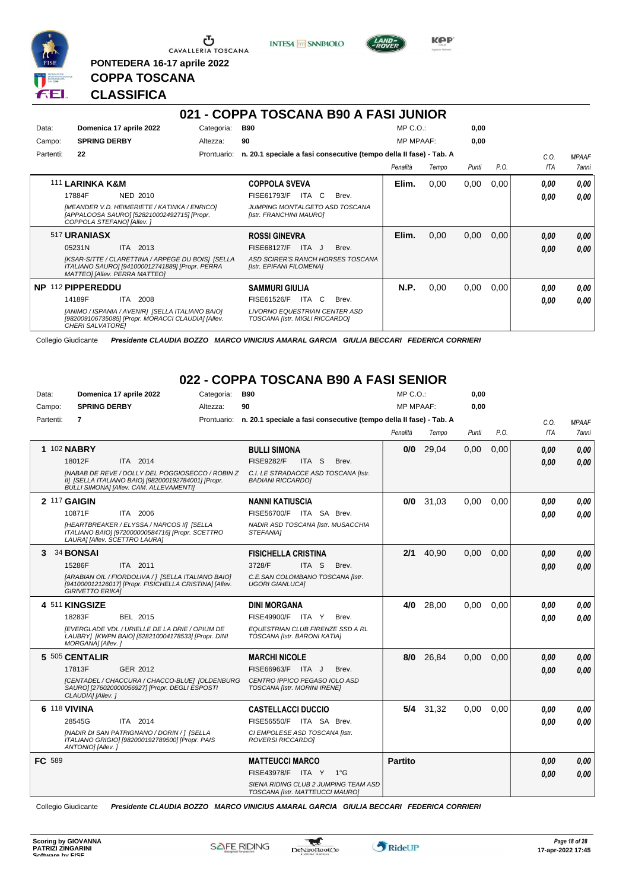

<u>ය</u> CAVALLERIA TOSCANA

**PONTEDERA 16-17 aprile 2022**

**INTESA** M SANPAOLO



**KPP** 

## **CLASSIFICA**

**COPPA TOSCANA**

#### **021 - COPPA TOSCANA B90 A FASI JUNIOR** Data: **Domenica 17 aprile 2022** Categoria: B90 Prontuario: **n. 20.1 speciale a fasi consecutive (tempo della II fase) - Tab. A** Campo: **SPRING DERBY** Partenti: **22** Altezza: **90**  $MP \cap \bigcap$ MP MPAAF: **0,00 0,00** *Penalità Tempo Punti P.O. C.O. ITA MPAAF 7anni* 111 **LARINKA K&M** NED 2010 **COPPOLA SVEVA** *[MEANDER V.D. HEIMERIETE / KATINKA / ENRICO] [APPALOOSA SAURO] [528210002492715] [Propr. COPPOLA STEFANO] [Allev. ] JUMPING MONTALGETO ASD TOSCANA [Istr. FRANCHINI MAURO]* 17884F NED 2010 FISE61793/F ITA C Brev. *0,00 0,00* **Elim.** 0,00 0,00 0,00 *0,00 0,00 0,00* 517 **URANIASX** ITA 2013 **ROSSI GINEVRA** *[KSAR-SITTE / CLARETTINA / ARPEGE DU BOIS] [SELLA ITALIANO SAURO] [941000012741889] [Propr. PERRA MATTEO] [Allev. PERRA MATTEO] ASD SCIRER'S RANCH HORSES TOSCANA [Istr. EPIFANI FILOMENA]* 05231N ITA 2013 FISE68127/F ITA J Brev. **0,00 0,00 Elim.** 0,00 0,00 0,00 *0,00 0,00 0,00* **NP** 112 **PIPPEREDDU** ITA 2008 **SAMMURI GIULIA** *[ANIMO / ISPANIA / AVENIR] [SELLA ITALIANO BAIO] [982009106735085] [Propr. MORACCI CLAUDIA] [Allev. CHERI SALVATORE] LIVORNO EQUESTRIAN CENTER ASD TOSCANA [Istr. MIGLI RICCARDO]* 14189F ITA 2008 FISE61526/F ITA C Brev. <mark>0,00 0,00</mark> **N.P.** 0,00 0,00 0,00 *0,00 0,00 0,00*

Collegio Giudicante *Presidente CLAUDIA BOZZO MARCO VINICIUS AMARAL GARCIA GIULIA BECCARI FEDERICA CORRIERI*

## **022 - COPPA TOSCANA B90 A FASI SENIOR**

| Data:     | Domenica 17 aprile 2022                                                                                                                            | Categoria: | <b>B90</b>                                                                     | MP C.O.:         |             | 0,00  |      |            |              |
|-----------|----------------------------------------------------------------------------------------------------------------------------------------------------|------------|--------------------------------------------------------------------------------|------------------|-------------|-------|------|------------|--------------|
| Campo:    | <b>SPRING DERBY</b>                                                                                                                                | Altezza:   | 90                                                                             | <b>MP MPAAF:</b> |             | 0.00  |      |            |              |
| Partenti: | $\overline{7}$                                                                                                                                     |            | Prontuario: n. 20.1 speciale a fasi consecutive (tempo della II fase) - Tab. A |                  |             |       |      | C.O.       | <b>MPAAF</b> |
|           |                                                                                                                                                    |            |                                                                                | Penalità         | Tempo       | Punti | P.O. | <b>ITA</b> | 7anni        |
|           | 1 102 NABRY                                                                                                                                        |            | <b>BULLI SIMONA</b>                                                            | 0/0              | 29,04       | 0,00  | 0,00 | 0.00       | 0.00         |
|           | ITA 2014<br>18012F                                                                                                                                 |            | <b>FISE9282/F</b><br>ITA S<br>Brev.                                            |                  |             |       |      | 0.00       | 0,00         |
|           | INABAB DE REVE / DOLLY DEL POGGIOSECCO / ROBIN Z<br>II] [SELLA ITALIANO BAIO] [982000192784001] [Propr.<br>BULLI SIMONA] [Allev. CAM. ALLEVAMENTI] |            | C.I. LE STRADACCE ASD TOSCANA [Istr.<br><b>BADIANI RICCARDOI</b>               |                  |             |       |      |            |              |
|           | 2 117 GAIGIN                                                                                                                                       |            | <b>NANNI KATIUSCIA</b>                                                         |                  | $0/0$ 31,03 | 0,00  | 0,00 | 0.00       | 0.00         |
|           | 10871F<br>ITA 2006                                                                                                                                 |            | FISE56700/F ITA SA Brev.                                                       |                  |             |       |      | 0.00       | 0.00         |
|           | [HEARTBREAKER / ELYSSA / NARCOS II] [SELLA<br>ITALIANO BAIO] [972000000584716] [Propr. SCETTRO<br>LAURA] [Allev. SCETTRO LAURA]                    |            | NADIR ASD TOSCANA [Istr. MUSACCHIA<br>STEFANIA1                                |                  |             |       |      |            |              |
| 3         | 34 BONSAI                                                                                                                                          |            | <b>FISICHELLA CRISTINA</b>                                                     | 2/1              | 40,90       | 0,00  | 0,00 | 0.00       | 0.00         |
|           | 15286F<br>ITA 2011                                                                                                                                 |            | 3728/F<br>ITA S<br>Brev.                                                       |                  |             |       |      | 0.00       | 0.00         |
|           | [ARABIAN OIL / FIORDOLIVA / ] [SELLA ITALIANO BAIO]<br>[941000012126017] [Propr. FISICHELLA CRISTINA] [Allev.<br><b>GIRIVETTO ERIKAI</b>           |            | C.E.SAN COLOMBANO TOSCANA [Istr.<br><b>UGORI GIANLUCAI</b>                     |                  |             |       |      |            |              |
|           | 4 511 KINGSIZE                                                                                                                                     |            | <b>DINI MORGANA</b>                                                            | 4/0              | 28.00       | 0.00  | 0.00 | 0.00       | 0.00         |
|           | BEL 2015<br>18283F                                                                                                                                 |            | FISE49900/F ITA Y<br>Brev.                                                     |                  |             |       |      | 0.00       | 0.00         |
|           | IEVERGLADE VDL / URIELLE DE LA DRIE / OPIUM DE<br>LAUBRY] [KWPN BAIO] [528210004178533] [Propr. DINI<br>MORGANA] [Allev.]                          |            | EQUESTRIAN CLUB FIRENZE SSD A RL<br>TOSCANA [Istr. BARONI KATIA]               |                  |             |       |      |            |              |
|           | 5 505 CENTALIR                                                                                                                                     |            | <b>MARCHI NICOLE</b>                                                           |                  | 8/0 26,84   | 0,00  | 0.00 | 0.00       | 0.00         |
|           | GER 2012<br>17813F                                                                                                                                 |            | FISE66963/F ITA J<br>Brev.                                                     |                  |             |       |      | 0.00       | 0.00         |
|           | [CENTADEL / CHACCURA / CHACCO-BLUE] [OLDENBURG<br>SAURO] [276020000056927] [Propr. DEGLI ESPOSTI<br>CLAUDIA] [Allev.]                              |            | CENTRO IPPICO PEGASO IOLO ASD<br>TOSCANA [Istr. MORINI IRENE]                  |                  |             |       |      |            |              |
|           | 6 118 VIVINA                                                                                                                                       |            | <b>CASTELLACCI DUCCIO</b>                                                      |                  | 5/4 31,32   | 0,00  | 0,00 | 0,00       | 0.00         |
|           | ITA 2014<br>28545G                                                                                                                                 |            | FISE56550/F ITA SA Brev.                                                       |                  |             |       |      | 0.00       | 0.00         |
|           | [NADIR DI SAN PATRIGNANO / DORIN / ] [SELLA<br>ITALIANO GRIGIO] [982000192789500] [Propr. PAIS<br>ANTONIO] [Allev.]                                |            | CI EMPOLESE ASD TOSCANA [Istr.<br>ROVERSI RICCARDOI                            |                  |             |       |      |            |              |
| FC 589    |                                                                                                                                                    |            | <b>MATTEUCCI MARCO</b>                                                         | <b>Partito</b>   |             |       |      | 0.00       | 0.00         |
|           |                                                                                                                                                    |            | FISE43978/F ITA Y 1°G                                                          |                  |             |       |      | 0.00       | 0.00         |
|           |                                                                                                                                                    |            | SIENA RIDING CLUB 2 JUMPING TEAM ASD<br>TOSCANA [Istr. MATTEUCCI MAURO]        |                  |             |       |      |            |              |

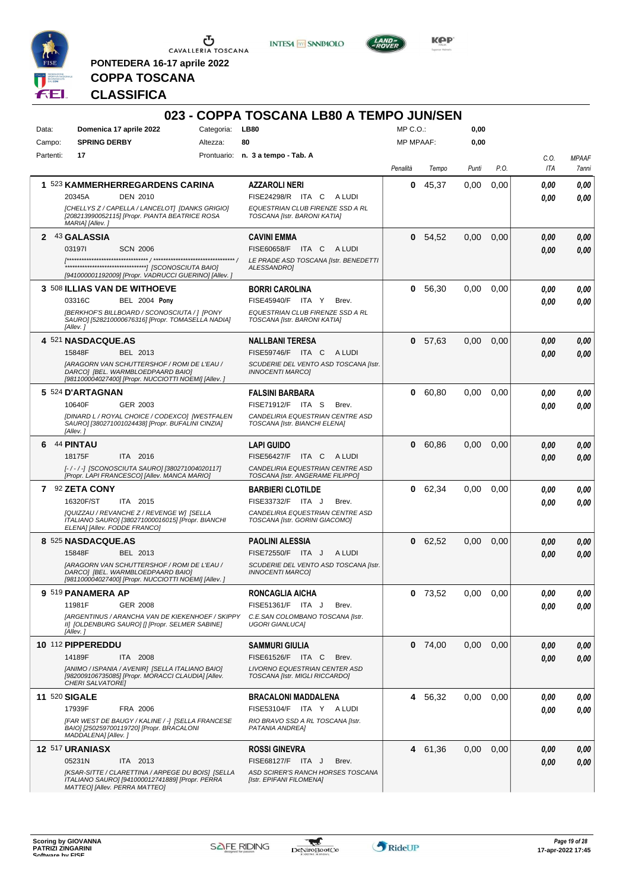

**PONTEDERA 16-17 aprile 2022**

**INTESA M** SANPAOLO



**Kep** 

# **COPPA TOSCANA CLASSIFICA**

| Domenica 17 aprile 2022<br><b>LB80</b><br>MP C. O.<br>0,00<br>Data:<br>Categoria:<br><b>SPRING DERBY</b><br><b>MP MPAAF:</b><br>0,00<br>Campo:<br>Altezza:<br>80<br>Partenti:<br>17<br>Prontuario: n. 3 a tempo - Tab. A<br>C.O.<br><b>MPAAF</b><br>P.O.<br><b>ITA</b><br>Penalità<br>Tempo<br>Punti<br>7anni<br>1 523 KAMMERHERREGARDENS CARINA<br>0<br>45,37<br>0,00<br>0,00<br>AZZAROLI NERI<br>0.00<br>0,00<br>FISE24298/R ITA C ALUDI<br>20345A<br><b>DEN 2010</b><br>0,00<br>0.00<br>EQUESTRIAN CLUB FIRENZE SSD A RL<br>[CHELLYS Z / CAPELLA / LANCELOT] [DANKS GRIGIO]<br>[208213990052115] [Propr. PIANTA BEATRICE ROSA<br>TOSCANA [Istr. BARONI KATIA]<br>MARIA] [Allev.]<br>2 43 GALASSIA<br><b>CAVINI EMMA</b><br>0, 54, 52<br>0,00<br>0,00<br>0,00<br>0.00<br>031971<br><b>SCN 2006</b><br>FISE60658/F<br>ITA C ALUDI<br>0,00<br>0.00<br>LE PRADE ASD TOSCANA [Istr. BENEDETTI<br>ALESSANDRO1<br>[941000001192009] [Propr. VADRUCCI GUERINO] [Allev. ]<br>3 508 ILLIAS VAN DE WITHOEVE<br><b>BORRI CAROLINA</b><br>56,30<br>0,00<br>0,00<br>0.00<br>0.00<br>0<br>03316C<br><b>BEL 2004 Pony</b><br>FISE45940/F ITA Y<br>Brev.<br>0.00<br>0.00<br>[BERKHOF'S BILLBOARD / SCONOSCIUTA / 1 [PONY<br>EQUESTRIAN CLUB FIRENZE SSD A RL<br>SAURO] [528210000676316] [Propr. TOMASELLA NADIA]<br>TOSCANA [Istr. BARONI KATIA]<br>[Allev.]<br>4 521 NASDACQUE.AS<br>0,00<br><b>NALLBANI TERESA</b><br>0<br>57,63<br>0,00<br>0,00<br>0.00<br>BEL 2013<br>FISE59746/F ITA C ALUDI<br>15848F<br>0.00<br>0.00<br>[ARAGORN VAN SCHUTTERSHOF / ROMI DE L'EAU /<br>SCUDERIE DEL VENTO ASD TOSCANA [Istr.<br>DARCO] [BEL. WARMBLOEDPAARD BAIO]<br><b>INNOCENTI MARCOI</b><br>[981100004027400] [Propr. NUCCIOTTI NOEMI] [Allev. ]<br>5 524 D'ARTAGNAN<br>60,80<br>0,00<br><b>FALSINI BARBARA</b><br>0<br>0,00<br>0.00<br>0,00<br>10640F<br>GER 2003<br>FISE71912/F ITA S<br>Brev.<br>0,00<br>0.00<br>[DINARD L / ROYAL CHOICE / CODEXCO] [WESTFALEN<br>CANDELIRIA EQUESTRIAN CENTRE ASD<br>SAURO] [380271001024438] [Propr. BUFALINI CINZIA]<br>TOSCANA [Istr. BIANCHI ELENA]<br>[Allev.]<br><b>44 PINTAU</b><br>0<br>60,86<br>0,00<br>0,00<br>6<br><b>LAPI GUIDO</b><br>0,00<br>0,00<br>18175F<br>ITA 2016<br>FISE56427/F<br>ITA C<br>A LUDI<br>0,00<br>0,00<br>[-/-/-] [SCONOSCIUTA SAURO] [380271004020117]<br>CANDELIRIA EQUESTRIAN CENTRE ASD<br>[Propr. LAPI FRANCESCO] [Allev. MANCA MARIO]<br>TOSCANA [Istr. ANGERAME FILIPPO]<br>7 92 ZETA CONY<br>62,34<br>0,00<br>0,00<br><b>BARBIERI CLOTILDE</b><br>0<br>0,00<br>0,00<br>16320F/ST<br>ITA 2015<br>FISE33732/F ITA J<br>Brev.<br>0.00<br>0,00<br>[QUIZZAU / REVANCHE Z / REVENGE W] [SELLA<br>CANDELIRIA EQUESTRIAN CENTRE ASD<br>ITALIANO SAURO] [380271000016015] [Propr. BIANCHI<br>TOSCANA [Istr. GORINI GIACOMO]<br>ELENA] [Allev. FODDE FRANCO]<br>8 525 NASDACQUE.AS<br><b>PAOLINI ALESSIA</b><br>0 62,52<br>0,00<br>0,00<br>0,00<br>0,00<br>15848F<br>BEL 2013<br>FISE72550/F ITA J<br>A LUDI<br>0,00<br>0,00<br>[ARAGORN VAN SCHUTTERSHOF / ROMI DE L'EAU /<br>SCUDERIE DEL VENTO ASD TOSCANA [Istr.<br>DARCO] [BEL. WARMBLOEDPAARD BAIO]<br><b>INNOCENTI MARCOI</b><br>[981100004027400] [Propr. NUCCIO I II NOEMI] [Allev. ]<br>0,00<br>9 519 PANAMERA AP<br>RONCAGLIA AICHA<br>$0$ 73,52<br>0.00<br>0,00<br>0.00<br>11981F<br><b>GER 2008</b><br>FISE51361/F ITA J<br>Brev.<br>0,00<br>0,00<br><b>IARGENTINUS / ARANCHA VAN DE KIEKENHOEF / SKIPPY</b><br>C.E.SAN COLOMBANO TOSCANA [Istr.<br>II] JOLDENBURG SAURO] [] [Propr. SELMER SABINE]<br><b>UGORI GIANLUCA]</b><br>[Allev.]<br>10 112 PIPPEREDDU<br>0,00<br><b>SAMMURI GIULIA</b><br>$0$ 74,00<br>0,00<br>0.00<br>0,00<br>14189F<br>ITA 2008<br>FISE61526/F ITA C<br>Brev.<br>0,00<br>0,00<br>[ANIMO / ISPANIA / AVENIR] [SELLA ITALIANO BAIO]<br><b>LIVORNO EQUESTRIAN CENTER ASD</b><br>[982009106735085] [Propr. MORACCI CLAUDIA] [Allev.<br>TOSCANA [Istr. MIGLI RICCARDO]<br>CHERI SALVATORE]<br>11 520 SIGALE<br>4<br>56,32<br>0,00<br>0,00<br><b>BRACALONI MADDALENA</b><br>0,00<br>0,00<br>17939F<br>FRA 2006<br>FISE53104/F ITA Y ALUDI<br>0,00<br>0,00<br>[FAR WEST DE BAUGY / KALINE / -] [SELLA FRANCESE<br>RIO BRAVO SSD A RL TOSCANA [Istr.<br>BAIO] [250259700119720] [Propr. BRACALONI<br>PATANIA ANDREA]<br>MADDALENA] [Allev.]<br>12 517 URANIASX<br>0,00<br>0,00<br><b>ROSSI GINEVRA</b><br>4 61,36<br>0,00<br>0,00<br>05231N<br>ITA 2013<br>FISE68127/F ITA J<br>Brev.<br>0,00<br>0,00<br>[KSAR-SITTE / CLARETTINA / ARPEGE DU BOIS] [SELLA<br>ASD SCIRER'S RANCH HORSES TOSCANA<br>ITALIANO SAURO] [941000012741889] [Propr. PERRA<br>[Istr. EPIFANI FILOMENA] |                               | 023 - COPPA TOSCANA LB80 A TEMPO JUN/SEN |  |  |  |
|------------------------------------------------------------------------------------------------------------------------------------------------------------------------------------------------------------------------------------------------------------------------------------------------------------------------------------------------------------------------------------------------------------------------------------------------------------------------------------------------------------------------------------------------------------------------------------------------------------------------------------------------------------------------------------------------------------------------------------------------------------------------------------------------------------------------------------------------------------------------------------------------------------------------------------------------------------------------------------------------------------------------------------------------------------------------------------------------------------------------------------------------------------------------------------------------------------------------------------------------------------------------------------------------------------------------------------------------------------------------------------------------------------------------------------------------------------------------------------------------------------------------------------------------------------------------------------------------------------------------------------------------------------------------------------------------------------------------------------------------------------------------------------------------------------------------------------------------------------------------------------------------------------------------------------------------------------------------------------------------------------------------------------------------------------------------------------------------------------------------------------------------------------------------------------------------------------------------------------------------------------------------------------------------------------------------------------------------------------------------------------------------------------------------------------------------------------------------------------------------------------------------------------------------------------------------------------------------------------------------------------------------------------------------------------------------------------------------------------------------------------------------------------------------------------------------------------------------------------------------------------------------------------------------------------------------------------------------------------------------------------------------------------------------------------------------------------------------------------------------------------------------------------------------------------------------------------------------------------------------------------------------------------------------------------------------------------------------------------------------------------------------------------------------------------------------------------------------------------------------------------------------------------------------------------------------------------------------------------------------------------------------------------------------------------------------------------------------------------------------------------------------------------------------------------------------------------------------------------------------------------------------------------------------------------------------------------------------------------------------------------------------------------------------------------------------------------------------------------------------------------------------------------------------------------------------------------------------------------------------------------------------------------------------------------------------------------------------------------------------------------------------------------------------------------------------------------------------------------------------------------------------------------------------------------------------------------------------------------------|-------------------------------|------------------------------------------|--|--|--|
|                                                                                                                                                                                                                                                                                                                                                                                                                                                                                                                                                                                                                                                                                                                                                                                                                                                                                                                                                                                                                                                                                                                                                                                                                                                                                                                                                                                                                                                                                                                                                                                                                                                                                                                                                                                                                                                                                                                                                                                                                                                                                                                                                                                                                                                                                                                                                                                                                                                                                                                                                                                                                                                                                                                                                                                                                                                                                                                                                                                                                                                                                                                                                                                                                                                                                                                                                                                                                                                                                                                                                                                                                                                                                                                                                                                                                                                                                                                                                                                                                                                                                                                                                                                                                                                                                                                                                                                                                                                                                                                                                                                                                  |                               |                                          |  |  |  |
|                                                                                                                                                                                                                                                                                                                                                                                                                                                                                                                                                                                                                                                                                                                                                                                                                                                                                                                                                                                                                                                                                                                                                                                                                                                                                                                                                                                                                                                                                                                                                                                                                                                                                                                                                                                                                                                                                                                                                                                                                                                                                                                                                                                                                                                                                                                                                                                                                                                                                                                                                                                                                                                                                                                                                                                                                                                                                                                                                                                                                                                                                                                                                                                                                                                                                                                                                                                                                                                                                                                                                                                                                                                                                                                                                                                                                                                                                                                                                                                                                                                                                                                                                                                                                                                                                                                                                                                                                                                                                                                                                                                                                  |                               |                                          |  |  |  |
|                                                                                                                                                                                                                                                                                                                                                                                                                                                                                                                                                                                                                                                                                                                                                                                                                                                                                                                                                                                                                                                                                                                                                                                                                                                                                                                                                                                                                                                                                                                                                                                                                                                                                                                                                                                                                                                                                                                                                                                                                                                                                                                                                                                                                                                                                                                                                                                                                                                                                                                                                                                                                                                                                                                                                                                                                                                                                                                                                                                                                                                                                                                                                                                                                                                                                                                                                                                                                                                                                                                                                                                                                                                                                                                                                                                                                                                                                                                                                                                                                                                                                                                                                                                                                                                                                                                                                                                                                                                                                                                                                                                                                  |                               |                                          |  |  |  |
|                                                                                                                                                                                                                                                                                                                                                                                                                                                                                                                                                                                                                                                                                                                                                                                                                                                                                                                                                                                                                                                                                                                                                                                                                                                                                                                                                                                                                                                                                                                                                                                                                                                                                                                                                                                                                                                                                                                                                                                                                                                                                                                                                                                                                                                                                                                                                                                                                                                                                                                                                                                                                                                                                                                                                                                                                                                                                                                                                                                                                                                                                                                                                                                                                                                                                                                                                                                                                                                                                                                                                                                                                                                                                                                                                                                                                                                                                                                                                                                                                                                                                                                                                                                                                                                                                                                                                                                                                                                                                                                                                                                                                  |                               |                                          |  |  |  |
|                                                                                                                                                                                                                                                                                                                                                                                                                                                                                                                                                                                                                                                                                                                                                                                                                                                                                                                                                                                                                                                                                                                                                                                                                                                                                                                                                                                                                                                                                                                                                                                                                                                                                                                                                                                                                                                                                                                                                                                                                                                                                                                                                                                                                                                                                                                                                                                                                                                                                                                                                                                                                                                                                                                                                                                                                                                                                                                                                                                                                                                                                                                                                                                                                                                                                                                                                                                                                                                                                                                                                                                                                                                                                                                                                                                                                                                                                                                                                                                                                                                                                                                                                                                                                                                                                                                                                                                                                                                                                                                                                                                                                  |                               |                                          |  |  |  |
|                                                                                                                                                                                                                                                                                                                                                                                                                                                                                                                                                                                                                                                                                                                                                                                                                                                                                                                                                                                                                                                                                                                                                                                                                                                                                                                                                                                                                                                                                                                                                                                                                                                                                                                                                                                                                                                                                                                                                                                                                                                                                                                                                                                                                                                                                                                                                                                                                                                                                                                                                                                                                                                                                                                                                                                                                                                                                                                                                                                                                                                                                                                                                                                                                                                                                                                                                                                                                                                                                                                                                                                                                                                                                                                                                                                                                                                                                                                                                                                                                                                                                                                                                                                                                                                                                                                                                                                                                                                                                                                                                                                                                  |                               |                                          |  |  |  |
|                                                                                                                                                                                                                                                                                                                                                                                                                                                                                                                                                                                                                                                                                                                                                                                                                                                                                                                                                                                                                                                                                                                                                                                                                                                                                                                                                                                                                                                                                                                                                                                                                                                                                                                                                                                                                                                                                                                                                                                                                                                                                                                                                                                                                                                                                                                                                                                                                                                                                                                                                                                                                                                                                                                                                                                                                                                                                                                                                                                                                                                                                                                                                                                                                                                                                                                                                                                                                                                                                                                                                                                                                                                                                                                                                                                                                                                                                                                                                                                                                                                                                                                                                                                                                                                                                                                                                                                                                                                                                                                                                                                                                  |                               |                                          |  |  |  |
|                                                                                                                                                                                                                                                                                                                                                                                                                                                                                                                                                                                                                                                                                                                                                                                                                                                                                                                                                                                                                                                                                                                                                                                                                                                                                                                                                                                                                                                                                                                                                                                                                                                                                                                                                                                                                                                                                                                                                                                                                                                                                                                                                                                                                                                                                                                                                                                                                                                                                                                                                                                                                                                                                                                                                                                                                                                                                                                                                                                                                                                                                                                                                                                                                                                                                                                                                                                                                                                                                                                                                                                                                                                                                                                                                                                                                                                                                                                                                                                                                                                                                                                                                                                                                                                                                                                                                                                                                                                                                                                                                                                                                  |                               |                                          |  |  |  |
|                                                                                                                                                                                                                                                                                                                                                                                                                                                                                                                                                                                                                                                                                                                                                                                                                                                                                                                                                                                                                                                                                                                                                                                                                                                                                                                                                                                                                                                                                                                                                                                                                                                                                                                                                                                                                                                                                                                                                                                                                                                                                                                                                                                                                                                                                                                                                                                                                                                                                                                                                                                                                                                                                                                                                                                                                                                                                                                                                                                                                                                                                                                                                                                                                                                                                                                                                                                                                                                                                                                                                                                                                                                                                                                                                                                                                                                                                                                                                                                                                                                                                                                                                                                                                                                                                                                                                                                                                                                                                                                                                                                                                  |                               |                                          |  |  |  |
|                                                                                                                                                                                                                                                                                                                                                                                                                                                                                                                                                                                                                                                                                                                                                                                                                                                                                                                                                                                                                                                                                                                                                                                                                                                                                                                                                                                                                                                                                                                                                                                                                                                                                                                                                                                                                                                                                                                                                                                                                                                                                                                                                                                                                                                                                                                                                                                                                                                                                                                                                                                                                                                                                                                                                                                                                                                                                                                                                                                                                                                                                                                                                                                                                                                                                                                                                                                                                                                                                                                                                                                                                                                                                                                                                                                                                                                                                                                                                                                                                                                                                                                                                                                                                                                                                                                                                                                                                                                                                                                                                                                                                  |                               |                                          |  |  |  |
|                                                                                                                                                                                                                                                                                                                                                                                                                                                                                                                                                                                                                                                                                                                                                                                                                                                                                                                                                                                                                                                                                                                                                                                                                                                                                                                                                                                                                                                                                                                                                                                                                                                                                                                                                                                                                                                                                                                                                                                                                                                                                                                                                                                                                                                                                                                                                                                                                                                                                                                                                                                                                                                                                                                                                                                                                                                                                                                                                                                                                                                                                                                                                                                                                                                                                                                                                                                                                                                                                                                                                                                                                                                                                                                                                                                                                                                                                                                                                                                                                                                                                                                                                                                                                                                                                                                                                                                                                                                                                                                                                                                                                  |                               |                                          |  |  |  |
|                                                                                                                                                                                                                                                                                                                                                                                                                                                                                                                                                                                                                                                                                                                                                                                                                                                                                                                                                                                                                                                                                                                                                                                                                                                                                                                                                                                                                                                                                                                                                                                                                                                                                                                                                                                                                                                                                                                                                                                                                                                                                                                                                                                                                                                                                                                                                                                                                                                                                                                                                                                                                                                                                                                                                                                                                                                                                                                                                                                                                                                                                                                                                                                                                                                                                                                                                                                                                                                                                                                                                                                                                                                                                                                                                                                                                                                                                                                                                                                                                                                                                                                                                                                                                                                                                                                                                                                                                                                                                                                                                                                                                  |                               |                                          |  |  |  |
|                                                                                                                                                                                                                                                                                                                                                                                                                                                                                                                                                                                                                                                                                                                                                                                                                                                                                                                                                                                                                                                                                                                                                                                                                                                                                                                                                                                                                                                                                                                                                                                                                                                                                                                                                                                                                                                                                                                                                                                                                                                                                                                                                                                                                                                                                                                                                                                                                                                                                                                                                                                                                                                                                                                                                                                                                                                                                                                                                                                                                                                                                                                                                                                                                                                                                                                                                                                                                                                                                                                                                                                                                                                                                                                                                                                                                                                                                                                                                                                                                                                                                                                                                                                                                                                                                                                                                                                                                                                                                                                                                                                                                  |                               |                                          |  |  |  |
|                                                                                                                                                                                                                                                                                                                                                                                                                                                                                                                                                                                                                                                                                                                                                                                                                                                                                                                                                                                                                                                                                                                                                                                                                                                                                                                                                                                                                                                                                                                                                                                                                                                                                                                                                                                                                                                                                                                                                                                                                                                                                                                                                                                                                                                                                                                                                                                                                                                                                                                                                                                                                                                                                                                                                                                                                                                                                                                                                                                                                                                                                                                                                                                                                                                                                                                                                                                                                                                                                                                                                                                                                                                                                                                                                                                                                                                                                                                                                                                                                                                                                                                                                                                                                                                                                                                                                                                                                                                                                                                                                                                                                  |                               |                                          |  |  |  |
|                                                                                                                                                                                                                                                                                                                                                                                                                                                                                                                                                                                                                                                                                                                                                                                                                                                                                                                                                                                                                                                                                                                                                                                                                                                                                                                                                                                                                                                                                                                                                                                                                                                                                                                                                                                                                                                                                                                                                                                                                                                                                                                                                                                                                                                                                                                                                                                                                                                                                                                                                                                                                                                                                                                                                                                                                                                                                                                                                                                                                                                                                                                                                                                                                                                                                                                                                                                                                                                                                                                                                                                                                                                                                                                                                                                                                                                                                                                                                                                                                                                                                                                                                                                                                                                                                                                                                                                                                                                                                                                                                                                                                  |                               |                                          |  |  |  |
|                                                                                                                                                                                                                                                                                                                                                                                                                                                                                                                                                                                                                                                                                                                                                                                                                                                                                                                                                                                                                                                                                                                                                                                                                                                                                                                                                                                                                                                                                                                                                                                                                                                                                                                                                                                                                                                                                                                                                                                                                                                                                                                                                                                                                                                                                                                                                                                                                                                                                                                                                                                                                                                                                                                                                                                                                                                                                                                                                                                                                                                                                                                                                                                                                                                                                                                                                                                                                                                                                                                                                                                                                                                                                                                                                                                                                                                                                                                                                                                                                                                                                                                                                                                                                                                                                                                                                                                                                                                                                                                                                                                                                  |                               |                                          |  |  |  |
|                                                                                                                                                                                                                                                                                                                                                                                                                                                                                                                                                                                                                                                                                                                                                                                                                                                                                                                                                                                                                                                                                                                                                                                                                                                                                                                                                                                                                                                                                                                                                                                                                                                                                                                                                                                                                                                                                                                                                                                                                                                                                                                                                                                                                                                                                                                                                                                                                                                                                                                                                                                                                                                                                                                                                                                                                                                                                                                                                                                                                                                                                                                                                                                                                                                                                                                                                                                                                                                                                                                                                                                                                                                                                                                                                                                                                                                                                                                                                                                                                                                                                                                                                                                                                                                                                                                                                                                                                                                                                                                                                                                                                  |                               |                                          |  |  |  |
|                                                                                                                                                                                                                                                                                                                                                                                                                                                                                                                                                                                                                                                                                                                                                                                                                                                                                                                                                                                                                                                                                                                                                                                                                                                                                                                                                                                                                                                                                                                                                                                                                                                                                                                                                                                                                                                                                                                                                                                                                                                                                                                                                                                                                                                                                                                                                                                                                                                                                                                                                                                                                                                                                                                                                                                                                                                                                                                                                                                                                                                                                                                                                                                                                                                                                                                                                                                                                                                                                                                                                                                                                                                                                                                                                                                                                                                                                                                                                                                                                                                                                                                                                                                                                                                                                                                                                                                                                                                                                                                                                                                                                  |                               |                                          |  |  |  |
|                                                                                                                                                                                                                                                                                                                                                                                                                                                                                                                                                                                                                                                                                                                                                                                                                                                                                                                                                                                                                                                                                                                                                                                                                                                                                                                                                                                                                                                                                                                                                                                                                                                                                                                                                                                                                                                                                                                                                                                                                                                                                                                                                                                                                                                                                                                                                                                                                                                                                                                                                                                                                                                                                                                                                                                                                                                                                                                                                                                                                                                                                                                                                                                                                                                                                                                                                                                                                                                                                                                                                                                                                                                                                                                                                                                                                                                                                                                                                                                                                                                                                                                                                                                                                                                                                                                                                                                                                                                                                                                                                                                                                  |                               |                                          |  |  |  |
|                                                                                                                                                                                                                                                                                                                                                                                                                                                                                                                                                                                                                                                                                                                                                                                                                                                                                                                                                                                                                                                                                                                                                                                                                                                                                                                                                                                                                                                                                                                                                                                                                                                                                                                                                                                                                                                                                                                                                                                                                                                                                                                                                                                                                                                                                                                                                                                                                                                                                                                                                                                                                                                                                                                                                                                                                                                                                                                                                                                                                                                                                                                                                                                                                                                                                                                                                                                                                                                                                                                                                                                                                                                                                                                                                                                                                                                                                                                                                                                                                                                                                                                                                                                                                                                                                                                                                                                                                                                                                                                                                                                                                  |                               |                                          |  |  |  |
|                                                                                                                                                                                                                                                                                                                                                                                                                                                                                                                                                                                                                                                                                                                                                                                                                                                                                                                                                                                                                                                                                                                                                                                                                                                                                                                                                                                                                                                                                                                                                                                                                                                                                                                                                                                                                                                                                                                                                                                                                                                                                                                                                                                                                                                                                                                                                                                                                                                                                                                                                                                                                                                                                                                                                                                                                                                                                                                                                                                                                                                                                                                                                                                                                                                                                                                                                                                                                                                                                                                                                                                                                                                                                                                                                                                                                                                                                                                                                                                                                                                                                                                                                                                                                                                                                                                                                                                                                                                                                                                                                                                                                  |                               |                                          |  |  |  |
|                                                                                                                                                                                                                                                                                                                                                                                                                                                                                                                                                                                                                                                                                                                                                                                                                                                                                                                                                                                                                                                                                                                                                                                                                                                                                                                                                                                                                                                                                                                                                                                                                                                                                                                                                                                                                                                                                                                                                                                                                                                                                                                                                                                                                                                                                                                                                                                                                                                                                                                                                                                                                                                                                                                                                                                                                                                                                                                                                                                                                                                                                                                                                                                                                                                                                                                                                                                                                                                                                                                                                                                                                                                                                                                                                                                                                                                                                                                                                                                                                                                                                                                                                                                                                                                                                                                                                                                                                                                                                                                                                                                                                  |                               |                                          |  |  |  |
|                                                                                                                                                                                                                                                                                                                                                                                                                                                                                                                                                                                                                                                                                                                                                                                                                                                                                                                                                                                                                                                                                                                                                                                                                                                                                                                                                                                                                                                                                                                                                                                                                                                                                                                                                                                                                                                                                                                                                                                                                                                                                                                                                                                                                                                                                                                                                                                                                                                                                                                                                                                                                                                                                                                                                                                                                                                                                                                                                                                                                                                                                                                                                                                                                                                                                                                                                                                                                                                                                                                                                                                                                                                                                                                                                                                                                                                                                                                                                                                                                                                                                                                                                                                                                                                                                                                                                                                                                                                                                                                                                                                                                  |                               |                                          |  |  |  |
|                                                                                                                                                                                                                                                                                                                                                                                                                                                                                                                                                                                                                                                                                                                                                                                                                                                                                                                                                                                                                                                                                                                                                                                                                                                                                                                                                                                                                                                                                                                                                                                                                                                                                                                                                                                                                                                                                                                                                                                                                                                                                                                                                                                                                                                                                                                                                                                                                                                                                                                                                                                                                                                                                                                                                                                                                                                                                                                                                                                                                                                                                                                                                                                                                                                                                                                                                                                                                                                                                                                                                                                                                                                                                                                                                                                                                                                                                                                                                                                                                                                                                                                                                                                                                                                                                                                                                                                                                                                                                                                                                                                                                  |                               |                                          |  |  |  |
|                                                                                                                                                                                                                                                                                                                                                                                                                                                                                                                                                                                                                                                                                                                                                                                                                                                                                                                                                                                                                                                                                                                                                                                                                                                                                                                                                                                                                                                                                                                                                                                                                                                                                                                                                                                                                                                                                                                                                                                                                                                                                                                                                                                                                                                                                                                                                                                                                                                                                                                                                                                                                                                                                                                                                                                                                                                                                                                                                                                                                                                                                                                                                                                                                                                                                                                                                                                                                                                                                                                                                                                                                                                                                                                                                                                                                                                                                                                                                                                                                                                                                                                                                                                                                                                                                                                                                                                                                                                                                                                                                                                                                  |                               |                                          |  |  |  |
|                                                                                                                                                                                                                                                                                                                                                                                                                                                                                                                                                                                                                                                                                                                                                                                                                                                                                                                                                                                                                                                                                                                                                                                                                                                                                                                                                                                                                                                                                                                                                                                                                                                                                                                                                                                                                                                                                                                                                                                                                                                                                                                                                                                                                                                                                                                                                                                                                                                                                                                                                                                                                                                                                                                                                                                                                                                                                                                                                                                                                                                                                                                                                                                                                                                                                                                                                                                                                                                                                                                                                                                                                                                                                                                                                                                                                                                                                                                                                                                                                                                                                                                                                                                                                                                                                                                                                                                                                                                                                                                                                                                                                  |                               |                                          |  |  |  |
|                                                                                                                                                                                                                                                                                                                                                                                                                                                                                                                                                                                                                                                                                                                                                                                                                                                                                                                                                                                                                                                                                                                                                                                                                                                                                                                                                                                                                                                                                                                                                                                                                                                                                                                                                                                                                                                                                                                                                                                                                                                                                                                                                                                                                                                                                                                                                                                                                                                                                                                                                                                                                                                                                                                                                                                                                                                                                                                                                                                                                                                                                                                                                                                                                                                                                                                                                                                                                                                                                                                                                                                                                                                                                                                                                                                                                                                                                                                                                                                                                                                                                                                                                                                                                                                                                                                                                                                                                                                                                                                                                                                                                  |                               |                                          |  |  |  |
|                                                                                                                                                                                                                                                                                                                                                                                                                                                                                                                                                                                                                                                                                                                                                                                                                                                                                                                                                                                                                                                                                                                                                                                                                                                                                                                                                                                                                                                                                                                                                                                                                                                                                                                                                                                                                                                                                                                                                                                                                                                                                                                                                                                                                                                                                                                                                                                                                                                                                                                                                                                                                                                                                                                                                                                                                                                                                                                                                                                                                                                                                                                                                                                                                                                                                                                                                                                                                                                                                                                                                                                                                                                                                                                                                                                                                                                                                                                                                                                                                                                                                                                                                                                                                                                                                                                                                                                                                                                                                                                                                                                                                  |                               |                                          |  |  |  |
|                                                                                                                                                                                                                                                                                                                                                                                                                                                                                                                                                                                                                                                                                                                                                                                                                                                                                                                                                                                                                                                                                                                                                                                                                                                                                                                                                                                                                                                                                                                                                                                                                                                                                                                                                                                                                                                                                                                                                                                                                                                                                                                                                                                                                                                                                                                                                                                                                                                                                                                                                                                                                                                                                                                                                                                                                                                                                                                                                                                                                                                                                                                                                                                                                                                                                                                                                                                                                                                                                                                                                                                                                                                                                                                                                                                                                                                                                                                                                                                                                                                                                                                                                                                                                                                                                                                                                                                                                                                                                                                                                                                                                  |                               |                                          |  |  |  |
|                                                                                                                                                                                                                                                                                                                                                                                                                                                                                                                                                                                                                                                                                                                                                                                                                                                                                                                                                                                                                                                                                                                                                                                                                                                                                                                                                                                                                                                                                                                                                                                                                                                                                                                                                                                                                                                                                                                                                                                                                                                                                                                                                                                                                                                                                                                                                                                                                                                                                                                                                                                                                                                                                                                                                                                                                                                                                                                                                                                                                                                                                                                                                                                                                                                                                                                                                                                                                                                                                                                                                                                                                                                                                                                                                                                                                                                                                                                                                                                                                                                                                                                                                                                                                                                                                                                                                                                                                                                                                                                                                                                                                  |                               |                                          |  |  |  |
|                                                                                                                                                                                                                                                                                                                                                                                                                                                                                                                                                                                                                                                                                                                                                                                                                                                                                                                                                                                                                                                                                                                                                                                                                                                                                                                                                                                                                                                                                                                                                                                                                                                                                                                                                                                                                                                                                                                                                                                                                                                                                                                                                                                                                                                                                                                                                                                                                                                                                                                                                                                                                                                                                                                                                                                                                                                                                                                                                                                                                                                                                                                                                                                                                                                                                                                                                                                                                                                                                                                                                                                                                                                                                                                                                                                                                                                                                                                                                                                                                                                                                                                                                                                                                                                                                                                                                                                                                                                                                                                                                                                                                  |                               |                                          |  |  |  |
|                                                                                                                                                                                                                                                                                                                                                                                                                                                                                                                                                                                                                                                                                                                                                                                                                                                                                                                                                                                                                                                                                                                                                                                                                                                                                                                                                                                                                                                                                                                                                                                                                                                                                                                                                                                                                                                                                                                                                                                                                                                                                                                                                                                                                                                                                                                                                                                                                                                                                                                                                                                                                                                                                                                                                                                                                                                                                                                                                                                                                                                                                                                                                                                                                                                                                                                                                                                                                                                                                                                                                                                                                                                                                                                                                                                                                                                                                                                                                                                                                                                                                                                                                                                                                                                                                                                                                                                                                                                                                                                                                                                                                  |                               |                                          |  |  |  |
|                                                                                                                                                                                                                                                                                                                                                                                                                                                                                                                                                                                                                                                                                                                                                                                                                                                                                                                                                                                                                                                                                                                                                                                                                                                                                                                                                                                                                                                                                                                                                                                                                                                                                                                                                                                                                                                                                                                                                                                                                                                                                                                                                                                                                                                                                                                                                                                                                                                                                                                                                                                                                                                                                                                                                                                                                                                                                                                                                                                                                                                                                                                                                                                                                                                                                                                                                                                                                                                                                                                                                                                                                                                                                                                                                                                                                                                                                                                                                                                                                                                                                                                                                                                                                                                                                                                                                                                                                                                                                                                                                                                                                  |                               |                                          |  |  |  |
|                                                                                                                                                                                                                                                                                                                                                                                                                                                                                                                                                                                                                                                                                                                                                                                                                                                                                                                                                                                                                                                                                                                                                                                                                                                                                                                                                                                                                                                                                                                                                                                                                                                                                                                                                                                                                                                                                                                                                                                                                                                                                                                                                                                                                                                                                                                                                                                                                                                                                                                                                                                                                                                                                                                                                                                                                                                                                                                                                                                                                                                                                                                                                                                                                                                                                                                                                                                                                                                                                                                                                                                                                                                                                                                                                                                                                                                                                                                                                                                                                                                                                                                                                                                                                                                                                                                                                                                                                                                                                                                                                                                                                  |                               |                                          |  |  |  |
|                                                                                                                                                                                                                                                                                                                                                                                                                                                                                                                                                                                                                                                                                                                                                                                                                                                                                                                                                                                                                                                                                                                                                                                                                                                                                                                                                                                                                                                                                                                                                                                                                                                                                                                                                                                                                                                                                                                                                                                                                                                                                                                                                                                                                                                                                                                                                                                                                                                                                                                                                                                                                                                                                                                                                                                                                                                                                                                                                                                                                                                                                                                                                                                                                                                                                                                                                                                                                                                                                                                                                                                                                                                                                                                                                                                                                                                                                                                                                                                                                                                                                                                                                                                                                                                                                                                                                                                                                                                                                                                                                                                                                  |                               |                                          |  |  |  |
|                                                                                                                                                                                                                                                                                                                                                                                                                                                                                                                                                                                                                                                                                                                                                                                                                                                                                                                                                                                                                                                                                                                                                                                                                                                                                                                                                                                                                                                                                                                                                                                                                                                                                                                                                                                                                                                                                                                                                                                                                                                                                                                                                                                                                                                                                                                                                                                                                                                                                                                                                                                                                                                                                                                                                                                                                                                                                                                                                                                                                                                                                                                                                                                                                                                                                                                                                                                                                                                                                                                                                                                                                                                                                                                                                                                                                                                                                                                                                                                                                                                                                                                                                                                                                                                                                                                                                                                                                                                                                                                                                                                                                  |                               |                                          |  |  |  |
|                                                                                                                                                                                                                                                                                                                                                                                                                                                                                                                                                                                                                                                                                                                                                                                                                                                                                                                                                                                                                                                                                                                                                                                                                                                                                                                                                                                                                                                                                                                                                                                                                                                                                                                                                                                                                                                                                                                                                                                                                                                                                                                                                                                                                                                                                                                                                                                                                                                                                                                                                                                                                                                                                                                                                                                                                                                                                                                                                                                                                                                                                                                                                                                                                                                                                                                                                                                                                                                                                                                                                                                                                                                                                                                                                                                                                                                                                                                                                                                                                                                                                                                                                                                                                                                                                                                                                                                                                                                                                                                                                                                                                  |                               |                                          |  |  |  |
|                                                                                                                                                                                                                                                                                                                                                                                                                                                                                                                                                                                                                                                                                                                                                                                                                                                                                                                                                                                                                                                                                                                                                                                                                                                                                                                                                                                                                                                                                                                                                                                                                                                                                                                                                                                                                                                                                                                                                                                                                                                                                                                                                                                                                                                                                                                                                                                                                                                                                                                                                                                                                                                                                                                                                                                                                                                                                                                                                                                                                                                                                                                                                                                                                                                                                                                                                                                                                                                                                                                                                                                                                                                                                                                                                                                                                                                                                                                                                                                                                                                                                                                                                                                                                                                                                                                                                                                                                                                                                                                                                                                                                  |                               |                                          |  |  |  |
|                                                                                                                                                                                                                                                                                                                                                                                                                                                                                                                                                                                                                                                                                                                                                                                                                                                                                                                                                                                                                                                                                                                                                                                                                                                                                                                                                                                                                                                                                                                                                                                                                                                                                                                                                                                                                                                                                                                                                                                                                                                                                                                                                                                                                                                                                                                                                                                                                                                                                                                                                                                                                                                                                                                                                                                                                                                                                                                                                                                                                                                                                                                                                                                                                                                                                                                                                                                                                                                                                                                                                                                                                                                                                                                                                                                                                                                                                                                                                                                                                                                                                                                                                                                                                                                                                                                                                                                                                                                                                                                                                                                                                  |                               |                                          |  |  |  |
|                                                                                                                                                                                                                                                                                                                                                                                                                                                                                                                                                                                                                                                                                                                                                                                                                                                                                                                                                                                                                                                                                                                                                                                                                                                                                                                                                                                                                                                                                                                                                                                                                                                                                                                                                                                                                                                                                                                                                                                                                                                                                                                                                                                                                                                                                                                                                                                                                                                                                                                                                                                                                                                                                                                                                                                                                                                                                                                                                                                                                                                                                                                                                                                                                                                                                                                                                                                                                                                                                                                                                                                                                                                                                                                                                                                                                                                                                                                                                                                                                                                                                                                                                                                                                                                                                                                                                                                                                                                                                                                                                                                                                  | MATTEO] [Allev. PERRA MATTEO] |                                          |  |  |  |

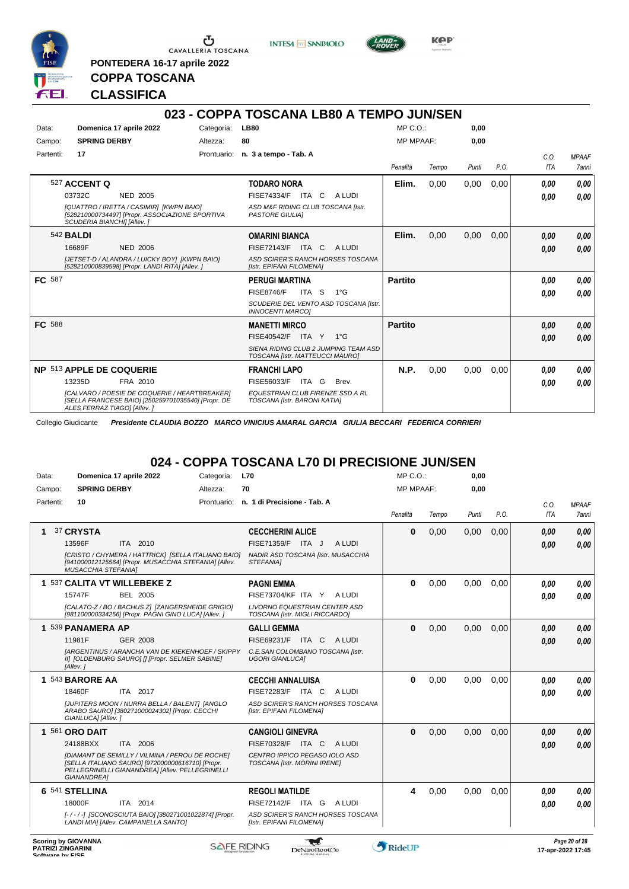

**PONTEDERA 16-17 aprile 2022**

**INTESA** M SANPAOLO



**Kep** 

## **CLASSIFICA**

**COPPA TOSCANA**

|           |                                    |                                                                                                     |             | 023 - COPPA TOSCANA LB80 A TEMPO JUN/SEN                                |                  |       |       |      |      |              |
|-----------|------------------------------------|-----------------------------------------------------------------------------------------------------|-------------|-------------------------------------------------------------------------|------------------|-------|-------|------|------|--------------|
| Data:     |                                    | Domenica 17 aprile 2022                                                                             | Categoria:  | <b>LB80</b>                                                             | $MP C. O.$ :     |       | 0,00  |      |      |              |
| Campo:    | <b>SPRING DERBY</b>                |                                                                                                     | Altezza:    | 80                                                                      | <b>MP MPAAF:</b> |       | 0,00  |      |      |              |
| Partenti: | 17                                 |                                                                                                     | Prontuario: | n. 3 a tempo - Tab. A                                                   |                  |       |       |      | C.O. | <b>MPAAF</b> |
|           |                                    |                                                                                                     |             |                                                                         | Penalità         | Tempo | Punti | P.O. | ITA  | <b>7anni</b> |
|           | 527 ACCENT Q                       |                                                                                                     |             | <b>TODARO NORA</b>                                                      | Elim.            | 0,00  | 0,00  | 0,00 | 0.00 | 0,00         |
|           | 03732C                             | <b>NED 2005</b>                                                                                     |             | <b>FISE74334/F ITA C</b><br>A LUDI                                      |                  |       |       |      | 0.00 | 0,00         |
|           | <b>SCUDERIA BIANCHII [Allev. ]</b> | [QUATTRO / IRETTA / CASIMIR] [KWPN BAIO]<br>[528210000734497] [Propr. ASSOCIAZIONE SPORTIVA         |             | ASD M&F RIDING CLUB TOSCANA [Istr.<br><b>PASTORE GIULIAI</b>            |                  |       |       |      |      |              |
|           | 542 <b>BALDI</b>                   |                                                                                                     |             | <b>OMARINI BIANCA</b>                                                   | Elim.            | 0,00  | 0,00  | 0,00 | 0,00 | 0,00         |
|           | 16689F                             | <b>NED 2006</b>                                                                                     |             | <b>FISE72143/F</b><br>ITA C<br>A LUDI                                   |                  |       |       |      | 0.00 | 0,00         |
|           |                                    | [JETSET-D / ALANDRA / LUICKY BOY] [KWPN BAIO]<br>[528210000839598] [Propr. LANDI RITA] [Allev. ]    |             | ASD SCIRER'S RANCH HORSES TOSCANA<br>[Istr. EPIFANI FILOMENA]           |                  |       |       |      |      |              |
| FC 587    |                                    |                                                                                                     |             | <b>PERUGI MARTINA</b>                                                   | <b>Partito</b>   |       |       |      | 0,00 | 0,00         |
|           |                                    |                                                                                                     |             | <b>FISE8746/F</b><br>ITA S<br>$1^{\circ}G$                              |                  |       |       |      | 0.00 | 0.00         |
|           |                                    |                                                                                                     |             | SCUDERIE DEL VENTO ASD TOSCANA [Istr.<br><b>INNOCENTI MARCOI</b>        |                  |       |       |      |      |              |
| FC 588    |                                    |                                                                                                     |             | <b>MANETTI MIRCO</b>                                                    | <b>Partito</b>   |       |       |      | 0,00 | 0,00         |
|           |                                    |                                                                                                     |             | <b>FISE40542/F</b><br>ITA Y<br>$1^{\circ}$ G                            |                  |       |       |      | 0,00 | 0,00         |
|           |                                    |                                                                                                     |             | SIENA RIDING CLUB 2 JUMPING TEAM ASD<br>TOSCANA [Istr. MATTEUCCI MAURO] |                  |       |       |      |      |              |
|           | NP 513 APPLE DE COQUERIE           |                                                                                                     |             | <b>FRANCHI LAPO</b>                                                     | <b>N.P.</b>      | 0.00  | 0,00  | 0.00 | 0.00 | 0,00         |
|           | 13235D                             | FRA 2010                                                                                            |             | FISE56033/F<br>ITA G<br>Brev.                                           |                  |       |       |      | 0,00 | 0,00         |
|           | ALES FERRAZ TIAGO] [Allev.]        | [CALVARO / POESIE DE COQUERIE / HEARTBREAKER]<br>[SELLA FRANCESE BAIO] [250259701035540] [Propr. DE |             | <b>EQUESTRIAN CLUB FIRENZE SSD A RL</b><br>TOSCANA [Istr. BARONI KATIA] |                  |       |       |      |      |              |

Collegio Giudicante *Presidente CLAUDIA BOZZO MARCO VINICIUS AMARAL GARCIA GIULIA BECCARI FEDERICA CORRIERI*

## **024 - COPPA TOSCANA L70 DI PRECISIONE JUN/SEN**

| Data:     | Domenica 17 aprile 2022                                                                                                                                                      | Categoria:  | <b>L70</b>                                                             | $MP C. O.$ :     |       | 0,00  |      |            |               |
|-----------|------------------------------------------------------------------------------------------------------------------------------------------------------------------------------|-------------|------------------------------------------------------------------------|------------------|-------|-------|------|------------|---------------|
| Campo:    | <b>SPRING DERBY</b>                                                                                                                                                          | Altezza:    | 70                                                                     | <b>MP MPAAF:</b> |       | 0.00  |      |            |               |
| Partenti: | 10                                                                                                                                                                           | Prontuario: | n. 1 di Precisione - Tab. A                                            |                  |       |       |      | C.O.       | <b>MPAAF</b>  |
|           |                                                                                                                                                                              |             |                                                                        | Penalità         | Tempo | Punti | P.O. | <b>ITA</b> | <b>7anni</b>  |
| 1         | 37 CRYSTA                                                                                                                                                                    |             | <b>CECCHERINI ALICE</b>                                                | $\bf{0}$         | 0,00  | 0,00  | 0,00 | 0.00       | 0,00          |
|           | 13596F<br>ITA 2010                                                                                                                                                           |             | FISE71359/F<br>A LUDI<br>ITA J                                         |                  |       |       |      | 0,00       | 0.00          |
|           | [CRISTO / CHYMERA / HATTRICK] [SELLA ITALIANO BAIO]<br>[941000012125564] [Propr. MUSACCHIA STEFANIA] [Allev.<br><b>MUSACCHIA STEFANIAI</b>                                   |             | NADIR ASD TOSCANA [Istr. MUSACCHIA<br><b>STEFANIAI</b>                 |                  |       |       |      |            |               |
|           | 1 537 CALITA VT WILLEBEKE Z                                                                                                                                                  |             | <b>PAGNI EMMA</b>                                                      | $\bf{0}$         | 0,00  | 0.00  | 0.00 | 0.00       | 0.00          |
|           | 15747F<br>BEL 2005                                                                                                                                                           |             | FISE73704/KF ITA Y<br>A LUDI                                           |                  |       |       |      | 0.00       | 0.00          |
|           | [CALATO-Z / BO / BACHUS Z] [ZANGERSHEIDE GRIGIO]<br>[981100000334256] [Propr. PAGNI GINO LUCA] [Allev. ]                                                                     |             | <b>LIVORNO EQUESTRIAN CENTER ASD</b><br>TOSCANA [Istr. MIGLI RICCARDO] |                  |       |       |      |            |               |
|           | 1 539 PANAMERA AP                                                                                                                                                            |             | <b>GALLI GEMMA</b>                                                     | $\bf{0}$         | 0,00  | 0,00  | 0,00 | 0,00       | 0,00          |
|           | 11981F<br>GER 2008                                                                                                                                                           |             | FISE69231/F ITA C<br>A LUDI                                            |                  |       |       |      | 0,00       | 0.00          |
|           | <b>IARGENTINUS / ARANCHA VAN DE KIEKENHOEF / SKIPPY</b><br>II] [OLDENBURG SAURO] [] [Propr. SELMER SABINE]<br>[Allev.]                                                       |             | C.E.SAN COLOMBANO TOSCANA [Istr.<br><b>UGORI GIANLUCAI</b>             |                  |       |       |      |            |               |
|           | 1 543 BARORE AA                                                                                                                                                              |             | <b>CECCHI ANNALUISA</b>                                                | $\bf{0}$         | 0,00  | 0.00  | 0.00 | 0,00       | 0,00          |
|           | ITA 2017<br>18460F                                                                                                                                                           |             | FISE72283/F ITA C<br>A LUDI                                            |                  |       |       |      | 0,00       | 0.00          |
|           | [JUPITERS MOON / NURRA BELLA / BALENT] [ANGLO<br>ARABO SAURO] [380271000024302] [Propr. CECCHI<br>GIANLUCA] [Allev.]                                                         |             | ASD SCIRER'S RANCH HORSES TOSCANA<br>[Istr. EPIFANI FILOMENA]          |                  |       |       |      |            |               |
|           | 1 561 ORO DAIT                                                                                                                                                               |             | <b>CANGIOLI GINEVRA</b>                                                | $\mathbf{0}$     | 0,00  | 0,00  | 0,00 | 0,00       | 0,00          |
|           | 24188BXX<br>ITA 2006                                                                                                                                                         |             | FISE70328/F ITA C<br>A LUDI                                            |                  |       |       |      | 0.00       | 0.00          |
|           | <b>IDIAMANT DE SEMILLY / VILMINA / PEROU DE ROCHEI</b><br>[SELLA ITALIANO SAURO] [972000000616710] [Propr.<br>PELLEGRINELLI GIANANDREA] [Allev. PELLEGRINELLI<br>GIANANDREA] |             | CENTRO IPPICO PEGASO IOLO ASD<br>TOSCANA [Istr. MORINI IRENE]          |                  |       |       |      |            |               |
|           | 6 541 STELLINA                                                                                                                                                               |             | <b>REGOLI MATILDE</b>                                                  | 4                | 0.00  | 0.00  | 0.00 | 0.00       | 0.00          |
|           | 18000F<br>ITA 2014                                                                                                                                                           |             | FISE72142/F ITA G<br>A LUDI                                            |                  |       |       |      | 0.00       | 0.00          |
|           | [-/-/-] [SCONOSCIUTA BAIO] [380271001022874] [Propr.<br>LANDI MIAI [Allev. CAMPANELLA SANTO]                                                                                 |             | ASD SCIRER'S RANCH HORSES TOSCANA<br>[Istr. EPIFANI FILOMENA]          |                  |       |       |      |            |               |
|           | Scoring by GIOVANNA                                                                                                                                                          |             | -an                                                                    |                  |       |       |      |            | Page 20 of 28 |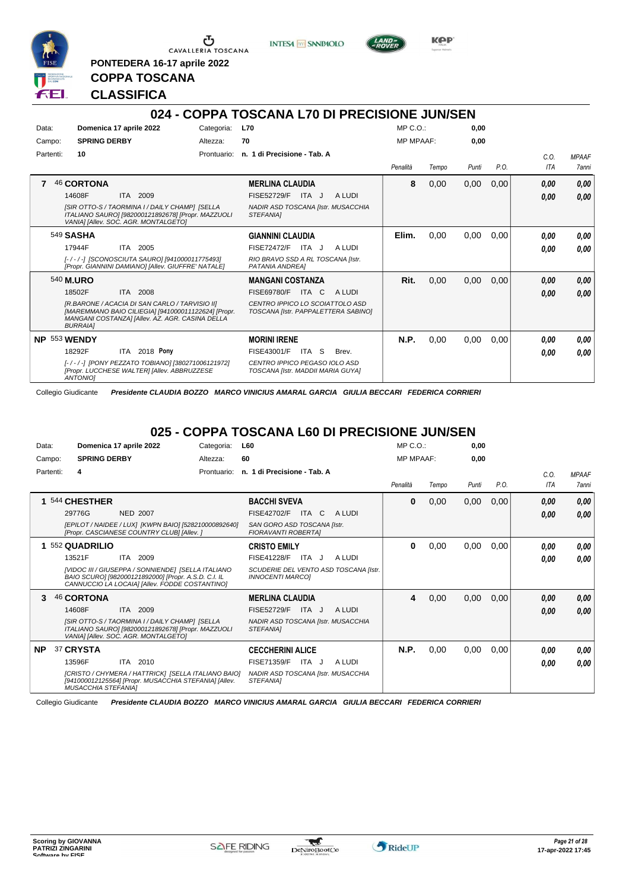

**PONTEDERA 16-17 aprile 2022**

**INTESA** M SANPAOLO



**KPP** 

## **CLASSIFICA**

**COPPA TOSCANA**

|              |                     |                                                                                                                                                          |             | 024 - COPPA TOSCANA L70 DI PRECISIONE JUN/SEN                          |                  |       |       |      |            |              |
|--------------|---------------------|----------------------------------------------------------------------------------------------------------------------------------------------------------|-------------|------------------------------------------------------------------------|------------------|-------|-------|------|------------|--------------|
| Data:        |                     | Domenica 17 aprile 2022                                                                                                                                  | Categoria:  | <b>L70</b>                                                             | $MP C. O.$ :     |       | 0,00  |      |            |              |
| Campo:       | <b>SPRING DERBY</b> |                                                                                                                                                          | Altezza:    | 70                                                                     | <b>MP MPAAF:</b> |       | 0,00  |      |            |              |
| Partenti:    | 10                  |                                                                                                                                                          | Prontuario: | n. 1 di Precisione - Tab. A                                            |                  |       |       |      | C.O.       | <b>MPAAF</b> |
|              |                     |                                                                                                                                                          |             |                                                                        | Penalità         | Tempo | Punti | P.O. | <b>ITA</b> | 7anni        |
|              | <b>46 CORTONA</b>   |                                                                                                                                                          |             | <b>MERLINA CLAUDIA</b>                                                 | 8                | 0,00  | 0,00  | 0,00 | 0,00       | 0.00         |
|              | 14608F              | 2009<br><b>ITA</b>                                                                                                                                       |             | <b>FISE52729/F</b><br>ITA J<br>A LUDI                                  |                  |       |       |      | 0.00       | 0.00         |
|              |                     | ISIR OTTO-S / TAORMINA I / DAILY CHAMP] [SELLA<br>ITALIANO SAURO] [982000121892678] [Propr. MAZZUOLI<br>VANIA] [Allev. SOC. AGR. MONTALGETO]             |             | NADIR ASD TOSCANA [Istr. MUSACCHIA<br>STEFANIA]                        |                  |       |       |      |            |              |
|              | 549 SASHA           |                                                                                                                                                          |             | <b>GIANNINI CLAUDIA</b>                                                | Elim.            | 0,00  | 0,00  | 0,00 | 0.00       | 0,00         |
|              | 17944F              | 2005<br><b>ITA</b>                                                                                                                                       |             | <b>FISE72472/F</b><br>ITA J<br>A LUDI                                  |                  |       |       |      | 0.00       | 0,00         |
|              |                     | [-/-/-] [SCONOSCIUTA SAURO] [941000011775493]<br>[Propr. GIANNINI DAMIANO] [Allev. GIUFFRE' NATALE]                                                      |             | RIO BRAVO SSD A RL TOSCANA [Istr.<br>PATANIA ANDREAI                   |                  |       |       |      |            |              |
|              | 540 M.URO           |                                                                                                                                                          |             | <b>MANGANI COSTANZA</b>                                                | Rit.             | 0,00  | 0,00  | 0,00 | 0,00       | 0.00         |
|              | 18502F              | <b>ITA</b><br>2008                                                                                                                                       |             | <b>FISE69780/F</b><br>ITA C<br>A LUDI                                  |                  |       |       |      | 0.00       | 0.00         |
|              | <b>BURRAIA1</b>     | IR.BARONE / ACACIA DI SAN CARLO / TARVISIO III<br>[MAREMMANO BAIO CILIEGIA] [941000011122624] [Propr.<br>MANGANI COSTANZA] [Allev. AZ. AGR. CASINA DELLA |             | CENTRO IPPICO LO SCOIATTOLO ASD<br>TOSCANA [Istr. PAPPALETTERA SABINO] |                  |       |       |      |            |              |
| NP 553 WENDY |                     |                                                                                                                                                          |             | <b>MORINI IRENE</b>                                                    | N.P.             | 0,00  | 0,00  | 0,00 | 0.00       | 0,00         |
|              | 18292F              | 2018 Pony<br>ITA                                                                                                                                         |             | FISE43001/F<br>-S<br>ITA<br>Brev.                                      |                  |       |       |      | 0.00       | 0.00         |
|              | <b>ANTONIOI</b>     | [-/-/-] [PONY PEZZATO TOBIANO] [380271006121972]<br>[Propr. LUCCHESE WALTER] [Allev. ABBRUZZESE                                                          |             | CENTRO IPPICO PEGASO IOLO ASD<br>TOSCANA [Istr. MADDII MARIA GUYA]     |                  |       |       |      |            |              |

Collegio Giudicante *Presidente CLAUDIA BOZZO MARCO VINICIUS AMARAL GARCIA GIULIA BECCARI FEDERICA CORRIERI*

#### **025 - COPPA TOSCANA L60 DI PRECISIONE JUN/SEN**

| Data:     | Domenica 17 aprile 2022                                                                                                                                                                                              | Categoria:  | <b>L60</b>                                                                                                                       | MP C. O.         |       | 0,00  |      |                    |                              |
|-----------|----------------------------------------------------------------------------------------------------------------------------------------------------------------------------------------------------------------------|-------------|----------------------------------------------------------------------------------------------------------------------------------|------------------|-------|-------|------|--------------------|------------------------------|
| Campo:    | <b>SPRING DERBY</b>                                                                                                                                                                                                  | Altezza:    | 60                                                                                                                               | <b>MP MPAAF:</b> |       | 0.00  |      |                    |                              |
| Partenti: | 4                                                                                                                                                                                                                    | Prontuario: | n. 1 di Precisione - Tab. A                                                                                                      | Penalità         | Tempo | Punti | P.O. | C.0.<br><b>ITA</b> | <b>MPAAF</b><br><b>7anni</b> |
|           | 544 CHESTHER<br>29776G<br><b>NED 2007</b><br>[EPILOT / NAIDEE / LUX] [KWPN BAIO] [528210000892640]<br>[Propr. CASCIANESE COUNTRY CLUB] [Allev. ]                                                                     |             | <b>BACCHI SVEVA</b><br>FISE42702/F<br><b>ITA</b><br>C<br>A LUDI<br>SAN GORO ASD TOSCANA [Istr.<br><b>FIORAVANTI ROBERTAI</b>     | $\bf{0}$         | 0,00  | 0,00  | 0,00 | 0,00<br>0,00       | 0,00<br>0,00                 |
|           | 552 QUADRILIO<br>13521F<br>2009<br><b>ITA</b><br><b>IVIDOC III / GIUSEPPA / SONNIENDEI ISELLA ITALIANO</b><br>BAIO SCURO] [982000121892000] [Propr. A.S.D. C.I. IL<br>CANNUCCIO LA LOCAIA] [Allev. FODDE COSTANTINO] |             | <b>CRISTO EMILY</b><br><b>FISE41228/F</b><br>ITA J<br>A LUDI<br>SCUDERIE DEL VENTO ASD TOSCANA [Istr.<br><b>INNOCENTI MARCOI</b> | $\bf{0}$         | 0,00  | 0,00  | 0,00 | 0.00<br>0.00       | 0,00<br>0.00                 |
|           | 46 CORTONA<br>2009<br>14608F<br><b>ITA</b><br>[SIR OTTO-S / TAORMINA I / DAILY CHAMP] [SELLA<br>ITALIANO SAURO] [982000121892678] [Propr. MAZZUOLI<br>VANIA] [Allev. SOC. AGR. MONTALGETO]                           |             | <b>MERLINA CLAUDIA</b><br><b>FISE52729/F</b><br>ITA J<br>A LUDI<br>NADIR ASD TOSCANA [Istr. MUSACCHIA<br>STEFANIA1               | 4                | 0,00  | 0,00  | 0,00 | 0,00<br>0,00       | 0,00<br>0.00                 |
| <b>NP</b> | 37 CRYSTA<br>ITA 2010<br>13596F<br>[CRISTO / CHYMERA / HATTRICK] [SELLA ITALIANO BAIO]<br>[941000012125564] [Propr. MUSACCHIA STEFANIA] [Allev.<br><b>MUSACCHIA STEFANIAI</b>                                        |             | <b>CECCHERINI ALICE</b><br><b>FISE71359/F</b><br>ITA J<br>A LUDI<br>NADIR ASD TOSCANA [Istr. MUSACCHIA<br><b>STEFANIAI</b>       | N.P.             | 0,00  | 0,00  | 0,00 | 0.00<br>0.00       | 0,00<br>0.00                 |

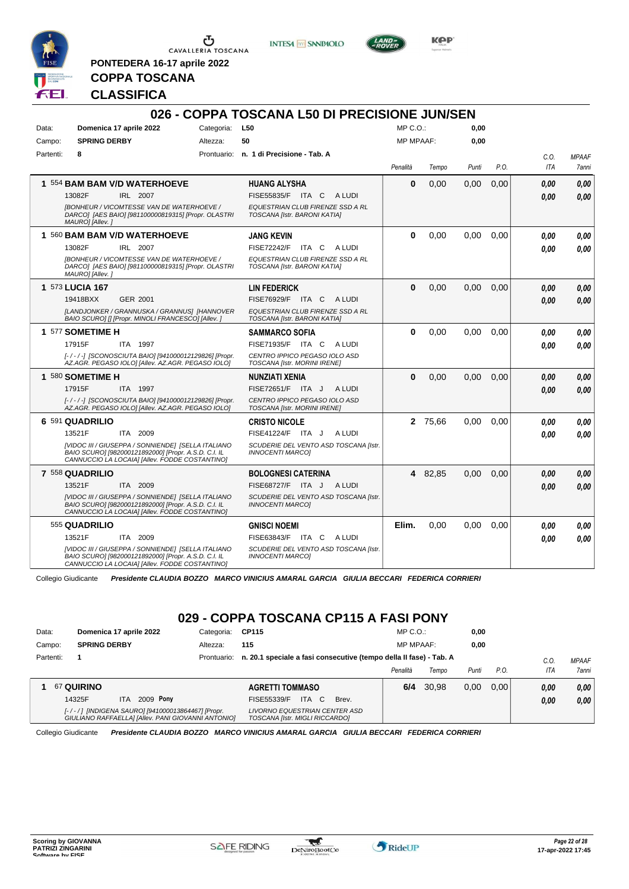

<u>ა</u> CAVALLERIA TOSCANA

**INTESA** M SANPAOLO



**Kep** 

**COPPA TOSCANA**

**PONTEDERA 16-17 aprile 2022**

#### **CLASSIFICA**

|           |                                                                                                                                                              |             | 026 - COPPA TOSCANA L50 DI PRECISIONE JUN/SEN                    |                  |         |       |      |      |              |
|-----------|--------------------------------------------------------------------------------------------------------------------------------------------------------------|-------------|------------------------------------------------------------------|------------------|---------|-------|------|------|--------------|
| Data:     | Domenica 17 aprile 2022                                                                                                                                      | Categoria:  | L50                                                              | $MP C. O.$ :     |         | 0,00  |      |      |              |
| Campo:    | <b>SPRING DERBY</b>                                                                                                                                          | Altezza:    | 50                                                               | <b>MP MPAAF:</b> |         | 0,00  |      |      |              |
| Partenti: | 8                                                                                                                                                            | Prontuario: | n. 1 di Precisione - Tab. A                                      |                  |         |       |      | C.O. | <b>MPAAF</b> |
|           |                                                                                                                                                              |             |                                                                  | Penalità         | Tempo   | Punti | P.O. | ITA  | 7anni        |
|           | 1 554 BAM BAM V/D WATERHOEVE                                                                                                                                 |             | <b>HUANG ALYSHA</b>                                              | $\bf{0}$         | 0,00    | 0,00  | 0,00 | 0.00 | 0.00         |
|           | 13082F<br>IRL 2007                                                                                                                                           |             | <b>FISE55835/F</b><br>ITA C<br>A LUDI                            |                  |         |       |      | 0.00 | 0.00         |
|           | <b>IBONHEUR / VICOMTESSE VAN DE WATERHOEVE /</b><br>DARCO] [AES BAIO] [981100000819315] [Propr. OLASTRI<br>MAURO] [Allev.]                                   |             | EQUESTRIAN CLUB FIRENZE SSD A RL<br>TOSCANA [Istr. BARONI KATIA] |                  |         |       |      |      |              |
|           | 1 560 BAM BAM V/D WATERHOEVE                                                                                                                                 |             | <b>JANG KEVIN</b>                                                | $\bf{0}$         | 0,00    | 0,00  | 0,00 | 0.00 | 0,00         |
|           | 13082F<br>IRL 2007                                                                                                                                           |             | <b>FISE72242/F</b><br>ITA C<br>A LUDI                            |                  |         |       |      | 0.00 | 0,00         |
|           | <b>IBONHEUR / VICOMTESSE VAN DE WATERHOEVE /</b><br>DARCO] [AES BAIO] [981100000819315] [Propr. OLASTRI<br>MAURO] [Allev.]                                   |             | EQUESTRIAN CLUB FIRENZE SSD A RL<br>TOSCANA [Istr. BARONI KATIA] |                  |         |       |      |      |              |
|           | 1 573 LUCIA 167                                                                                                                                              |             | LIN FEDERICK                                                     | $\Omega$         | 0,00    | 0,00  | 0,00 | 0.00 | 0,00         |
|           | 19418BXX<br>GER 2001                                                                                                                                         |             | FISE76929/F ITA C<br>A LUDI                                      |                  |         |       |      | 0.00 | 0,00         |
|           | [LANDJONKER / GRANNUSKA / GRANNUS] [HANNOVER<br>BAIO SCURO] [] [Propr. MINOLI FRANCESCO] [Allev. ]                                                           |             | EQUESTRIAN CLUB FIRENZE SSD A RL<br>TOSCANA [Istr. BARONI KATIA] |                  |         |       |      |      |              |
|           | 1 577 SOMETIME H                                                                                                                                             |             | <b>SAMMARCO SOFIA</b>                                            | $\bf{0}$         | 0.00    | 0.00  | 0.00 | 0.00 | 0.00         |
|           | 17915F<br>ITA 1997                                                                                                                                           |             | FISE71935/F ITA C<br>A LUDI                                      |                  |         |       |      | 0.00 | 0.00         |
|           | [-/-/-] [SCONOSCIUTA BAIO] [941000012129826] [Propr.<br>AZ.AGR. PEGASO IOLO] [Allev. AZ.AGR. PEGASO IOLO]                                                    |             | CENTRO IPPICO PEGASO IOLO ASD<br>TOSCANA [Istr. MORINI IRENE]    |                  |         |       |      |      |              |
|           | 1 580 SOMETIME H                                                                                                                                             |             | NUNZIATI XENIA                                                   | $\bf{0}$         | 0.00    | 0.00  | 0.00 | 0.00 | 0,00         |
|           | 17915F<br>ITA 1997                                                                                                                                           |             | <b>FISE72651/F</b><br>A LUDI<br>ITA J                            |                  |         |       |      | 0.00 | 0.00         |
|           | [-/-/-] [SCONOSCIUTA BAIO] [941000012129826] [Propr.<br>AZ.AGR. PEGASO IOLO] [Allev. AZ.AGR. PEGASO IOLO]                                                    |             | CENTRO IPPICO PEGASO IOLO ASD<br>TOSCANA [Istr. MORINI IRENE]    |                  |         |       |      |      |              |
|           | 6 591 QUADRILIO                                                                                                                                              |             | <b>CRISTO NICOLE</b>                                             |                  | 2 75,66 | 0.00  | 0,00 | 0.00 | 0.00         |
|           | ITA 2009<br>13521F                                                                                                                                           |             | FISE41224/F ITA J<br>A LUDI                                      |                  |         |       |      | 0.00 | 0.00         |
|           | [VIDOC III / GIUSEPPA / SONNIENDE] [SELLA ITALIANO<br>BAIO SCURO] [982000121892000] [Propr. A.S.D. C.I. IL<br>CANNUCCIO LA LOCAIA] [Allev. FODDE COSTANTINO] |             | SCUDERIE DEL VENTO ASD TOSCANA [Istr.<br><b>INNOCENTI MARCOI</b> |                  |         |       |      |      |              |
|           | 7 558 QUADRILIO                                                                                                                                              |             | <b>BOLOGNESI CATERINA</b>                                        |                  | 4 82,85 | 0,00  | 0,00 | 0.00 | 0,00         |
|           | 13521F<br>ITA 2009                                                                                                                                           |             | FISE68727/F ITA J<br>A LUDI                                      |                  |         |       |      | 0,00 | 0.00         |
|           | [VIDOC III / GIUSEPPA / SONNIENDE] [SELLA ITALIANO<br>BAIO SCURO] [982000121892000] [Propr. A.S.D. C.I. IL<br>CANNUCCIO LA LOCAIA] [Allev. FODDE COSTANTINO] |             | SCUDERIE DEL VENTO ASD TOSCANA [Istr.<br><b>INNOCENTI MARCO]</b> |                  |         |       |      |      |              |
|           | 555 QUADRILIO                                                                                                                                                |             | <b>GNISCI NOEMI</b>                                              | Elim.            | 0,00    | 0,00  | 0,00 | 0.00 | 0,00         |
|           | 13521F<br><b>ITA</b><br>2009                                                                                                                                 |             | FISE63843/F ITA C<br>A LUDI                                      |                  |         |       |      | 0.00 | 0.00         |
|           | [VIDOC III / GIUSEPPA / SONNIENDE] [SELLA ITALIANO<br>BAIO SCURO] [982000121892000] [Propr. A.S.D. C.I. IL<br>CANNUCCIO LA LOCAIA] [Allev. FODDE COSTANTINO] |             | SCUDERIE DEL VENTO ASD TOSCANA [Istr.<br><b>INNOCENTI MARCOI</b> |                  |         |       |      |      |              |

Collegio Giudicante *Presidente CLAUDIA BOZZO MARCO VINICIUS AMARAL GARCIA GIULIA BECCARI FEDERICA CORRIERI*

## **029 - COPPA TOSCANA CP115 A FASI PONY**

| Data:     | Domenica 17 aprile 2022                                                                                 | Categoria:  | <b>CP115</b>                                                       | $MP C. O.$ :     |       | 0,00  |      |      |              |
|-----------|---------------------------------------------------------------------------------------------------------|-------------|--------------------------------------------------------------------|------------------|-------|-------|------|------|--------------|
| Campo:    | <b>SPRING DERBY</b>                                                                                     | Altezza:    | 115                                                                | <b>MP MPAAF:</b> |       | 0,00  |      |      |              |
| Partenti: |                                                                                                         | Prontuario: | n. 20.1 speciale a fasi consecutive (tempo della Il fase) - Tab. A |                  |       |       |      | C.O  | <b>MPAAF</b> |
|           |                                                                                                         |             |                                                                    | Penalità         | Tempo | Punti | P.O. | ITA  | 7anni        |
|           | <b>67 QUIRINO</b>                                                                                       |             | <b>AGRETTI TOMMASO</b>                                             | 6/4              | 30.98 | 0.00  | 0.00 | 0.00 | 0.00         |
|           | 2009 Pony<br>14325F<br><b>ITA</b>                                                                       |             | <b>ITA</b><br>FISE55339/F<br>C.<br>Brev.                           |                  |       |       |      | 0.00 | 0,00         |
|           | [-/-/] [INDIGENA SAURO] [941000013864467] [Propr.<br>GIULIANO RAFFAELLA] [Allev. PANI GIOVANNI ANTONIO] |             | LIVORNO EQUESTRIAN CENTER ASD<br>TOSCANA [Istr. MIGLI RICCARDO]    |                  |       |       |      |      |              |

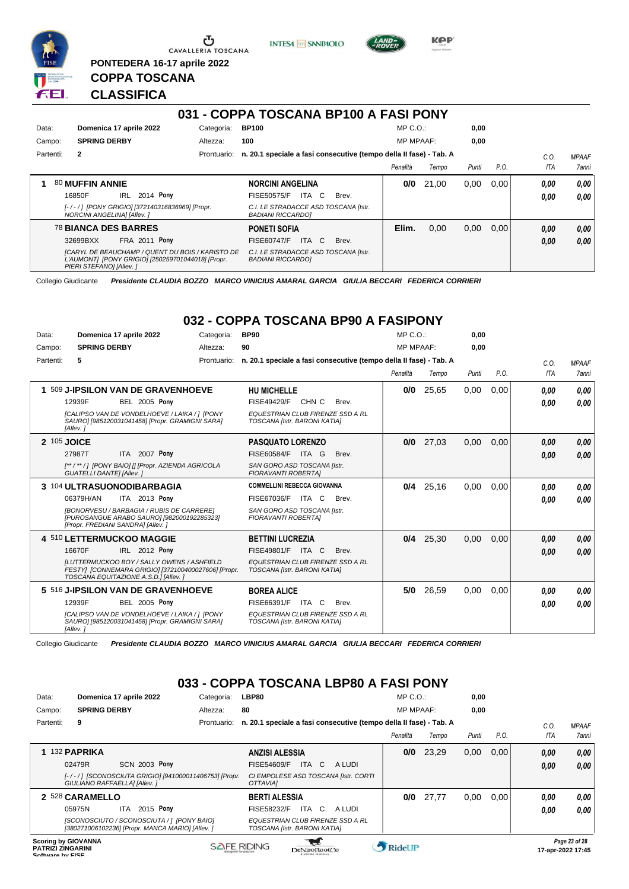

 $\sigma$  CAVALLERIA TOSCANA

**PONTEDERA 16-17 aprile 2022**

**INTESA** M SANPAOLO



**Kep** 

## **CLASSIFICA**

**COPPA TOSCANA**

|           |                                                                                                                                  |             | 031 - COPPA TOSCANA BP100 A FASI PONY                              |                  |       |       |      |            |              |
|-----------|----------------------------------------------------------------------------------------------------------------------------------|-------------|--------------------------------------------------------------------|------------------|-------|-------|------|------------|--------------|
| Data:     | Domenica 17 aprile 2022                                                                                                          | Categoria:  | <b>BP100</b>                                                       | $MP C. O.$ :     |       | 0,00  |      |            |              |
| Campo:    | <b>SPRING DERBY</b>                                                                                                              | Altezza:    | 100                                                                | <b>MP MPAAF:</b> |       | 0,00  |      |            |              |
| Partenti: | $\overline{2}$                                                                                                                   | Prontuario: | n. 20.1 speciale a fasi consecutive (tempo della Il fase) - Tab. A |                  |       |       |      | C.O.       | <b>MPAAF</b> |
|           |                                                                                                                                  |             |                                                                    | Penalità         | Tempo | Punti | P.O. | <b>ITA</b> | <b>7anni</b> |
|           | 80 MUFFIN ANNIE                                                                                                                  |             | <b>NORCINI ANGELINA</b>                                            | 0/0              | 21.00 | 0.00  | 0.00 | 0.00       | 0.00         |
|           | 2014 Pony<br><b>IRL</b><br>16850F                                                                                                |             | ITA C<br><b>FISE50575/F</b><br>Brev.                               |                  |       |       |      | 0.00       | 0.00         |
|           | [-/-/] [PONY GRIGIO] [372140316836969] [Propr.<br>NORCINI ANGELINA] [Allev.]                                                     |             | C.I. LE STRADACCE ASD TOSCANA [Istr.<br><b>BADIANI RICCARDOI</b>   |                  |       |       |      |            |              |
|           | <b>78 BIANCA DES BARRES</b>                                                                                                      |             | <b>PONETI SOFIA</b>                                                | Elim.            | 0,00  | 0,00  | 0.00 | 0.00       | 0.00         |
|           | <b>FRA 2011 Pony</b><br>32699BXX                                                                                                 |             | ITA C<br>FISE60747/F<br>Brev.                                      |                  |       |       |      | 0.00       | 0.00         |
|           | [CARYL DE BEAUCHAMP / QUENT DU BOIS / KARISTO DE<br>L'AUMONT] [PONY GRIGIO] [250259701044018] [Propr.<br>PIERI STEFANO] [Allev.] |             | C.I. LE STRADACCE ASD TOSCANA [Istr.<br><b>BADIANI RICCARDOI</b>   |                  |       |       |      |            |              |

Collegio Giudicante *Presidente CLAUDIA BOZZO MARCO VINICIUS AMARAL GARCIA GIULIA BECCARI FEDERICA CORRIERI*

## **032 - COPPA TOSCANA BP90 A FASIPONY**

| Data:     | Domenica 17 aprile 2022                                                                                                                    | Categoria:  | <b>BP90</b>                                                             | MP C. O.         |             | 0,00  |      |      |              |
|-----------|--------------------------------------------------------------------------------------------------------------------------------------------|-------------|-------------------------------------------------------------------------|------------------|-------------|-------|------|------|--------------|
| Campo:    | <b>SPRING DERBY</b>                                                                                                                        | Altezza:    | 90                                                                      | <b>MP MPAAF:</b> |             | 0,00  |      |      |              |
| Partenti: | 5                                                                                                                                          | Prontuario: | n. 20.1 speciale a fasi consecutive (tempo della II fase) - Tab. A      |                  |             |       |      | C.0. | <b>MPAAF</b> |
|           |                                                                                                                                            |             |                                                                         | Penalità         | Tempo       | Punti | P.O. | ITA  | <b>7anni</b> |
|           | 509 J-IPSILON VAN DE GRAVENHOEVE                                                                                                           |             | <b>HU MICHELLE</b>                                                      | 0/0              | 25,65       | 0,00  | 0,00 | 0,00 | 0,00         |
|           | <b>BEL 2005 Pony</b><br>12939F                                                                                                             |             | FISE49429/F CHN C<br>Brev.                                              |                  |             |       |      | 0,00 | 0.00         |
|           | [CALIPSO VAN DE VONDELHOEVE / LAIKA / 1 [PONY<br>SAURO] [985120031041458] [Propr. GRAMIGNI SARA]<br>[Allev.]                               |             | <b>EQUESTRIAN CLUB FIRENZE SSD A RL</b><br>TOSCANA [Istr. BARONI KATIA] |                  |             |       |      |      |              |
|           | 2 105 JOICE                                                                                                                                |             | <b>PASQUATO LORENZO</b>                                                 | 0/0              | 27,03       | 0,00  | 0,00 | 0,00 | 0,00         |
|           | ITA 2007 Pony<br>27987T                                                                                                                    |             | FISE60584/F<br>ITA<br>G<br>Brev.                                        |                  |             |       |      | 0,00 | 0,00         |
|           | [**/**/] [PONY BAIO] [] [Propr. AZIENDA AGRICOLA<br><b>GUATELLI DANTE] [Allev. ]</b>                                                       |             | SAN GORO ASD TOSCANA Ilstr.<br><b>FIORAVANTI ROBERTAI</b>               |                  |             |       |      |      |              |
|           | 3 104 ULTRASUONODIBARBAGIA                                                                                                                 |             | <b>COMMELLINI REBECCA GIOVANNA</b>                                      | 0/4              | 25.16       | 0.00  | 0.00 | 0.00 | 0,00         |
|           | ITA 2013 Pony<br>06379H/AN                                                                                                                 |             | <b>FISE67036/F</b><br>ITA C<br>Brev.                                    |                  |             |       |      | 0.00 | 0.00         |
|           | <b>IBONORVESU / BARBAGIA / RUBIS DE CARREREI</b><br>[PUROSANGUE ARABO SAURO] [982000192285323]<br>[Propr. FREDIANI SANDRA] [Allev.]        |             | SAN GORO ASD TOSCANA Ilstr.<br><b>FIORAVANTI ROBERTAI</b>               |                  |             |       |      |      |              |
|           | 4 510 LETTERMUCKOO MAGGIE                                                                                                                  |             | <b>BETTINI LUCREZIA</b>                                                 |                  | $0/4$ 25,30 | 0,00  | 0,00 | 0.00 | 0,00         |
|           | 16670F<br>IRL 2012 Pony                                                                                                                    |             | FISE49801/F ITA C<br>Brev.                                              |                  |             |       |      | 0.00 | 0,00         |
|           | ILUTTERMUCKOO BOY / SALLY OWENS / ASHFIELD<br>FESTY] [CONNEMARA GRIGIO] [372100400027606] [Propr.<br>TOSCANA EQUITAZIONE A.S.D.1 [Allev. ] |             | EQUESTRIAN CLUB FIRENZE SSD A RL<br>TOSCANA [Istr. BARONI KATIA]        |                  |             |       |      |      |              |
|           | 5 516 J-IPSILON VAN DE GRAVENHOEVE                                                                                                         |             | <b>BOREA ALICE</b>                                                      | 5/0              | 26,59       | 0,00  | 0,00 | 0.00 | 0,00         |
|           | <b>BEL 2005 Pony</b><br>12939F                                                                                                             |             | FISE66391/F<br>ITA C<br>Brev.                                           |                  |             |       |      | 0,00 | 0.00         |
|           | [CALIPSO VAN DE VONDELHOEVE / LAIKA / 1 [PONY<br>SAURO] [985120031041458] [Propr. GRAMIGNI SARA]<br>[Allev.]                               |             | EQUESTRIAN CLUB FIRENZE SSD A RL<br>TOSCANA [Istr. BARONI KATIA]        |                  |             |       |      |      |              |

Collegio Giudicante *Presidente CLAUDIA BOZZO MARCO VINICIUS AMARAL GARCIA GIULIA BECCARI FEDERICA CORRIERI*

#### **033 - COPPA TOSCANA LBP80 A FASI PONY**

| Data:            |                                                        | Domenica 17 aprile 2022                                                                        | Categoria:         | LBP80                                                              |                 |                                      | $MP C. O.$ :     |       | 0,00  |      |      |                                    |
|------------------|--------------------------------------------------------|------------------------------------------------------------------------------------------------|--------------------|--------------------------------------------------------------------|-----------------|--------------------------------------|------------------|-------|-------|------|------|------------------------------------|
| Campo:           | <b>SPRING DERBY</b>                                    |                                                                                                | Altezza:           | 80                                                                 |                 |                                      | <b>MP MPAAF:</b> |       | 0,00  |      |      |                                    |
| Partenti:        | 9                                                      |                                                                                                | Prontuario:        | n. 20.1 speciale a fasi consecutive (tempo della II fase) - Tab. A |                 |                                      |                  |       |       |      | C.O. | <b>MPAAF</b>                       |
|                  |                                                        |                                                                                                |                    |                                                                    |                 |                                      | Penalità         | Tempo | Punti | P.O. | ITA  | <b>7anni</b>                       |
|                  | 132 PAPRIKA                                            |                                                                                                |                    | <b>ANZISI ALESSIA</b>                                              |                 |                                      | 0/0              | 23.29 | 0,00  | 0.00 | 0.00 | 0,00                               |
|                  | 02479R                                                 | <b>SCN 2003 Pony</b>                                                                           |                    | <b>FISE54609/F</b>                                                 | <b>ITA</b><br>C | A LUDI                               |                  |       |       |      | 0.00 | 0.00                               |
|                  | GIULIANO RAFFAELLAI [Allev.]                           | [-/-/] [SCONOSCIUTA GRIGIO] [941000011406753] [Propr.                                          |                    | <b>OTTAVIAI</b>                                                    |                 | CI EMPOLESE ASD TOSCANA [Istr. CORTI |                  |       |       |      |      |                                    |
|                  | 2 528 CARAMELLO                                        |                                                                                                |                    | <b>BERTI ALESSIA</b>                                               |                 |                                      | 0/0              | 27.77 | 0.00  | 0.00 | 0.00 | 0.00                               |
|                  | 05975N                                                 | 2015 Pony<br>ITA                                                                               |                    | FISE58232/F                                                        | ITA C           | A LUDI                               |                  |       |       |      | 0.00 | 0.00                               |
|                  |                                                        | [SCONOSCIUTO / SCONOSCIUTA / ] [PONY BAIO]<br>[380271006102236] [Propr. MANCA MARIO] [Allev. ] |                    | EQUESTRIAN CLUB FIRENZE SSD A RL<br>TOSCANA [Istr. BARONI KATIA]   |                 |                                      |                  |       |       |      |      |                                    |
| Coffware by FICE | <b>Scoring by GIOVANNA</b><br><b>PATRIZI ZINGARINI</b> |                                                                                                | <b>SAFE RIDING</b> |                                                                    | DeNiroBoot('o   |                                      | Ridel IP         |       |       |      |      | Page 23 of 28<br>17-apr-2022 17:45 |

**SOFTWARE DESCRIPTION CONSUMING PROPERTY CONSUMING PROPERTY PROPERTY PROPERTY AND TO PROPER THEORY CONSUMING PROPERTY PROPERTY PROPERTY PROPERTY PROPERTY. 17-apr-2022 17:45**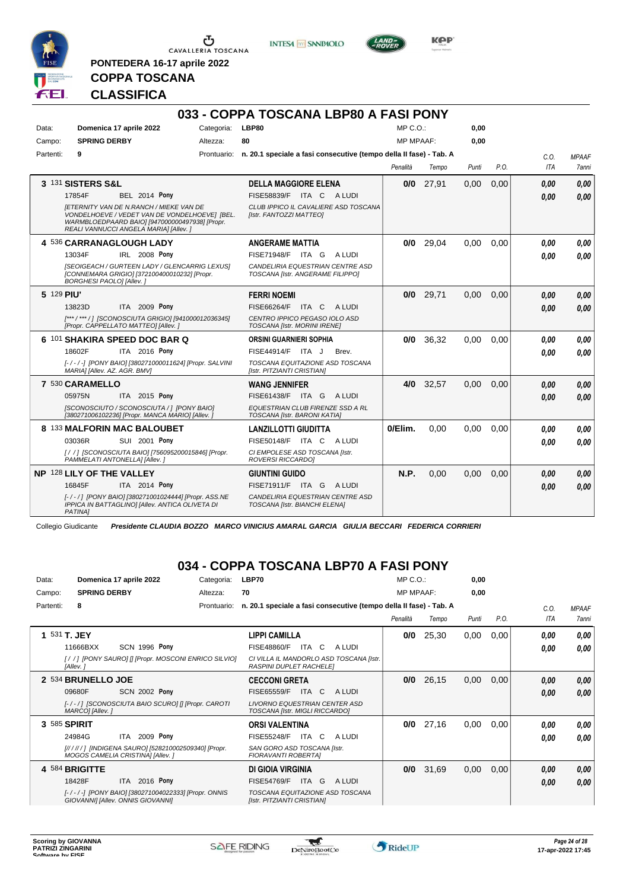

**PONTEDERA 16-17 aprile 2022**

**INTESA** M SANPAOLO

**033 - COPPA TOSCANA LBP80 A FASI PONY**



**Kep** 

# **CLASSIFICA**

**COPPA TOSCANA**

| Data:<br>Campo: | Domenica 17 aprile 2022<br><b>SPRING DERBY</b>                                                                                                                                                                                                     | Categoria:<br>Altezza: | LBP80<br>80                                                                                                                         | $MP C. O.$ :<br><b>MP MPAAF:</b> |       | 0,00<br>0,00 |      |                    |                       |
|-----------------|----------------------------------------------------------------------------------------------------------------------------------------------------------------------------------------------------------------------------------------------------|------------------------|-------------------------------------------------------------------------------------------------------------------------------------|----------------------------------|-------|--------------|------|--------------------|-----------------------|
| Partenti:       | 9                                                                                                                                                                                                                                                  |                        | Prontuario: n. 20.1 speciale a fasi consecutive (tempo della II fase) - Tab. A                                                      | Penalità                         | Tempo | Punti        | P.O. | C.O.<br><b>ITA</b> | <b>MPAAF</b><br>7anni |
|                 | 3 131 SISTERS S&L<br><b>BEL 2014 Pony</b><br>17854F<br><b>IETERNITY VAN DE N.RANCH / MIEKE VAN DE</b><br>VONDELHOEVE / VEDET VAN DE VONDELHOEVE  [BEL.<br>WARMBLOEDPAARD BAIO] [947000000497938] [Propr.<br>REALI VANNUCCI ANGELA MARIA] [Allev. ] |                        | <b>DELLA MAGGIORE ELENA</b><br><b>FISE58839/F</b><br>ITA C ALUDI<br>CLUB IPPICO IL CAVALIERE ASD TOSCANA<br>[Istr. FANTOZZI MATTEO] | 0/0                              | 27,91 | 0,00         | 0,00 | 0.00<br>0.00       | 0.00<br>0,00          |
|                 | 4 536 CARRANAGLOUGH LADY<br>13034F<br><b>IRL 2008 Pony</b><br>[SEOIGEACH / GURTEEN LADY / GLENCARRIG LEXUS]<br>[CONNEMARA GRIGIO] [372100400010232] [Propr.<br><b>BORGHESI PAOLOI [Allev. ]</b>                                                    |                        | <b>ANGERAME MATTIA</b><br>FISE71948/F ITA G<br>A LUDI<br>CANDELIRIA EQUESTRIAN CENTRE ASD<br>TOSCANA [Istr. ANGERAME FILIPPO]       | 0/0                              | 29,04 | 0,00         | 0,00 | 0.00<br>0.00       | 0.00<br>0.00          |
| 5 129 PIU'      | ITA 2009 Pony<br>13823D<br>[***/***/] [SCONOSCIUTA GRIGIO] [941000012036345]<br>[Propr. CAPPELLATO MATTEO] [Allev.]                                                                                                                                |                        | <b>FERRI NOEMI</b><br>FISE66264/F<br>ITA C<br>A LUDI<br>CENTRO IPPICO PEGASO IOLO ASD<br>TOSCANA [Istr. MORINI IRENE]               | 0/0                              | 29,71 | 0,00         | 0,00 | 0.00<br>0.00       | 0.00<br>0.00          |
|                 | 6 101 SHAKIRA SPEED DOC BAR Q<br>18602F<br>ITA 2016 Pony<br>[-/-/-] [PONY BAIO] [380271000011624] [Propr. SALVINI<br>MARIA] [Allev. AZ. AGR. BMV]                                                                                                  |                        | <b>ORSINI GUARNIERI SOPHIA</b><br>FISE44914/F ITA J<br>Brev.<br>TOSCANA EQUITAZIONE ASD TOSCANA<br>[Istr. PITZIANTI CRISTIAN]       | 0/0                              | 36,32 | 0.00         | 0.00 | 0.00<br>0.00       | 0.00<br>0.00          |
|                 | 7 530 CARAMELLO<br>ITA 2015 Pony<br>05975N<br>[SCONOSCIUTO / SCONOSCIUTA / ] [PONY BAIO]<br>[380271006102236] [Propr. MANCA MARIO] [Allev. ]                                                                                                       |                        | <b>WANG JENNIFER</b><br>FISE61438/F ITA G ALUDI<br>EQUESTRIAN CLUB FIRENZE SSD A RL<br>TOSCANA [Istr. BARONI KATIA]                 | 4/0                              | 32,57 | 0,00         | 0.00 | 0.00<br>0.00       | 0.00<br>0.00          |
|                 | 8 133 MALFORIN MAC BALOUBET<br>03036R<br><b>SUI 2001 Pony</b><br>[/ / ] [SCONOSCIUTA BAIO] [756095200015846] [Propr.<br>PAMMELATI ANTONELLA] [Allev.]                                                                                              |                        | <b>LANZILLOTTI GIUDITTA</b><br><b>FISE50148/F ITA C</b><br>A LUDI<br>CI EMPOLESE ASD TOSCANA [Istr.<br>ROVERSI RICCARDO]            | 0/Elim.                          | 0.00  | 0.00         | 0.00 | 0.00<br>0.00       | 0,00<br>0.00          |
|                 | NP 128 LILY OF THE VALLEY<br>16845F<br><b>ITA 2014 Pony</b><br>[-/-/] [PONY BAIO] [380271001024444] [Propr. ASS.NE<br>IPPICA IN BATTAGLINO] [Allev. ANTICA OLIVETA DI<br>PATINA1                                                                   |                        | <b>GIUNTINI GUIDO</b><br>FISE71911/F ITA G ALUDI<br>CANDELIRIA EQUESTRIAN CENTRE ASD<br>TOSCANA [Istr. BIANCHI ELENA]               | N.P.                             | 0,00  | 0,00         | 0,00 | 0.00<br>0,00       | 0.00<br>0.00          |

Collegio Giudicante *Presidente CLAUDIA BOZZO MARCO VINICIUS AMARAL GARCIA GIULIA BECCARI FEDERICA CORRIERI*

## **034 - COPPA TOSCANA LBP70 A FASI PONY**

| Data:     | Domenica 17 aprile 2022           |                                                      | Categoria:  | LBP70                                                                     |             | $MP C. O.$ :     |       | 0,00  |      |      |              |
|-----------|-----------------------------------|------------------------------------------------------|-------------|---------------------------------------------------------------------------|-------------|------------------|-------|-------|------|------|--------------|
| Campo:    | <b>SPRING DERBY</b>               |                                                      | Altezza:    | 70                                                                        |             | <b>MP MPAAF:</b> |       | 0,00  |      |      |              |
| Partenti: | 8                                 |                                                      | Prontuario: | n. 20.1 speciale a fasi consecutive (tempo della II fase) - Tab. A        |             |                  |       |       |      | C.0. | <b>MPAAF</b> |
|           |                                   |                                                      |             |                                                                           |             | Penalità         | Tempo | Punti | P.O. | ITA  | <b>7anni</b> |
|           | 1 531 T. JEY                      |                                                      |             | <b>LIPPI CAMILLA</b>                                                      |             | 0/0              | 25,30 | 0,00  | 0,00 | 0,00 | 0,00         |
|           | 11666BXX                          | SCN 1996 Pony                                        |             | <b>FISE48860/F</b><br>ITA C                                               | A LUDI      |                  |       |       |      | 0,00 | 0,00         |
|           | [Allev.]                          | [/ /] [PONY SAURO] [] [Propr. MOSCONI ENRICO SILVIO] |             | CI VILLA IL MANDORLO ASD TOSCANA [Istr.<br><b>RASPINI DUPLET RACHELEI</b> |             |                  |       |       |      |      |              |
|           | 2 534 BRUNELLO JOE                |                                                      |             | <b>CECCONI GRETA</b>                                                      |             | 0/0              | 26,15 | 0,00  | 0,00 | 0,00 | 0,00         |
|           | 09680F                            | <b>SCN 2002 Pony</b>                                 |             | FISE65559/F<br><b>ITA</b>                                                 | C<br>A LUDI |                  |       |       |      | 0,00 | 0,00         |
|           | MARCOI [Allev.]                   | [-/-/] [SCONOSCIUTA BAIO SCURO] [] [Propr. CAROTI    |             | LIVORNO EQUESTRIAN CENTER ASD<br>TOSCANA [Istr. MIGLI RICCARDO]           |             |                  |       |       |      |      |              |
|           | 3 585 SPIRIT                      |                                                      |             | <b>ORSI VALENTINA</b>                                                     |             | 0/0              | 27,16 | 0,00  | 0,00 | 0,00 | 0.00         |
|           | 24984G                            | 2009 Pony<br>ITA                                     |             | <b>FISE55248/F</b><br>ITA C                                               | A LUDI      |                  |       |       |      | 0,00 | 0.00         |
|           | MOGOS CAMELIA CRISTINA] [Allev.]  | [////// ] [INDIGENA SAURO] [528210002509340] [Propr. |             | SAN GORO ASD TOSCANA [Istr.<br><b>FIORAVANTI ROBERTAI</b>                 |             |                  |       |       |      |      |              |
|           | 4 584 BRIGITTE                    |                                                      |             | DI GIOIA VIRGINIA                                                         |             | 0/0              | 31,69 | 0,00  | 0,00 | 0,00 | 0,00         |
|           | 18428F                            | ITA 2016 Pony                                        |             | ITA G<br><b>FISE54769/F</b>                                               | A LUDI      |                  |       |       |      | 0,00 | 0,00         |
|           | GIOVANNI] [Allev. ONNIS GIOVANNI] | [-/-/-] [PONY BAIO] [380271004022333] [Propr. ONNIS  |             | TOSCANA EQUITAZIONE ASD TOSCANA<br>[Istr. PITZIANTI CRISTIAN]             |             |                  |       |       |      |      |              |

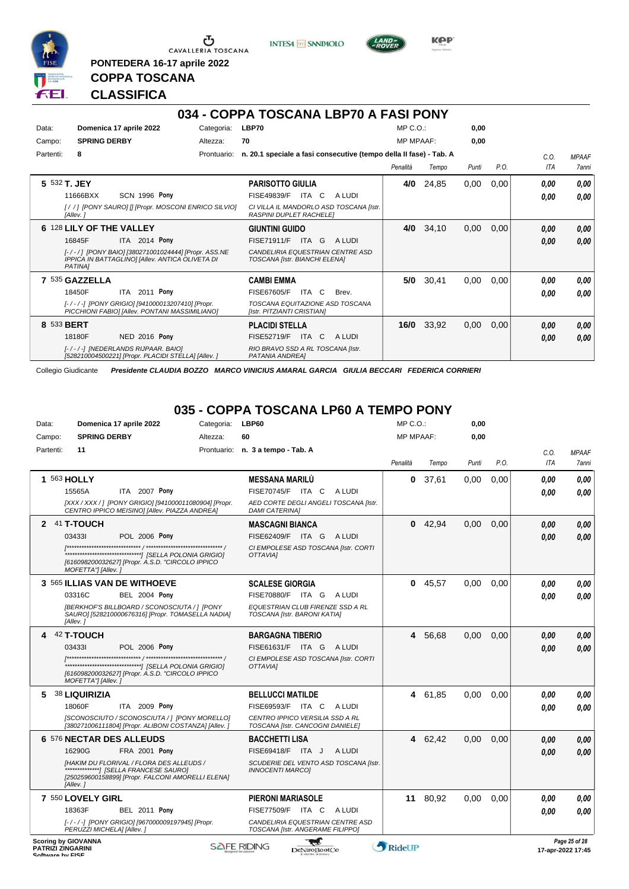

 $\mathop{\mathbf{U}}_{\mathop{\mathbf{CAVALLERIA}}}\mathop{\mathbf{Coxana}}$ 

**PONTEDERA 16-17 aprile 2022**

**INTESA M** SANPAOLO



**KPP** 

## **CLASSIFICA**

**COPPA TOSCANA**

|              |                                                                                                                   |             | 034 - COPPA TOSCANA LBP70 A FASI PONY                                     |                  |       |       |      |            |              |
|--------------|-------------------------------------------------------------------------------------------------------------------|-------------|---------------------------------------------------------------------------|------------------|-------|-------|------|------------|--------------|
| Data:        | Domenica 17 aprile 2022                                                                                           | Categoria:  | LBP70                                                                     | $MP C. O.$ :     |       | 0,00  |      |            |              |
| Campo:       | <b>SPRING DERBY</b>                                                                                               | Altezza:    | 70                                                                        | <b>MP MPAAF:</b> |       | 0,00  |      |            |              |
| Partenti:    | 8                                                                                                                 | Prontuario: | n. 20.1 speciale a fasi consecutive (tempo della II fase) - Tab. A        |                  |       |       |      | C.0.       | <b>MPAAF</b> |
|              |                                                                                                                   |             |                                                                           | Penalità         | Tempo | Punti | P.O. | <b>ITA</b> | <b>7anni</b> |
| 5 532 T. JEY |                                                                                                                   |             | <b>PARISOTTO GIULIA</b>                                                   | 4/0              | 24,85 | 0,00  | 0,00 | 0.00       | 0,00         |
|              | <b>SCN 1996 Pony</b><br>11666BXX                                                                                  |             | <b>FISE49839/F</b><br>ITA<br>C<br>A LUDI                                  |                  |       |       |      | 0.00       | 0,00         |
|              | [//] [PONY SAURO] [] [Propr. MOSCONI ENRICO SILVIO]<br>[Allev.]                                                   |             | CI VILLA IL MANDORLO ASD TOSCANA IIstr.<br><b>RASPINI DUPLET RACHELEI</b> |                  |       |       |      |            |              |
|              | 6 128 LILY OF THE VALLEY                                                                                          |             | <b>GIUNTINI GUIDO</b>                                                     | 4/0              | 34,10 | 0,00  | 0,00 | 0.00       | 0,00         |
|              | ITA 2014 Pony<br>16845F                                                                                           |             | <b>FISE71911/F</b><br>ITA G<br>A LUDI                                     |                  |       |       |      | 0.00       | 0,00         |
|              | [-/-/] [PONY BAIO] [380271001024444] [Propr. ASS.NE<br>IPPICA IN BATTAGLINO] [Allev. ANTICA OLIVETA DI<br>PATINA] |             | CANDELIRIA EQUESTRIAN CENTRE ASD<br>TOSCANA [Istr. BIANCHI ELENA]         |                  |       |       |      |            |              |
|              | 7 535 GAZZELLA                                                                                                    |             | <b>CAMBI EMMA</b>                                                         | 5/0              | 30,41 | 0,00  | 0,00 | 0.00       | 0,00         |
|              | 2011 Pony<br>18450F<br><b>ITA</b>                                                                                 |             | FISE67605/F<br>ITA<br>C.<br>Brev.                                         |                  |       |       |      | 0.00       | 0,00         |
|              | [-/-/-] [PONY GRIGIO] [941000013207410] [Propr.<br>PICCHIONI FABIO] [Allev. PONTANI MASSIMILIANO]                 |             | TOSCANA EQUITAZIONE ASD TOSCANA<br>[Istr. PITZIANTI CRISTIAN]             |                  |       |       |      |            |              |
| 8 533 BERT   |                                                                                                                   |             | <b>PLACIDI STELLA</b>                                                     | 16/0             | 33,92 | 0,00  | 0,00 | 0.00       | 0,00         |
|              | NED 2016 Pony<br>18180F                                                                                           |             | FISE52719/F<br>ITA C<br>A LUDI                                            |                  |       |       |      | 0.00       | 0,00         |
|              | I-/-/-I INEDERLANDS RIJPAAR, BAIOI<br>[528210004500221] [Propr. PLACIDI STELLA] [Allev. ]                         |             | RIO BRAVO SSD A RL TOSCANA [Istr.<br>PATANIA ANDREAI                      |                  |       |       |      |            |              |

Collegio Giudicante *Presidente CLAUDIA BOZZO MARCO VINICIUS AMARAL GARCIA GIULIA BECCARI FEDERICA CORRIERI*

#### **035 - COPPA TOSCANA LP60 A TEMPO PONY**

| Data:            | Domenica 17 aprile 2022                                                                                       | Categoria: | LBP60                                                                | $MP C. O.$ :     |           | 0,00  |      |            |                                    |
|------------------|---------------------------------------------------------------------------------------------------------------|------------|----------------------------------------------------------------------|------------------|-----------|-------|------|------------|------------------------------------|
| Campo:           | <b>SPRING DERBY</b>                                                                                           | Altezza:   | 60                                                                   | <b>MP MPAAF:</b> |           | 0.00  |      |            |                                    |
| Partenti:        | 11                                                                                                            |            | Prontuario: n. 3 a tempo - Tab. A                                    |                  |           |       |      | C.O.       | <b>MPAAF</b>                       |
|                  |                                                                                                               |            |                                                                      | Penalità         | Tempo     | Punti | P.O. | <b>ITA</b> | <b>7anni</b>                       |
|                  | 1 563 HOLLY                                                                                                   |            | <b>MESSANA MARILU</b>                                                | 0                | 37,61     | 0,00  | 0,00 | 0.00       | 0.00                               |
|                  | ITA 2007 Pony<br>15565A                                                                                       |            | FISE70745/F ITA C<br>A LUDI                                          |                  |           |       |      | 0.00       | 0.00                               |
|                  | [XXX / XXX /] [PONY GRIGIO] [941000011080904] [Propr.<br>CENTRO IPPICO MEISINO] [Allev. PIAZZA ANDREA]        |            | AED CORTE DEGLI ANGELI TOSCANA [Istr.<br><b>DAMI CATERINAI</b>       |                  |           |       |      |            |                                    |
|                  | 2 41 T-TOUCH                                                                                                  |            | <b>MASCAGNI BIANCA</b>                                               |                  | $0$ 42,94 | 0.00  | 0.00 | 0.00       | 0,00                               |
|                  | 034331<br><b>POL 2006 Pony</b>                                                                                |            | FISE62409/F ITA G<br>A LUDI                                          |                  |           |       |      | 0.00       | 0,00                               |
|                  | [616098200032627] [Propr. A.S.D. "CIRCOLO IPPICO<br>MOFETTA"] [Allev.]                                        |            | CI EMPOLESE ASD TOSCANA [Istr. CORTI<br>OTTAVIAI                     |                  |           |       |      |            |                                    |
|                  | 3 565 ILLIAS VAN DE WITHOEVE                                                                                  |            | <b>SCALESE GIORGIA</b>                                               |                  | 045,57    | 0.00  | 0.00 | 0.00       | 0,00                               |
|                  | 03316C<br><b>BEL 2004 Pony</b>                                                                                |            | FISE70880/F ITA G ALUDI                                              |                  |           |       |      | 0.00       | 0.00                               |
|                  | [BERKHOF'S BILLBOARD / SCONOSCIUTA / 1 [PONY<br>SAURO] [528210000676316] [Propr. TOMASELLA NADIA]<br>[Allev.] |            | EQUESTRIAN CLUB FIRENZE SSD A RL<br>TOSCANA [Istr. BARONI KATIA]     |                  |           |       |      |            |                                    |
|                  | 42 T-TOUCH                                                                                                    |            | <b>BARGAGNA TIBERIO</b>                                              | 4                | 56,68     | 0.00  | 0.00 | 0.00       | 0,00                               |
|                  | 034331<br>POL 2006 Pony                                                                                       |            | FISE61631/F ITA G<br>A LUDI                                          |                  |           |       |      | 0.00       | 0.00                               |
|                  | [616098200032627] [Propr. A.S.D. "CIRCOLO IPPICO<br>MOFETTA"] [Allev.]                                        |            | CI EMPOLESE ASD TOSCANA [Istr. CORTI<br><b>OTTAVIAI</b>              |                  |           |       |      |            |                                    |
| 5                | 38 LIQUIRIZIA                                                                                                 |            | <b>BELLUCCI MATILDE</b>                                              | 4                | 61,85     | 0.00  | 0.00 | 0.00       | 0,00                               |
|                  | ITA 2009 Pony<br>18060F                                                                                       |            | FISE69593/F ITA C<br>A LUDI                                          |                  |           |       |      | 0.00       | 0.00                               |
|                  | [SCONOSCIUTO / SCONOSCIUTA / ] [PONY MORELLO]<br>[380271006111804] [Propr. ALIBONI COSTANZA] [Allev.]         |            | CENTRO IPPICO VERSILIA SSD A RL<br>TOSCANA [Istr. CANCOGNI DANIELE]  |                  |           |       |      |            |                                    |
|                  | 6 576 NECTAR DES ALLEUDS                                                                                      |            | <b>BACCHETTI LISA</b>                                                |                  | 4 62,42   | 0,00  | 0,00 | 0.00       | 0,00                               |
|                  | 16290G<br><b>FRA 2001 Pony</b>                                                                                |            | FISE69418/F ITA J<br>A LUDI                                          |                  |           |       |      | 0,00       | 0,00                               |
|                  | [HAKIM DU FLORIVAL / FLORA DES ALLEUDS /<br>[250259600158899] [Propr. FALCONI AMORELLI ELENA]<br>[Allev.]     |            | SCUDERIE DEL VENTO ASD TOSCANA [Istr.<br><b>INNOCENTI MARCOI</b>     |                  |           |       |      |            |                                    |
|                  | 7 550 LOVELY GIRL                                                                                             |            | <b>PIERONI MARIASOLE</b>                                             |                  | 11 80.92  | 0.00  | 0.00 | 0.00       | 0.00                               |
|                  | 18363F<br><b>BEL 2011 Pony</b>                                                                                |            | FISE77509/F ITA C<br>A LUDI                                          |                  |           |       |      | 0.00       | 0.00                               |
|                  | [-/-/-] [PONY GRIGIO] [967000009197945] [Propr.<br>PERUZZI MICHELA] [Allev.]                                  |            | CANDELIRIA EQUESTRIAN CENTRE ASD<br>TOSCANA [Istr. ANGERAME FILIPPO] |                  |           |       |      |            |                                    |
| Coffware by EICE | <b>Scoring by GIOVANNA</b><br><b>PATRIZI ZINGARINI</b>                                                        |            | <b>SAFE RIDING</b><br>DeNiroBootCo                                   | RideUP           |           |       |      |            | Page 25 of 28<br>17-apr-2022 17:45 |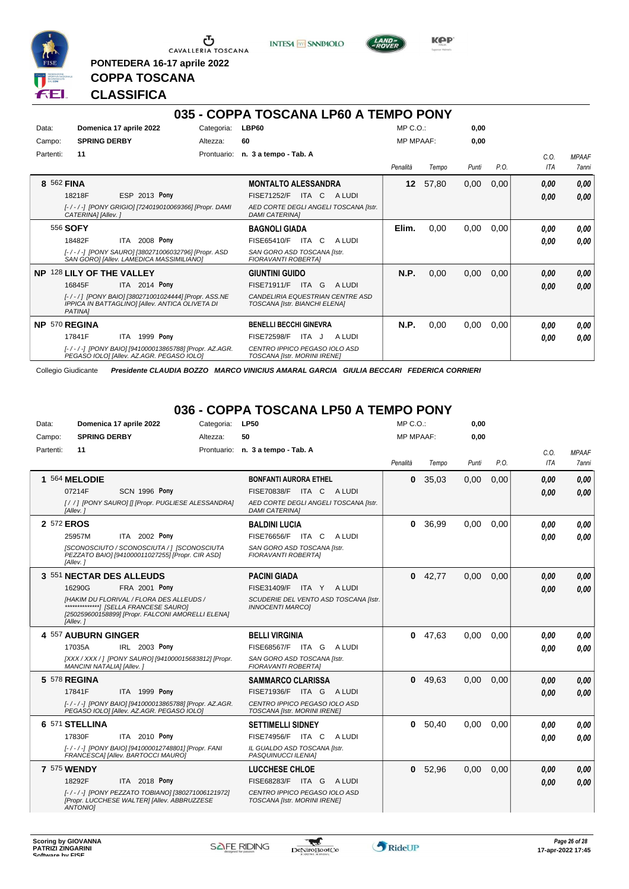

**PONTEDERA 16-17 aprile 2022**

**INTESA** M SANPAOLO



**Kep** 

## **COPPA TOSCANA CLASSIFICA**

|               |                                                                                                                   |            | 035 - COPPA TOSCANA LP60 A TEMPO PONY                             |                  |       |       |      |      |              |
|---------------|-------------------------------------------------------------------------------------------------------------------|------------|-------------------------------------------------------------------|------------------|-------|-------|------|------|--------------|
| Data:         | Domenica 17 aprile 2022                                                                                           | Categoria: | LBP60                                                             | $MP C. O.$ :     |       | 0,00  |      |      |              |
| Campo:        | <b>SPRING DERBY</b>                                                                                               | Altezza:   | 60                                                                | <b>MP MPAAF:</b> |       | 0,00  |      |      |              |
| Partenti:     | 11                                                                                                                |            | Prontuario: n. 3 a tempo - Tab. A                                 |                  |       |       |      | C.O. | <b>MPAAF</b> |
|               |                                                                                                                   |            |                                                                   | Penalità         | Tempo | Punti | P.O. | ITA  | 7anni        |
| 8 562 FINA    |                                                                                                                   |            | <b>MONTALTO ALESSANDRA</b>                                        | 12 <sup>°</sup>  | 57,80 | 0,00  | 0,00 | 0.00 | 0,00         |
|               | ESP 2013 Pony<br>18218F                                                                                           |            | ITA C<br><b>FISE71252/F</b><br>A LUDI                             |                  |       |       |      | 0,00 | 0,00         |
|               | [-/-/-] [PONY GRIGIO] [724019010069366] [Propr. DAMI<br>CATERINA] [Allev.]                                        |            | AED CORTE DEGLI ANGELI TOSCANA [Istr.<br><b>DAMI CATERINAI</b>    |                  |       |       |      |      |              |
|               | 556 SOFY                                                                                                          |            | <b>BAGNOLI GIADA</b>                                              | Elim.            | 0,00  | 0,00  | 0,00 | 0,00 | 0,00         |
|               | 2008 Pony<br>18482F<br>ITA                                                                                        |            | FISE65410/F<br>ITA C<br>A LUDI                                    |                  |       |       |      | 0.00 | 0.00         |
|               | [-/-/-] [PONY SAURO] [380271006032796] [Propr. ASD<br>SAN GORO] [Allev. LAMEDICA MASSIMILIANO]                    |            | SAN GORO ASD TOSCANA Ilstr.<br><b>FIORAVANTI ROBERTAI</b>         |                  |       |       |      |      |              |
|               | NP 128 LILY OF THE VALLEY                                                                                         |            | <b>GIUNTINI GUIDO</b>                                             | N.P.             | 0,00  | 0,00  | 0,00 | 0,00 | 0,00         |
|               | <b>ITA</b> 2014 Pony<br>16845F                                                                                    |            | FISE71911/F<br>ITA G<br>A LUDI                                    |                  |       |       |      | 0.00 | 0,00         |
|               | [-/-/] [PONY BAIO] [380271001024444] [Propr. ASS.NE<br>IPPICA IN BATTAGLINO] [Allev. ANTICA OLIVETA DI<br>PATINA] |            | CANDELIRIA EQUESTRIAN CENTRE ASD<br>TOSCANA [Istr. BIANCHI ELENA] |                  |       |       |      |      |              |
| NP 570 REGINA |                                                                                                                   |            | <b>BENELLI BECCHI GINEVRA</b>                                     | N.P.             | 0,00  | 0,00  | 0,00 | 0,00 | 0.00         |
|               | 1999 <b>Pony</b><br>17841F<br><b>ITA</b>                                                                          |            | ITA J<br>A LUDI<br><b>FISE72598/F</b>                             |                  |       |       |      | 0,00 | 0.00         |
|               | [-/-/-] [PONY BAIO] [941000013865788] [Propr. AZ.AGR.<br>PEGASO IOLO] [Allev. AZ.AGR. PEGASO IOLO]                |            | CENTRO IPPICO PEGASO IOLO ASD<br>TOSCANA [Istr. MORINI IRENE]     |                  |       |       |      |      |              |

Collegio Giudicante *Presidente CLAUDIA BOZZO MARCO VINICIUS AMARAL GARCIA GIULIA BECCARI FEDERICA CORRIERI*

#### **036 - COPPA TOSCANA LP50 A TEMPO PONY**

| Data:     | Domenica 17 aprile 2022                                                                                     | Categoria: | <b>LP50</b>                                                      | $MP C. O.$ :     |         | 0,00  |      |            |                     |
|-----------|-------------------------------------------------------------------------------------------------------------|------------|------------------------------------------------------------------|------------------|---------|-------|------|------------|---------------------|
| Campo:    | <b>SPRING DERBY</b>                                                                                         | Altezza:   | 50                                                               | <b>MP MPAAF:</b> |         | 0,00  |      |            |                     |
| Partenti: | 11                                                                                                          |            | Prontuario: n. 3 a tempo - Tab. A                                |                  |         |       |      | C.O.       | <b>MPAAF</b>        |
|           |                                                                                                             |            |                                                                  | Penalità         | Tempo   | Punti | P.O. | <b>ITA</b> | <i><b>7anni</b></i> |
|           | 1 564 MELODIE                                                                                               |            | <b>BONFANTI AURORA ETHEL</b>                                     | $\bf{0}$         | 35,03   | 0.00  | 0.00 | 0.00       | 0.00                |
|           | 07214F<br><b>SCN 1996 Pony</b>                                                                              |            | FISE70838/F ITA C ALUDI                                          |                  |         |       |      | 0.00       | 0.00                |
|           | [//] [PONY SAURO] [] [Propr. PUGLIESE ALESSANDRA]<br>[Allev.]                                               |            | AED CORTE DEGLI ANGELI TOSCANA [Istr.<br><b>DAMI CATERINAI</b>   |                  |         |       |      |            |                     |
|           | 2 572 EROS                                                                                                  |            | <b>BALDINI LUCIA</b>                                             | 0                | 36,99   | 0,00  | 0.00 | 0.00       | 0.00                |
|           | ITA 2002 Pony<br>25957M                                                                                     |            | <b>FISE76656/F ITA C</b><br>A LUDI                               |                  |         |       |      | 0.00       | 0,00                |
|           | [SCONOSCIUTO / SCONOSCIUTA / ] [SCONOSCIUTA<br>PEZZATO BAIO] [941000011027255] [Propr. CIR ASD]<br>[Allev.] |            | SAN GORO ASD TOSCANA [Istr.<br><b>FIORAVANTI ROBERTAI</b>        |                  |         |       |      |            |                     |
|           | 3 551 NECTAR DES ALLEUDS                                                                                    |            | <b>PACINI GIADA</b>                                              | $\mathbf 0$      | 42,77   | 0,00  | 0.00 | 0.00       | 0,00                |
|           | 16290G<br>FRA 2001 Pony                                                                                     |            | FISE31409/F ITA Y ALUDI                                          |                  |         |       |      | 0.00       | 0,00                |
|           | [HAKIM DU FLORIVAL / FLORA DES ALLEUDS /<br>[250259600158899] [Propr. FALCONI AMORELLI ELENA]<br>[Allev.]   |            | SCUDERIE DEL VENTO ASD TOSCANA [Istr.<br><b>INNOCENTI MARCOI</b> |                  |         |       |      |            |                     |
|           | 4 557 AUBURN GINGER                                                                                         |            | <b>BELLI VIRGINIA</b>                                            | $\mathbf{0}$     | 47,63   | 0,00  | 0,00 | 0.00       | 0.00                |
|           | IRL 2003 Pony<br>17035A                                                                                     |            | FISE68567/F ITA G<br>A LUDI                                      |                  |         |       |      | 0.00       | 0.00                |
|           | [XXX / XXX / ] [PONY SAURO] [941000015683812] [Propr.<br>MANCINI NATALIA] [Allev.]                          |            | SAN GORO ASD TOSCANA [Istr.<br><b>FIORAVANTI ROBERTAI</b>        |                  |         |       |      |            |                     |
|           | 5 578 REGINA                                                                                                |            | <b>SAMMARCO CLARISSA</b>                                         | $\mathbf{0}$     | 49,63   | 0.00  | 0.00 | 0.00       | 0,00                |
|           | 17841F<br><b>ITA 1999 Pony</b>                                                                              |            | FISE71936/F ITA G ALUDI                                          |                  |         |       |      | 0.00       | 0.00                |
|           | [-/-/-] [PONY BAIO] [941000013865788] [Propr. AZ.AGR.<br>PEGASO IOLOI [Allev. AZ.AGR. PEGASO IOLO]          |            | CENTRO IPPICO PEGASO IOLO ASD<br>TOSCANA [Istr. MORINI IRENE]    |                  |         |       |      |            |                     |
|           | 6 571 STELLINA                                                                                              |            | <b>SETTIMELLI SIDNEY</b>                                         |                  | 0 50,40 | 0,00  | 0,00 | 0.00       | 0,00                |
|           | ITA 2010 Pony<br>17830F                                                                                     |            | <b>FISE74956/F ITA C</b><br>A LUDI                               |                  |         |       |      | 0.00       | 0.00                |
|           | [-/-/-] [PONY BAIO] [941000012748801] [Propr. FANI<br>FRANCESCA] [Allev. BARTOCCI MAURO]                    |            | IL GUALDO ASD TOSCANA [Istr.<br>PASQUINUCCI ILENIA]              |                  |         |       |      |            |                     |
|           | <b>7 575 WENDY</b>                                                                                          |            | <b>LUCCHESE CHLOE</b>                                            | 0                | 52,96   | 0,00  | 0,00 | 0,00       | 0,00                |
|           | 18292F<br>ITA 2018 Pony                                                                                     |            | FISE68283/F ITA G ALUDI                                          |                  |         |       |      | 0.00       | 0.00                |
|           | [-/-/-] [PONY PEZZATO TOBIANO] [380271006121972]<br>[Propr. LUCCHESE WALTER] [Allev. ABBRUZZESE<br>ANTONIOI |            | CENTRO IPPICO PEGASO IOLO ASD<br>TOSCANA [Istr. MORINI IRENE]    |                  |         |       |      |            |                     |

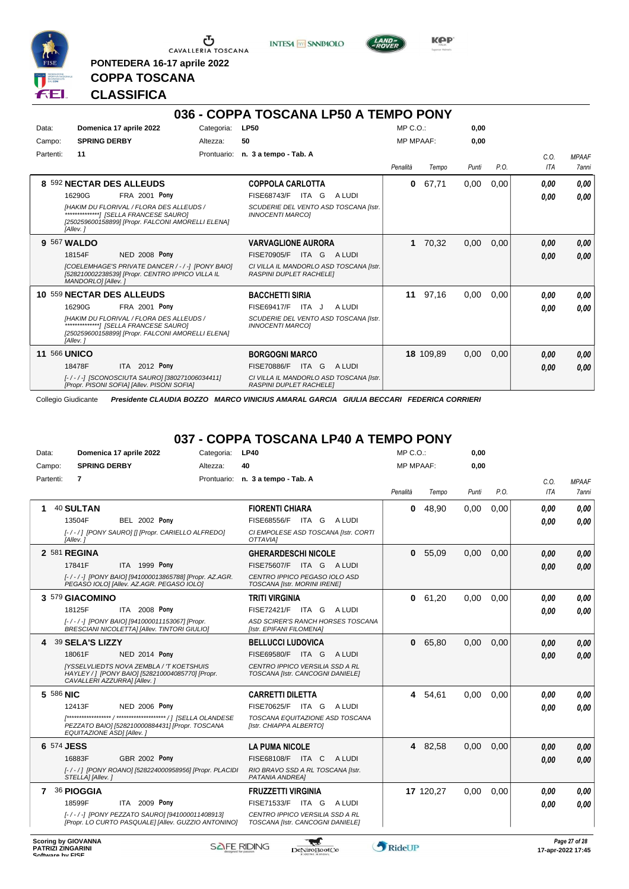

**PONTEDERA 16-17 aprile 2022**

**INTESA** M SANPAOLO



**Kep** 

## **COPPA TOSCANA CLASSIFICA**

|                     |                                                                                                                             |            | 036 - COPPA TOSCANA LP50 A TEMPO PONY                                     |                  |           |       |      |                    |                              |
|---------------------|-----------------------------------------------------------------------------------------------------------------------------|------------|---------------------------------------------------------------------------|------------------|-----------|-------|------|--------------------|------------------------------|
| Data:               | Domenica 17 aprile 2022                                                                                                     | Categoria: | <b>LP50</b>                                                               | $MP C. O.$ :     |           | 0,00  |      |                    |                              |
| Campo:              | <b>SPRING DERBY</b>                                                                                                         | Altezza:   | 50                                                                        | <b>MP MPAAF:</b> |           | 0,00  |      |                    |                              |
| Partenti:           | 11                                                                                                                          |            | Prontuario: n. 3 a tempo - Tab. A                                         | Penalità         | Tempo     | Punti | P.O. | C.O.<br><b>ITA</b> | <b>MPAAF</b><br><b>7anni</b> |
|                     | 8 592 NECTAR DES ALLEUDS                                                                                                    |            | <b>COPPOLA CARLOTTA</b>                                                   | $\bf{0}$         | 67,71     | 0,00  | 0,00 | 0.00               | 0.00                         |
|                     | 16290G<br><b>FRA 2001 Pony</b>                                                                                              |            | FISE68743/F<br>ITA G<br>A LUDI                                            |                  |           |       |      | 0.00               | 0,00                         |
|                     | [HAKIM DU FLORIVAL / FLORA DES ALLEUDS /<br>[250259600158899] [Propr. FALCONI AMORELLI ELENA]<br>[Allev.]                   |            | SCUDERIE DEL VENTO ASD TOSCANA [Istr.<br><b>INNOCENTI MARCOI</b>          |                  |           |       |      |                    |                              |
|                     | 9 567 WALDO                                                                                                                 |            | <b>VARVAGLIONE AURORA</b>                                                 |                  | 1 70,32   | 0,00  | 0,00 | 0.00               | 0,00                         |
|                     | <b>NED 2008 Pony</b><br>18154F                                                                                              |            | ITA G<br>FISE70905/F<br>A LUDI                                            |                  |           |       |      | 0.00               | 0,00                         |
|                     | [COELEMHAGE'S PRIVATE DANCER / - / -] [PONY BAIO]<br>[528210002238539] [Propr. CENTRO IPPICO VILLA IL<br>MANDORLO] [Allev.] |            | CI VILLA IL MANDORLO ASD TOSCANA [Istr.<br><b>RASPINI DUPLET RACHELE!</b> |                  |           |       |      |                    |                              |
|                     | 10 559 NECTAR DES ALLEUDS                                                                                                   |            | <b>BACCHETTI SIRIA</b>                                                    |                  | 11 97,16  | 0,00  | 0,00 | 0.00               | 0,00                         |
|                     | FRA 2001 Pony<br>16290G                                                                                                     |            | <b>FISE69417/F</b><br>ITA J<br>A LUDI                                     |                  |           |       |      | 0,00               | 0,00                         |
|                     | IHAKIM DU FLORIVAL / FLORA DES ALLEUDS /<br>[250259600158899] [Propr. FALCONI AMORELLI ELENA]<br>[Allev.]                   |            | SCUDERIE DEL VENTO ASD TOSCANA [Istr.<br><b>INNOCENTI MARCOI</b>          |                  |           |       |      |                    |                              |
| <b>11 566 UNICO</b> |                                                                                                                             |            | <b>BORGOGNI MARCO</b>                                                     |                  | 18 109,89 | 0,00  | 0,00 | 0,00               | 0,00                         |
|                     | ITA 2012 Pony<br>18478F                                                                                                     |            | <b>FISE70886/F</b><br>A LUDI<br>ITA G                                     |                  |           |       |      | 0,00               | 0,00                         |
|                     | [-/-/-] [SCONOSCIUTA SAURO] [380271006034411]<br>[Propr. PISONI SOFIA] [Allev. PISONI SOFIA]                                |            | CI VILLA IL MANDORLO ASD TOSCANA [Istr.<br><b>RASPINI DUPLET RACHELE!</b> |                  |           |       |      |                    |                              |

Collegio Giudicante *Presidente CLAUDIA BOZZO MARCO VINICIUS AMARAL GARCIA GIULIA BECCARI FEDERICA CORRIERI*

## **037 - COPPA TOSCANA LP40 A TEMPO PONY**

| Data:           | Domenica 17 aprile 2022                                                                                                            | Categoria:               | <b>LP40</b>                                                         | $MP C. O.$ :     |           | 0,00  |      |            |              |
|-----------------|------------------------------------------------------------------------------------------------------------------------------------|--------------------------|---------------------------------------------------------------------|------------------|-----------|-------|------|------------|--------------|
| Campo:          | <b>SPRING DERBY</b>                                                                                                                | Altezza:                 | 40                                                                  | <b>MP MPAAF:</b> |           | 0,00  |      |            |              |
| Partenti:       | 7                                                                                                                                  |                          | Prontuario: n. 3 a tempo - Tab. A                                   |                  |           |       |      | C.O.       | <b>MPAAF</b> |
|                 |                                                                                                                                    |                          |                                                                     | Penalità         | Tempo     | Punti | P.O. | <b>ITA</b> | 7anni        |
|                 | 40 SULTAN                                                                                                                          |                          | <b>FIORENTI CHIARA</b>                                              | $\mathbf{0}$     | 48,90     | 0,00  | 0,00 | 0.00       | 0.00         |
|                 | 13504F<br><b>BEL 2002 Pony</b>                                                                                                     |                          | FISE68556/F ITA G ALUDI                                             |                  |           |       |      | 0.00       | 0.00         |
|                 | [-/-/] [PONY SAURO] [] [Propr. CARIELLO ALFREDO]<br>[Allev.]                                                                       |                          | CI EMPOLESE ASD TOSCANA [Istr. CORTI<br>OTTAVIAI                    |                  |           |       |      |            |              |
|                 | 2 581 REGINA                                                                                                                       |                          | <b>GHERARDESCHI NICOLE</b>                                          |                  | 0 55,09   | 0,00  | 0,00 | 0,00       | 0.00         |
|                 | 17841F<br>ITA 1999 Pony                                                                                                            |                          | FISE75607/F ITA G ALUDI                                             |                  |           |       |      | 0.00       | 0.00         |
|                 | [-/-/-] [PONY BAIO] [941000013865788] [Propr. AZ.AGR.<br>PEGASO IOLOI [Allev. AZ.AGR. PEGASO IOLO]                                 |                          | CENTRO IPPICO PEGASO IOLO ASD<br>TOSCANA [Istr. MORINI IRENE]       |                  |           |       |      |            |              |
| 3 579 GIACOMINO |                                                                                                                                    | <b>TRITI VIRGINIA</b>    | $\mathbf{0}$                                                        | 61,20            | 0,00      | 0,00  | 0,00 | 0.00       |              |
|                 | ITA 2008 Pony<br>18125F                                                                                                            |                          | FISE72421/F ITA G ALUDI                                             |                  |           |       |      | 0.00       | 0.00         |
|                 | [-/-/-] [PONY BAIO] [941000011153067] [Propr.<br><b>BRESCIANI NICOLETTA] [Allev. TINTORI GIULIO]</b>                               |                          | ASD SCIRER'S RANCH HORSES TOSCANA<br>[Istr. EPIFANI FILOMENA]       |                  |           |       |      |            |              |
| 39 SELA'S LIZZY |                                                                                                                                    | <b>BELLUCCI LUDOVICA</b> | $\mathbf{0}$                                                        | 65,80            | 0,00      | 0,00  | 0.00 | 0.00       |              |
|                 | <b>NED 2014 Pony</b><br>18061F                                                                                                     |                          | FISE69580/F ITA G<br>A LUDI                                         |                  |           |       |      | 0.00       | 0.00         |
|                 | <b>IYSSELVLIEDTS NOVA ZEMBLA / 'T KOETSHUIS</b><br>HAYLEY / ] [PONY BAIO] [528210004085770] [Propr.<br>CAVALLERI AZZURRA] [Allev.] |                          | CENTRO IPPICO VERSILIA SSD A RL<br>TOSCANA [Istr. CANCOGNI DANIELE] |                  |           |       |      |            |              |
| 5 586 NIC       |                                                                                                                                    |                          | <b>CARRETTI DILETTA</b>                                             |                  | 4 54,61   | 0.00  | 0.00 | 0.00       | 0.00         |
|                 | <b>NED 2006 Pony</b><br>12413F                                                                                                     |                          | FISE70625/F ITA G ALUDI                                             |                  |           |       |      | 0.00       | 0.00         |
|                 | PEZZATO BAIO] [528210000884431] [Propr. TOSCANA<br>EQUITAZIONE ASDI [Allev.]                                                       |                          | TOSCANA EQUITAZIONE ASD TOSCANA<br>[Istr. CHIAPPA ALBERTO]          |                  |           |       |      |            |              |
| 6 574 JESS      |                                                                                                                                    |                          | <b>LA PUMA NICOLE</b>                                               |                  | 4 82,58   | 0,00  | 0,00 | 0.00       | 0,00         |
|                 | <b>GBR 2002 Pony</b><br>16883F                                                                                                     |                          | FISE68108/F ITA C<br>A LUDI                                         |                  |           |       |      | 0.00       | 0.00         |
|                 | [-/-/] [PONY ROANO] [528224000958956] [Propr. PLACIDI<br>STELLA] [Allev.]                                                          |                          | RIO BRAVO SSD A RL TOSCANA [Istr.<br>PATANIA ANDREA]                |                  |           |       |      |            |              |
| 7               | 36 PIOGGIA                                                                                                                         |                          | <b>FRUZZETTI VIRGINIA</b>                                           |                  | 17 120,27 | 0.00  | 0.00 | 0,00       | 0.00         |
|                 | 18599F<br>ITA 2009 Pony                                                                                                            |                          | FISE71533/F ITA G<br>A LUDI                                         |                  |           |       |      | 0.00       | 0.00         |
|                 | [-/-/-] [PONY PEZZATO SAURO] [941000011408913]<br>[Propr. LO CURTO PASQUALE] [Allev. GUZZIO ANTONINO]                              |                          | CENTRO IPPICO VERSILIA SSD A RL<br>TOSCANA [Istr. CANCOGNI DANIELE] |                  |           |       |      |            |              |
|                 |                                                                                                                                    |                          |                                                                     |                  |           |       |      |            |              |